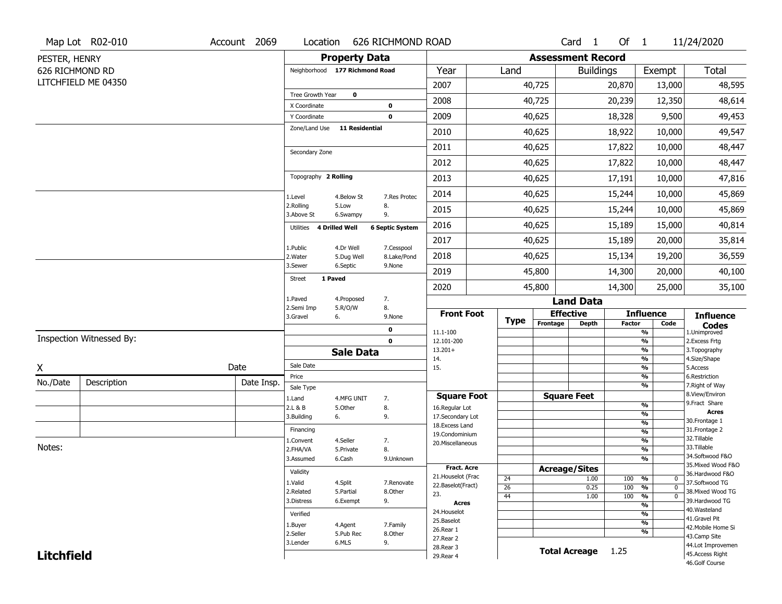|                   | Map Lot R02-010          | Account 2069        |                                |                       | Location 626 RICHMOND ROAD |                                    |             |                          | Card 1               | Of 1          |                                | 11/24/2020                                     |
|-------------------|--------------------------|---------------------|--------------------------------|-----------------------|----------------------------|------------------------------------|-------------|--------------------------|----------------------|---------------|--------------------------------|------------------------------------------------|
| PESTER, HENRY     |                          |                     |                                | <b>Property Data</b>  |                            |                                    |             | <b>Assessment Record</b> |                      |               |                                |                                                |
| 626 RICHMOND RD   |                          |                     | Neighborhood 177 Richmond Road |                       |                            | Year                               | Land        |                          | <b>Buildings</b>     |               | Exempt                         | Total                                          |
|                   | LITCHFIELD ME 04350      |                     |                                |                       |                            | 2007                               |             | 40,725                   |                      | 20,870        | 13,000                         | 48,595                                         |
|                   |                          |                     | Tree Growth Year               | $\mathbf 0$           |                            | 2008                               |             | 40,725                   |                      | 20,239        | 12,350                         | 48,614                                         |
|                   |                          |                     | X Coordinate<br>Y Coordinate   |                       | 0<br>0                     | 2009                               |             | 40,625                   |                      | 18,328        | 9,500                          | 49,453                                         |
|                   |                          |                     | Zone/Land Use                  | <b>11 Residential</b> |                            | 2010                               |             | 40,625                   |                      |               |                                | 49,547                                         |
|                   |                          |                     |                                |                       |                            |                                    |             |                          |                      | 18,922        | 10,000                         |                                                |
|                   |                          |                     | Secondary Zone                 |                       |                            | 2011                               |             | 40,625                   |                      | 17,822        | 10,000                         | 48,447                                         |
|                   |                          |                     |                                |                       |                            | 2012                               |             | 40,625                   |                      | 17,822        | 10,000                         | 48,447                                         |
|                   |                          |                     | Topography 2 Rolling           |                       |                            | 2013                               |             | 40,625                   |                      | 17,191        | 10,000                         | 47,816                                         |
|                   |                          |                     | 1.Level                        | 4.Below St            | 7.Res Protec               | 2014                               |             | 40,625                   |                      | 15,244        | 10,000                         | 45,869                                         |
|                   |                          |                     | 2.Rolling<br>3.Above St        | 5.Low<br>6.Swampy     | 8.<br>9.                   | 2015                               |             | 40,625                   |                      | 15,244        | 10,000                         | 45,869                                         |
|                   |                          |                     | Utilities 4 Drilled Well       |                       | <b>6 Septic System</b>     | 2016                               |             | 40,625                   |                      | 15,189        | 15,000                         | 40,814                                         |
|                   |                          |                     | 1.Public                       | 4.Dr Well             | 7.Cesspool                 | 2017                               |             | 40,625                   |                      | 15,189        | 20,000                         | 35,814                                         |
|                   |                          |                     | 2.Water                        | 5.Dug Well            | 8.Lake/Pond                | 2018                               |             | 40,625                   |                      | 15,134        | 19,200                         | 36,559                                         |
|                   |                          |                     | 3.Sewer                        | 6.Septic              | 9.None                     | 2019                               |             | 45,800                   |                      | 14,300        | 20,000                         | 40,100                                         |
|                   |                          |                     | 1 Paved<br><b>Street</b>       |                       |                            | 2020                               |             | 45,800                   |                      | 14,300        | 25,000                         | 35,100                                         |
|                   |                          |                     | 1.Paved<br>2.Semi Imp          | 4.Proposed<br>5.R/O/W | 7.<br>8.                   |                                    |             |                          | <b>Land Data</b>     |               |                                |                                                |
|                   |                          |                     | 3.Gravel                       | 6.                    | 9.None                     | <b>Front Foot</b>                  | <b>Type</b> |                          | <b>Effective</b>     |               | <b>Influence</b>               | <b>Influence</b>                               |
|                   |                          |                     |                                |                       | 0                          | 11.1-100                           |             | Frontage                 | <b>Depth</b>         | <b>Factor</b> | Code<br>%                      | $\operatorname*{Codes}\nolimits$ 1. Unimproved |
|                   | Inspection Witnessed By: |                     |                                |                       | $\mathbf 0$                | 12.101-200<br>$13.201+$            |             |                          |                      |               | $\frac{9}{6}$<br>$\frac{9}{6}$ | 2.Excess Frtg<br>3. Topography                 |
|                   |                          |                     |                                | <b>Sale Data</b>      |                            | 14.                                |             |                          |                      |               | %                              | 4.Size/Shape                                   |
| X                 |                          | Date                | Sale Date<br>Price             |                       |                            | 15.                                |             |                          |                      |               | $\frac{9}{6}$<br>%             | 5.Access<br>6.Restriction                      |
| No./Date          | Description              | Date Insp.          | Sale Type                      |                       |                            |                                    |             |                          |                      |               | $\frac{9}{6}$                  | 7. Right of Way                                |
|                   |                          |                     | 1.Land                         | 4.MFG UNIT            | 7.                         | <b>Square Foot</b>                 |             |                          | <b>Square Feet</b>   |               |                                | 8.View/Environ                                 |
|                   |                          |                     | 2.L & B                        | 5.0ther               | 8.                         | 16.Regular Lot                     |             |                          |                      |               | $\frac{9}{6}$<br>$\frac{9}{6}$ | 9.Fract Share<br><b>Acres</b>                  |
|                   |                          |                     | 3.Building                     | 6.                    | 9.                         | 17.Secondary Lot<br>18.Excess Land |             |                          |                      |               | $\frac{9}{6}$                  | 30. Frontage 1                                 |
|                   |                          |                     | Financing                      |                       |                            | 19.Condominium                     |             |                          |                      |               | $\frac{9}{6}$                  | 31. Frontage 2                                 |
| Notes:            |                          |                     | 1.Convent                      | 4.Seller              | 7.                         | 20. Miscellaneous                  |             |                          |                      |               | $\frac{9}{6}$                  | 32. Tillable<br>33.Tillable                    |
|                   |                          |                     | 2.FHA/VA<br>3.Assumed          | 5.Private<br>6.Cash   | 8.<br>9.Unknown            |                                    |             |                          |                      |               | $\frac{9}{6}$<br>$\frac{9}{6}$ | 34.Softwood F&O                                |
|                   |                          |                     |                                |                       |                            | <b>Fract. Acre</b>                 |             |                          | <b>Acreage/Sites</b> |               |                                | 35. Mixed Wood F&O                             |
|                   |                          |                     | Validity                       |                       |                            | 21. Houselot (Frac                 | 24          |                          | 1.00                 | 100           | %<br>0                         | 36.Hardwood F&O                                |
|                   |                          |                     | 1.Valid                        | 4.Split               | 7.Renovate                 | 22.Baselot(Fract)                  | 26          |                          | 0.25                 | 100           | %<br>$\mathbf{0}$              | 37.Softwood TG                                 |
|                   |                          |                     | 2.Related<br>3.Distress        | 5.Partial<br>6.Exempt | 8.Other<br>9.              | 23.                                | 44          |                          | 1.00                 | 100           | %                              | 38. Mixed Wood TG<br>39.Hardwood TG            |
|                   |                          |                     |                                |                       |                            | <b>Acres</b><br>24. Houselot       |             |                          |                      |               | %                              | 40. Wasteland                                  |
|                   |                          |                     | Verified                       |                       |                            | 25.Baselot                         |             |                          |                      |               | %<br>%                         | 41.Gravel Pit                                  |
|                   |                          | 1.Buyer<br>2.Seller | 4.Agent<br>5.Pub Rec           | 7.Family<br>8.Other   | 26.Rear 1                  |                                    |             |                          |                      | %             | 42. Mobile Home Si             |                                                |
|                   |                          |                     |                                |                       |                            |                                    |             |                          |                      |               | 43.Camp Site                   |                                                |
|                   |                          |                     |                                |                       |                            | 27.Rear 2                          |             |                          |                      |               |                                |                                                |
| <b>Litchfield</b> |                          |                     | 3.Lender                       | 6.MLS                 | 9.                         | 28. Rear 3<br>29. Rear 4           |             |                          | <b>Total Acreage</b> | 1.25          |                                | 44.Lot Improvemen<br>45.Access Right           |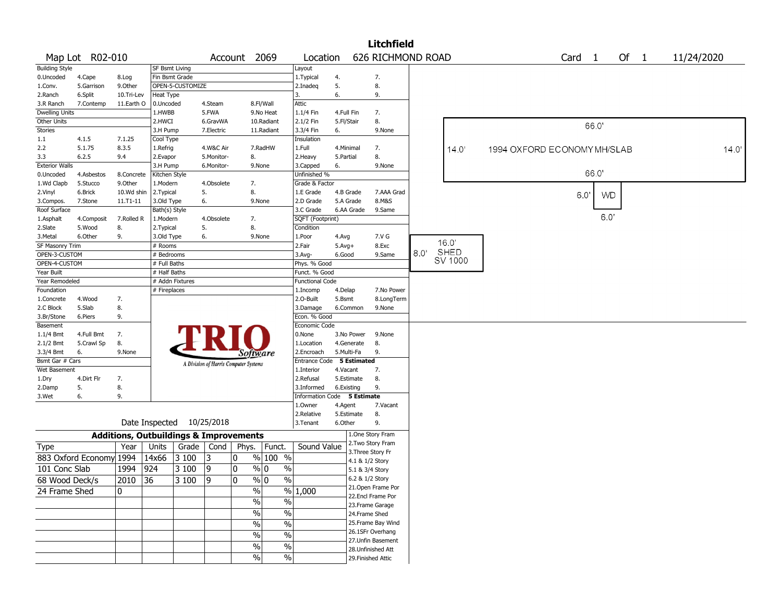| 626 RICHMOND ROAD<br>Map Lot R02-010<br>Account 2069<br>Location<br>Card <sub>1</sub><br>Of $1$<br><b>Building Style</b><br><b>SF Bsmt Living</b><br>Layout<br>Fin Bsmt Grade<br>7.<br>0.Uncoded<br>1. Typical<br>4.Cape<br>8.Log<br>4.<br>8.<br>9.Other<br>OPEN-5-CUSTOMIZE<br>5.<br>5.Garrison<br>2.Inadeg<br>1.Conv.<br>6.<br>9.<br>2.Ranch<br>6.Split<br>10.Tri-Lev<br>Heat Type<br>3. | 11/24/2020 |
|--------------------------------------------------------------------------------------------------------------------------------------------------------------------------------------------------------------------------------------------------------------------------------------------------------------------------------------------------------------------------------------------|------------|
|                                                                                                                                                                                                                                                                                                                                                                                            |            |
|                                                                                                                                                                                                                                                                                                                                                                                            |            |
|                                                                                                                                                                                                                                                                                                                                                                                            |            |
|                                                                                                                                                                                                                                                                                                                                                                                            |            |
|                                                                                                                                                                                                                                                                                                                                                                                            |            |
| 8.Fl/Wall<br>Attic<br>7.Contemp<br>11.Earth O<br>0.Uncoded<br>4.Steam<br>3.R Ranch                                                                                                                                                                                                                                                                                                         |            |
| Dwelling Units<br>5.FWA<br>1.1/4 Fin<br>7.<br>1.HWBB<br>9.No Heat<br>4.Full Fin                                                                                                                                                                                                                                                                                                            |            |
| Other Units<br>2.1/2 Fin<br>5.Fl/Stair<br>8.<br>2.HWCI<br>6.GravWA<br>10.Radiant<br>66.0'                                                                                                                                                                                                                                                                                                  |            |
| <b>Stories</b><br>7.Electric<br>3.3/4 Fin<br>3.H Pump<br>11.Radiant<br>6.<br>9.None                                                                                                                                                                                                                                                                                                        |            |
| 4.1.5<br>1.1<br>7.1.25<br>Cool Type<br>Insulation                                                                                                                                                                                                                                                                                                                                          |            |
| 8.3.5<br>1.Full<br>2.2<br>5.1.75<br>1.Refrig<br>4.W&C Air<br>7.RadHW<br>4.Minimal<br>7.<br>14.0'<br>1994 OXFORD ECONOMY MH/SLAB                                                                                                                                                                                                                                                            | 14.0'      |
| 8.<br>8.<br>3.3<br>6.2.5<br>9.4<br>2.Evapor<br>5.Monitor-<br>2.Heavy<br>5.Partial                                                                                                                                                                                                                                                                                                          |            |
| <b>Exterior Walls</b><br>3.H Pump<br>6.Monitor-<br>3.Capped<br>6.<br>9.None<br>9.None                                                                                                                                                                                                                                                                                                      |            |
| 66.0'<br>Kitchen Style<br>Unfinished %<br>4.Asbestos<br>8.Concrete<br>0.Uncoded                                                                                                                                                                                                                                                                                                            |            |
| 1.Wd Clapb<br>5.Stucco<br>9.0ther<br>1.Modern<br>4.Obsolete<br>7.<br>Grade & Factor                                                                                                                                                                                                                                                                                                        |            |
| 8.<br>5.<br>7.AAA Grad<br>2.Vinyl<br>6.Brick<br>10.Wd shin<br>2.Typical<br>1.E Grade<br>4.B Grade<br>6.0<br><b>WD</b>                                                                                                                                                                                                                                                                      |            |
| 2.D Grade<br>5.A Grade<br>8.M&S<br>7.Stone<br>11.T1-11<br>3.Old Type<br>6.<br>9.None<br>3.Compos.                                                                                                                                                                                                                                                                                          |            |
| Roof Surface<br>Bath(s) Style<br>3.C Grade<br>6.AA Grade<br>9.Same                                                                                                                                                                                                                                                                                                                         |            |
| 6.0'<br>4.Obsolete<br>SQFT (Footprint)<br>1.Asphalt<br>7.Rolled R<br>1.Modern<br>7.<br>4.Composit                                                                                                                                                                                                                                                                                          |            |
| 8.<br>2.Slate<br>8.<br>5.<br>5.Wood<br>2. Typical<br>Condition                                                                                                                                                                                                                                                                                                                             |            |
| 9.<br>3. Metal<br>6.Other<br>3.Old Type<br>6.<br>9.None<br>1.Poor<br>7.V G<br>4.Avg                                                                                                                                                                                                                                                                                                        |            |
| 16.0'<br>SF Masonry Trim<br>$#$ Rooms<br>2.Fair<br>8.Exc<br>$5.$ Avg $+$                                                                                                                                                                                                                                                                                                                   |            |
| SHED<br>8.0'<br>OPEN-3-CUSTOM<br>6.Good<br>9.Same<br># Bedrooms<br>$3.$ Avg-                                                                                                                                                                                                                                                                                                               |            |
| SV 1000<br>OPEN-4-CUSTOM<br># Full Baths<br>Phys. % Good                                                                                                                                                                                                                                                                                                                                   |            |
| Year Built<br># Half Baths<br>Funct. % Good                                                                                                                                                                                                                                                                                                                                                |            |
| # Addn Fixtures<br>Year Remodeled<br><b>Functional Code</b>                                                                                                                                                                                                                                                                                                                                |            |
| Foundation<br># Fireplaces<br>4.Delap<br>7.No Power<br>1.Incomp                                                                                                                                                                                                                                                                                                                            |            |
| 4.Wood<br>7.<br>2.0-Built<br>5.Bsmt<br>8.LongTerm<br>1.Concrete                                                                                                                                                                                                                                                                                                                            |            |
| 8.<br>2.C Block<br>5.Slab<br>3.Damage<br>6.Common<br>9.None                                                                                                                                                                                                                                                                                                                                |            |
| 9.<br>Econ. % Good<br>3.Br/Stone<br>6.Piers                                                                                                                                                                                                                                                                                                                                                |            |
| Basement<br>Economic Code                                                                                                                                                                                                                                                                                                                                                                  |            |
| $1.1/4$ Bmt<br>4.Full Bmt<br>7.<br>0.None<br>3.No Power<br>9.None                                                                                                                                                                                                                                                                                                                          |            |
| 8.<br>4.Generate<br>8.<br>2.1/2 Bmt<br>5.Crawl Sp<br>1.Location                                                                                                                                                                                                                                                                                                                            |            |
| 3.3/4 Bmt<br>5.Multi-Fa<br>9.<br>6.<br>9.None<br>2.Encroach<br>Software                                                                                                                                                                                                                                                                                                                    |            |
| Bsmt Gar # Cars<br>Entrance Code 5 Estimated<br>A Division of Harris Computer Systems                                                                                                                                                                                                                                                                                                      |            |
| 7.<br>Wet Basement<br>1.Interior<br>4.Vacant                                                                                                                                                                                                                                                                                                                                               |            |
| 4.Dirt Flr<br>5.Estimate<br>8.<br>1.Dry<br>7.<br>2.Refusal                                                                                                                                                                                                                                                                                                                                 |            |
| 5.<br>8.<br>9.<br>3.Informed<br>6.Existing<br>2.Damp                                                                                                                                                                                                                                                                                                                                       |            |
| 9.<br>6.<br>Information Code 5 Estimate<br>3.Wet                                                                                                                                                                                                                                                                                                                                           |            |
| 1.Owner<br>7.Vacant<br>4.Agent                                                                                                                                                                                                                                                                                                                                                             |            |
| 8.<br>2.Relative<br>5.Estimate                                                                                                                                                                                                                                                                                                                                                             |            |
| Date Inspected 10/25/2018<br>6.Other<br>9.<br>3. Tenant                                                                                                                                                                                                                                                                                                                                    |            |
| 1.One Story Fram<br><b>Additions, Outbuildings &amp; Improvements</b>                                                                                                                                                                                                                                                                                                                      |            |
| 2. Two Story Fram<br>Year<br>Units<br>Sound Value<br>Grade   Cond<br>Phys.<br>Funct.<br>Type                                                                                                                                                                                                                                                                                               |            |
| 3. Three Story Fr<br>883 Oxford Economy 1994<br>$%100$ %<br>14x66<br> 3100<br>13<br>0                                                                                                                                                                                                                                                                                                      |            |
| 4.1 & 1/2 Story                                                                                                                                                                                                                                                                                                                                                                            |            |
| 101 Conc Slab<br>1994<br>924<br>3 100<br>19<br>0<br>$\frac{9}{0}$ 0<br>$\%$<br>5.1 & 3/4 Story                                                                                                                                                                                                                                                                                             |            |
| $\mathbf{0}$<br>$\frac{9}{6}$ 0<br>$\frac{0}{0}$<br>6.2 & 1/2 Story<br>2010<br>36<br>3 100<br>19<br>68 Wood Deck/s                                                                                                                                                                                                                                                                         |            |
| 21. Open Frame Por<br>%<br>24 Frame Shed<br>0<br>% 1,000                                                                                                                                                                                                                                                                                                                                   |            |
| 22.Encl Frame Por<br>$\frac{9}{6}$<br>$\frac{0}{0}$                                                                                                                                                                                                                                                                                                                                        |            |
| 23. Frame Garage                                                                                                                                                                                                                                                                                                                                                                           |            |
| $\sqrt{6}$<br>$\frac{1}{2}$<br>24.Frame Shed                                                                                                                                                                                                                                                                                                                                               |            |
| 25. Frame Bay Wind<br>$\sqrt{6}$<br>$\frac{1}{2}$                                                                                                                                                                                                                                                                                                                                          |            |
| 26.1SFr Overhang<br>$\frac{1}{2}$<br>$\%$                                                                                                                                                                                                                                                                                                                                                  |            |
| 27.Unfin Basement                                                                                                                                                                                                                                                                                                                                                                          |            |
| $\%$<br>$\%$<br>28. Unfinished Att                                                                                                                                                                                                                                                                                                                                                         |            |
| $\%$<br>$\%$<br>29. Finished Attic                                                                                                                                                                                                                                                                                                                                                         |            |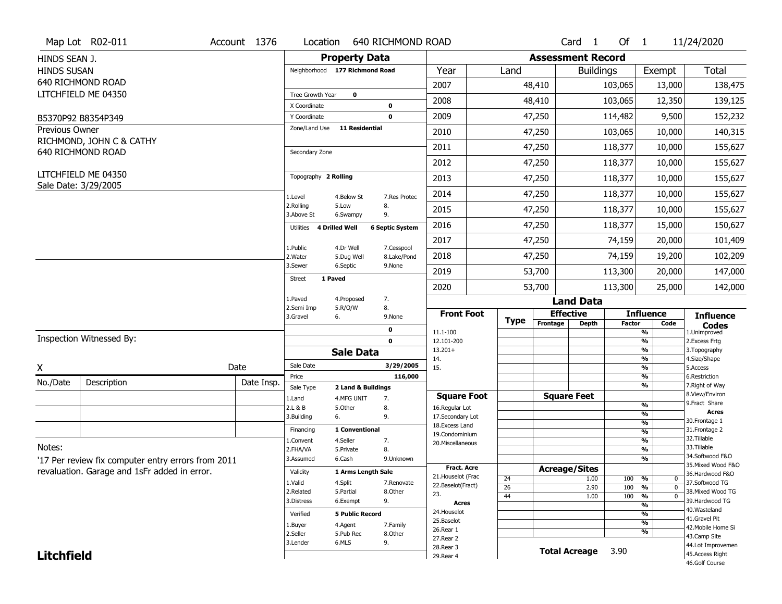|                       | Map Lot R02-011                                    | Account 1376 | Location                 |                                | 640 RICHMOND ROAD      |                                         |                       |                          | Card <sub>1</sub>    | Of $1$        |                                            | 11/24/2020                            |
|-----------------------|----------------------------------------------------|--------------|--------------------------|--------------------------------|------------------------|-----------------------------------------|-----------------------|--------------------------|----------------------|---------------|--------------------------------------------|---------------------------------------|
| HINDS SEAN J.         |                                                    |              |                          | <b>Property Data</b>           |                        |                                         |                       | <b>Assessment Record</b> |                      |               |                                            |                                       |
| <b>HINDS SUSAN</b>    |                                                    |              |                          | Neighborhood 177 Richmond Road |                        | Year                                    | Land                  |                          | <b>Buildings</b>     |               | Exempt                                     | <b>Total</b>                          |
|                       | 640 RICHMOND ROAD                                  |              |                          |                                |                        | 2007                                    |                       | 48,410                   |                      | 103,065       | 13,000                                     | 138,475                               |
|                       | LITCHFIELD ME 04350                                |              | Tree Growth Year         | $\mathbf 0$                    |                        |                                         |                       |                          |                      |               |                                            |                                       |
|                       |                                                    |              | X Coordinate             |                                | 0                      | 2008                                    |                       | 48,410                   |                      | 103,065       | 12,350                                     | 139,125                               |
|                       | B5370P92 B8354P349                                 |              | Y Coordinate             |                                | $\mathbf 0$            | 2009                                    |                       | 47,250                   |                      | 114,482       | 9,500                                      | 152,232                               |
| <b>Previous Owner</b> |                                                    |              | Zone/Land Use            | <b>11 Residential</b>          |                        | 2010                                    |                       | 47,250                   |                      | 103,065       | 10,000                                     | 140,315                               |
|                       | RICHMOND, JOHN C & CATHY<br>640 RICHMOND ROAD      |              | Secondary Zone           |                                |                        | 2011                                    |                       | 47,250                   |                      | 118,377       | 10,000                                     | 155,627                               |
|                       |                                                    |              |                          |                                |                        | 2012                                    |                       | 47,250                   |                      | 118,377       | 10,000                                     | 155,627                               |
|                       | LITCHFIELD ME 04350<br>Sale Date: 3/29/2005        |              | Topography 2 Rolling     |                                |                        | 2013                                    |                       | 47,250                   |                      | 118,377       | 10,000                                     | 155,627                               |
|                       |                                                    |              | 1.Level                  | 4.Below St                     | 7.Res Protec           | 2014                                    |                       | 47,250                   |                      | 118,377       | 10,000                                     | 155,627                               |
|                       |                                                    |              | 2.Rolling<br>3.Above St  | 5.Low<br>6.Swampy              | 8.<br>9.               | 2015                                    |                       | 47,250                   |                      | 118,377       | 10,000                                     | 155,627                               |
|                       |                                                    |              | Utilities                | 4 Drilled Well                 | <b>6 Septic System</b> | 2016                                    |                       | 47,250                   |                      | 118,377       | 15,000                                     | 150,627                               |
|                       |                                                    |              | 1.Public                 | 4.Dr Well                      | 7.Cesspool             | 2017                                    |                       | 47,250                   |                      | 74,159        | 20,000                                     | 101,409                               |
|                       |                                                    |              | 2. Water                 | 5.Dug Well                     | 8.Lake/Pond            | 2018                                    |                       | 47,250                   |                      | 74,159        | 19,200                                     | 102,209                               |
|                       |                                                    |              | 3.Sewer                  | 6.Septic                       | 9.None                 | 2019                                    |                       | 53,700                   |                      | 113,300       | 20,000                                     | 147,000                               |
|                       |                                                    |              | 1 Paved<br><b>Street</b> |                                |                        | 2020                                    |                       | 53,700                   |                      | 113,300       | 25,000                                     | 142,000                               |
|                       |                                                    |              | 1.Paved                  | 4.Proposed                     | 7.                     |                                         |                       |                          | <b>Land Data</b>     |               |                                            |                                       |
|                       |                                                    |              | 2.Semi Imp<br>3.Gravel   | 5.R/O/W<br>6.                  | 8.<br>9.None           | <b>Front Foot</b>                       | <b>Type</b>           |                          | <b>Effective</b>     |               | <b>Influence</b>                           | <b>Influence</b>                      |
|                       |                                                    |              |                          |                                | 0                      | 11.1-100                                |                       | Frontage                 | <b>Depth</b>         | <b>Factor</b> | Code<br>%                                  | <b>Codes</b><br>1.Unimproved          |
|                       | Inspection Witnessed By:                           |              |                          |                                | $\mathbf 0$            | 12.101-200                              |                       |                          |                      |               | $\frac{9}{6}$                              | 2.Excess Frtg                         |
|                       |                                                    |              |                          | <b>Sale Data</b>               |                        | $13.201+$<br>14.                        |                       |                          |                      |               | %<br>$\frac{9}{6}$                         | 3. Topography<br>4.Size/Shape         |
| X                     |                                                    | Date         | Sale Date                |                                | 3/29/2005              | 15.                                     |                       |                          |                      |               | %                                          | 5.Access                              |
| No./Date              | Description                                        | Date Insp.   | Price                    |                                | 116,000                |                                         |                       |                          |                      |               | $\frac{9}{6}$<br>%                         | 6.Restriction<br>7. Right of Way      |
|                       |                                                    |              | Sale Type                | 2 Land & Buildings             |                        | <b>Square Foot</b>                      |                       |                          | <b>Square Feet</b>   |               |                                            | 8.View/Environ                        |
|                       |                                                    |              | 1.Land<br>2.L & B        | 4.MFG UNIT<br>5.Other          | 7.<br>8.               | 16.Regular Lot                          |                       |                          |                      |               | $\frac{9}{6}$                              | 9. Fract Share                        |
|                       |                                                    |              | 3.Building               | 6.                             | 9.                     | 17.Secondary Lot                        |                       |                          |                      |               | %                                          | <b>Acres</b><br>30. Frontage 1        |
|                       |                                                    |              | Financing                | 1 Conventional                 |                        | 18. Excess Land<br>19.Condominium       |                       |                          |                      |               | $\frac{9}{6}$<br>$\overline{\frac{9}{6}}$  | 31. Frontage 2                        |
|                       |                                                    |              | 1.Convent                | 4.Seller                       | 7.                     | 20.Miscellaneous                        |                       |                          |                      |               | $\frac{9}{6}$                              | 32. Tillable                          |
| Notes:                |                                                    |              | 2.FHA/VA                 | 5.Private                      | 8.                     |                                         |                       |                          |                      |               | $\frac{9}{6}$                              | 33.Tillable                           |
|                       | '17 Per review fix computer entry errors from 2011 |              | 3.Assumed                | 6.Cash                         | 9.Unknown              |                                         |                       |                          |                      |               | %                                          | 34.Softwood F&O<br>35. Mixed Wood F&O |
|                       | revaluation. Garage and 1sFr added in error.       |              | Validity                 | 1 Arms Length Sale             |                        | <b>Fract. Acre</b>                      |                       |                          | <b>Acreage/Sites</b> |               |                                            | 36.Hardwood F&O                       |
|                       |                                                    |              | 1.Valid                  | 4.Split                        | 7.Renovate             | 21. Houselot (Frac<br>22.Baselot(Fract) | 24                    |                          | 1.00                 | 100           | %<br>0                                     | 37.Softwood TG                        |
|                       |                                                    |              | 2.Related                | 5.Partial                      | 8.Other                | 23.                                     | $\overline{26}$<br>44 |                          | 2.90<br>1.00         | 100<br>100    | $\overline{0}$<br>%<br>$\overline{0}$<br>% | 38. Mixed Wood TG                     |
|                       |                                                    |              | 3.Distress               | 6.Exempt                       | 9.                     | <b>Acres</b>                            |                       |                          |                      |               | $\frac{9}{6}$                              | 39.Hardwood TG                        |
|                       |                                                    |              | Verified                 | <b>5 Public Record</b>         |                        | 24. Houselot                            |                       |                          |                      |               | %                                          | 40. Wasteland                         |
|                       |                                                    |              | 1.Buyer                  | 4.Agent                        | 7.Family               | 25.Baselot                              |                       |                          |                      |               | $\frac{9}{6}$                              | 41.Gravel Pit                         |
|                       |                                                    |              | 2.Seller                 | 5.Pub Rec                      | 8.Other                | 26.Rear 1                               |                       |                          |                      |               | %                                          | 42. Mobile Home Si<br>43.Camp Site    |
|                       |                                                    |              |                          |                                |                        |                                         |                       |                          |                      |               |                                            |                                       |
|                       |                                                    |              | 3.Lender                 | 6.MLS                          | 9.                     | 27.Rear 2                               |                       |                          |                      |               |                                            |                                       |
| <b>Litchfield</b>     |                                                    |              |                          |                                |                        | 28.Rear 3<br>29. Rear 4                 |                       |                          | <b>Total Acreage</b> | 3.90          |                                            | 44.Lot Improvemen<br>45.Access Right  |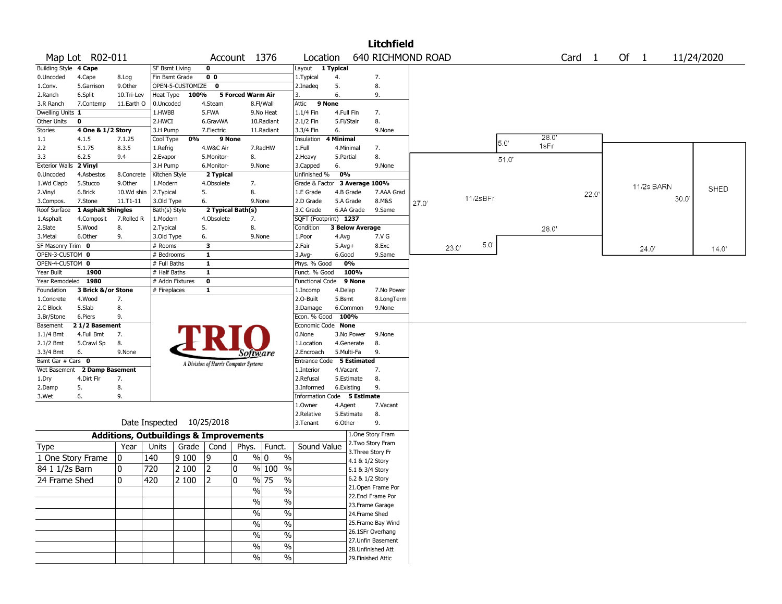|                              |                    |                                                   |                       |                  |                         |                                       |               |                             |            |                        | <b>Litchfield</b>  |       |       |          |       |       |                   |       |            |             |
|------------------------------|--------------------|---------------------------------------------------|-----------------------|------------------|-------------------------|---------------------------------------|---------------|-----------------------------|------------|------------------------|--------------------|-------|-------|----------|-------|-------|-------------------|-------|------------|-------------|
|                              | Map Lot R02-011    |                                                   |                       |                  |                         | Account 1376                          |               | Location                    |            |                        | 640 RICHMOND ROAD  |       |       |          |       |       | Card <sub>1</sub> | Of 1  |            | 11/24/2020  |
| <b>Building Style 4 Cape</b> |                    |                                                   | <b>SF Bsmt Living</b> |                  | $\mathbf 0$             |                                       |               | Layout                      | 1 Typical  |                        |                    |       |       |          |       |       |                   |       |            |             |
| 0.Uncoded                    | 4.Cape             | 8.Log                                             | Fin Bsmt Grade        |                  | 0 <sub>0</sub>          |                                       |               | 1.Typical                   | 4.         |                        | 7.                 |       |       |          |       |       |                   |       |            |             |
| 1.Conv.                      | 5.Garrison         | 9.0ther                                           |                       | OPEN-5-CUSTOMIZE | $\mathbf 0$             |                                       |               | 2.Inadeg                    | 5.         |                        | 8.                 |       |       |          |       |       |                   |       |            |             |
| 2.Ranch                      | 6.Split            | 10.Tri-Lev                                        | Heat Type             | 100%             |                         | 5 Forced Warm Air                     |               | 3.                          | 6.         |                        | 9.                 |       |       |          |       |       |                   |       |            |             |
| 3.R Ranch                    | 7.Contemp          | 11.Earth O                                        | 0.Uncoded             |                  | 4.Steam                 |                                       | 8.Fl/Wall     | Attic<br>9 None             |            |                        |                    |       |       |          |       |       |                   |       |            |             |
| Dwelling Units 1             |                    |                                                   | 1.HWBB                |                  | 5.FWA                   |                                       | 9.No Heat     | 1.1/4 Fin                   | 4.Full Fin |                        | 7.                 |       |       |          |       |       |                   |       |            |             |
| Other Units                  | $\bf o$            |                                                   | 2.HWCI                |                  | 6.GravWA                |                                       | 10.Radiant    | 2.1/2 Fin                   | 5.Fl/Stair |                        | 8.                 |       |       |          |       |       |                   |       |            |             |
| <b>Stories</b>               | 4 One & 1/2 Story  |                                                   | 3.H Pump              |                  | 7.Electric              |                                       | 11.Radiant    | 3.3/4 Fin                   | 6.         |                        | 9.None             |       |       |          |       |       |                   |       |            |             |
| 1.1                          | 4.1.5              | 7.1.25                                            | Cool Type             | 0%               |                         | 9 None                                |               | Insulation                  | 4 Minimal  |                        |                    |       |       |          | 5.0'  | 28.0  |                   |       |            |             |
| 2.2                          | 5.1.75             | 8.3.5                                             | 1.Refrig              |                  | 4.W&C Air               |                                       | 7.RadHW       | 1.Full                      | 4.Minimal  |                        | 7.                 |       |       |          |       | 1sFr  |                   |       |            |             |
| 3.3                          | 6.2.5              | 9.4                                               | 2.Evapor              |                  | 5.Monitor-              | 8.                                    |               | 2. Heavy                    | 5.Partial  |                        | 8.                 |       |       |          | 51.0' |       |                   |       |            |             |
| <b>Exterior Walls</b>        | 2 Vinyl            |                                                   | 3.H Pump              |                  | 6.Monitor-              |                                       | 9.None        | 3.Capped                    | 6.         |                        | 9.None             |       |       |          |       |       |                   |       |            |             |
| 0.Uncoded                    | 4.Asbestos         | 8.Concrete                                        | Kitchen Style         |                  | 2 Typical               |                                       |               | Unfinished %                | 0%         |                        |                    |       |       |          |       |       |                   |       |            |             |
| 1.Wd Clapb                   | 5.Stucco           | 9.Other                                           | 1.Modern              |                  | 4.Obsolete              | 7.                                    |               | Grade & Factor              |            |                        | 3 Average 100%     |       |       |          |       |       |                   |       | 11/2s BARN |             |
| 2.Vinyl                      | 6.Brick            | 10.Wd shin                                        | 2. Typical            |                  | 5.                      | 8.                                    |               | 1.E Grade                   |            | 4.B Grade              | 7.AAA Grad         |       |       |          |       |       | 22.0              |       |            | <b>SHED</b> |
| 3.Compos.                    | 7.Stone            | $11. T1 - 11$                                     | 3.Old Type            |                  | 6.                      |                                       | 9.None        | 2.D Grade                   |            | 5.A Grade              | 8.M&S              | 27.0' |       | 11/2sBFr |       |       |                   |       | 30.0       |             |
| Roof Surface                 | 1 Asphalt Shingles |                                                   | Bath(s) Style         |                  |                         | 2 Typical Bath(s)                     |               | 3.C Grade                   |            | 6.AA Grade             | 9.Same             |       |       |          |       |       |                   |       |            |             |
| 1.Asphalt                    | 4.Composit         | 7.Rolled R                                        | 1.Modern              |                  | 4.Obsolete              | 7.                                    |               | SQFT (Footprint) 1237       |            |                        |                    |       |       |          |       |       |                   |       |            |             |
| 2.Slate                      | 5.Wood             | 8.                                                | 2. Typical            |                  | 5.                      | 8.                                    |               | Condition                   |            | <b>3 Below Average</b> |                    |       |       |          |       | 28.0' |                   |       |            |             |
| 3.Metal                      | 6.Other            | 9.                                                | 3.Old Type            |                  | 6.                      |                                       | 9.None        | 1.Poor                      | 4.Avg      |                        | 7.V G              |       |       |          |       |       |                   |       |            |             |
| SF Masonry Trim 0            |                    |                                                   | # Rooms               |                  | 3                       |                                       |               | 2.Fair                      | $5.Avg+$   |                        | 8.Exc              |       | 23.0' | 5.0'     |       |       |                   | 24.0' |            | 14.0'       |
| OPEN-3-CUSTOM 0              |                    |                                                   | # Bedrooms            |                  | $\mathbf{1}$            |                                       |               | $3.$ Avg-                   | 6.Good     |                        | 9.Same             |       |       |          |       |       |                   |       |            |             |
| OPEN-4-CUSTOM 0              |                    |                                                   | # Full Baths          |                  | $\mathbf{1}$            |                                       |               | Phys. % Good                |            | 0%                     |                    |       |       |          |       |       |                   |       |            |             |
| Year Built                   | 1900               |                                                   | # Half Baths          |                  | $\overline{1}$          |                                       |               | Funct. % Good               |            | 100%                   |                    |       |       |          |       |       |                   |       |            |             |
| Year Remodeled 1980          |                    |                                                   | # Addn Fixtures       |                  | $\overline{\mathbf{0}}$ |                                       |               | <b>Functional Code</b>      |            | 9 None                 |                    |       |       |          |       |       |                   |       |            |             |
| Foundation                   | 3 Brick &/or Stone |                                                   | # Fireplaces          |                  | $\mathbf{1}$            |                                       |               | 1.Incomp                    | 4.Delap    |                        | 7.No Power         |       |       |          |       |       |                   |       |            |             |
| 1.Concrete                   | 4.Wood             | 7.                                                |                       |                  |                         |                                       |               | 2.O-Built                   | 5.Bsmt     |                        | 8.LongTerm         |       |       |          |       |       |                   |       |            |             |
| 2.C Block                    | 5.Slab             | 8.                                                |                       |                  |                         |                                       |               | 3.Damage                    |            | 6.Common               | 9.None             |       |       |          |       |       |                   |       |            |             |
| 3.Br/Stone                   | 6.Piers            | 9.                                                |                       |                  |                         |                                       |               | Econ. % Good                | 100%       |                        |                    |       |       |          |       |       |                   |       |            |             |
| Basement                     | 21/2 Basement      |                                                   |                       |                  |                         |                                       |               | Economic Code None          |            |                        |                    |       |       |          |       |       |                   |       |            |             |
| $1.1/4$ Bmt                  | 4.Full Bmt         | 7.                                                |                       |                  |                         |                                       |               | 0.None                      |            | 3.No Power             | 9.None             |       |       |          |       |       |                   |       |            |             |
| $2.1/2$ Bmt                  | 5.Crawl Sp         | 8.                                                |                       |                  |                         |                                       |               | 1.Location                  |            | 4.Generate             | 8.                 |       |       |          |       |       |                   |       |            |             |
| 3.3/4 Bmt                    | 6.                 | 9.None                                            |                       |                  |                         | Software                              |               | 2.Encroach                  | 5.Multi-Fa |                        | 9.                 |       |       |          |       |       |                   |       |            |             |
| Bsmt Gar # Cars 0            |                    |                                                   |                       |                  |                         | A Division of Harris Computer Systems |               | Entrance Code               |            | <b>5 Estimated</b>     |                    |       |       |          |       |       |                   |       |            |             |
| Wet Basement                 | 2 Damp Basement    |                                                   |                       |                  |                         |                                       |               | 1.Interior                  | 4.Vacant   |                        | 7.                 |       |       |          |       |       |                   |       |            |             |
| 1.Dry                        | 4.Dirt Flr         | 7.                                                |                       |                  |                         |                                       |               | 2.Refusal                   |            | 5.Estimate             | 8.                 |       |       |          |       |       |                   |       |            |             |
| 2.Damp                       | 5.                 | 8.                                                |                       |                  |                         |                                       |               | 3.Informed                  | 6.Existing |                        | 9.                 |       |       |          |       |       |                   |       |            |             |
| 3.Wet                        | 6.                 | 9.                                                |                       |                  |                         |                                       |               | Information Code 5 Estimate |            |                        |                    |       |       |          |       |       |                   |       |            |             |
|                              |                    |                                                   |                       |                  |                         |                                       |               | 1.0wner                     | 4.Agent    |                        | 7.Vacant           |       |       |          |       |       |                   |       |            |             |
|                              |                    |                                                   |                       |                  |                         |                                       |               | 2.Relative                  |            | 5.Estimate             | 8.                 |       |       |          |       |       |                   |       |            |             |
|                              |                    | Date Inspected 10/25/2018                         |                       |                  |                         |                                       |               | 3.Tenant                    | 6.Other    |                        | 9.                 |       |       |          |       |       |                   |       |            |             |
|                              |                    | <b>Additions, Outbuildings &amp; Improvements</b> |                       |                  |                         |                                       |               |                             |            |                        | 1.One Story Fram   |       |       |          |       |       |                   |       |            |             |
| <b>Type</b>                  |                    | Year                                              | Units                 | Grade            | Cond                    | Phys.                                 | Funct.        | Sound Value                 |            |                        | 2. Two Story Fram  |       |       |          |       |       |                   |       |            |             |
|                              | 1 One Story Frame  | 0                                                 | 140                   | 9100             | 9                       | 0                                     | % 0<br>$\%$   |                             |            | 4.1 & 1/2 Story        | 3. Three Story Fr  |       |       |          |       |       |                   |       |            |             |
| 84 1 1/2s Barn               |                    | 0                                                 | 720                   | 2 100            | 2                       | 0                                     | $%100$ %      |                             |            | 5.1 & 3/4 Story        |                    |       |       |          |       |       |                   |       |            |             |
|                              |                    |                                                   |                       |                  |                         |                                       |               |                             |            |                        | 6.2 & 1/2 Story    |       |       |          |       |       |                   |       |            |             |
| 24 Frame Shed                |                    | 10                                                | 420                   | 2 100            | 2                       | 10                                    | % 75<br>%     |                             |            |                        | 21. Open Frame Por |       |       |          |       |       |                   |       |            |             |
|                              |                    |                                                   |                       |                  |                         | $\sqrt{9/6}$                          | $\sqrt{6}$    |                             |            |                        | 22.Encl Frame Por  |       |       |          |       |       |                   |       |            |             |
|                              |                    |                                                   |                       |                  |                         | $\sqrt{0}$                            | $\%$          |                             |            |                        | 23. Frame Garage   |       |       |          |       |       |                   |       |            |             |
|                              |                    |                                                   |                       |                  |                         | $\sqrt{6}$                            | $\frac{1}{2}$ |                             |            |                        | 24.Frame Shed      |       |       |          |       |       |                   |       |            |             |
|                              |                    |                                                   |                       |                  |                         |                                       |               |                             |            |                        | 25. Frame Bay Wind |       |       |          |       |       |                   |       |            |             |
|                              |                    |                                                   |                       |                  |                         | $\frac{1}{2}$                         | $\%$          |                             |            |                        | 26.1SFr Overhang   |       |       |          |       |       |                   |       |            |             |
|                              |                    |                                                   |                       |                  |                         | $\%$                                  | $\%$          |                             |            |                        | 27.Unfin Basement  |       |       |          |       |       |                   |       |            |             |
|                              |                    |                                                   |                       |                  |                         | $\%$                                  | $\%$          |                             |            |                        | 28. Unfinished Att |       |       |          |       |       |                   |       |            |             |
|                              |                    |                                                   |                       |                  |                         | $\sqrt{6}$                            | $\sqrt{6}$    |                             |            |                        | 29. Finished Attic |       |       |          |       |       |                   |       |            |             |
|                              |                    |                                                   |                       |                  |                         |                                       |               |                             |            |                        |                    |       |       |          |       |       |                   |       |            |             |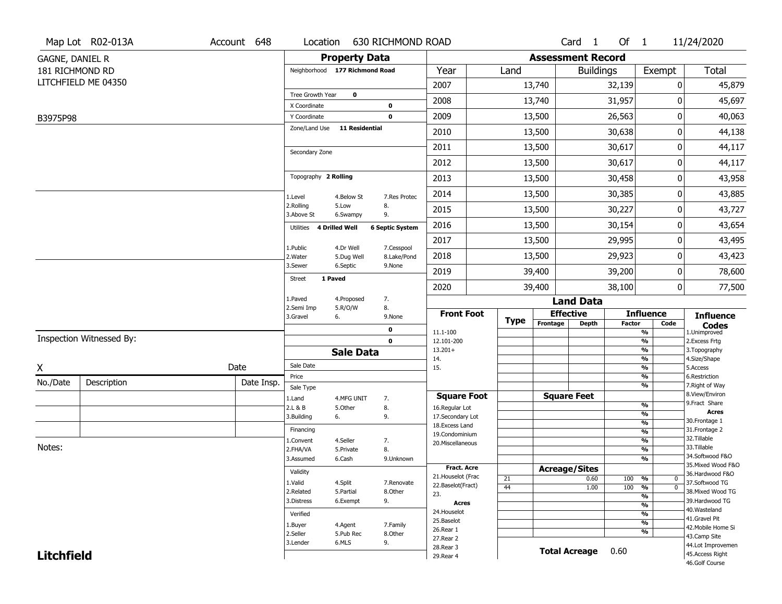|                        | Map Lot R02-013A         | Account 648 | Location                       |                       | 630 RICHMOND ROAD          |                                     |                      |                          | Card 1           | Of $1$        |                                   | 11/24/2020                       |
|------------------------|--------------------------|-------------|--------------------------------|-----------------------|----------------------------|-------------------------------------|----------------------|--------------------------|------------------|---------------|-----------------------------------|----------------------------------|
| <b>GAGNE, DANIEL R</b> |                          |             |                                | <b>Property Data</b>  |                            |                                     |                      | <b>Assessment Record</b> |                  |               |                                   |                                  |
| 181 RICHMOND RD        |                          |             | Neighborhood 177 Richmond Road |                       |                            | Year                                | Land                 |                          | <b>Buildings</b> |               | Exempt                            | <b>Total</b>                     |
|                        | LITCHFIELD ME 04350      |             |                                |                       |                            | 2007                                |                      | 13,740                   |                  | 32,139        |                                   | 45,879<br>0                      |
|                        |                          |             | Tree Growth Year               | $\mathbf 0$           |                            | 2008                                |                      | 13,740                   |                  | 31,957        |                                   | 0<br>45,697                      |
|                        |                          |             | X Coordinate<br>Y Coordinate   |                       | $\mathbf 0$<br>$\mathbf 0$ | 2009                                |                      | 13,500                   |                  | 26,563        |                                   | 0<br>40,063                      |
| B3975P98               |                          |             | Zone/Land Use                  | <b>11 Residential</b> |                            | 2010                                |                      |                          |                  |               |                                   | 0                                |
|                        |                          |             |                                |                       |                            |                                     |                      | 13,500                   |                  | 30,638        |                                   | 44,138                           |
|                        |                          |             | Secondary Zone                 |                       |                            | 2011                                |                      | 13,500                   |                  | 30,617        |                                   | 44,117<br>0                      |
|                        |                          |             |                                |                       |                            | 2012                                |                      | 13,500                   |                  | 30,617        |                                   | $\pmb{0}$<br>44,117              |
|                        |                          |             | Topography 2 Rolling           |                       |                            | 2013                                |                      | 13,500                   |                  | 30,458        |                                   | 43,958<br>0                      |
|                        |                          |             | 1.Level                        | 4.Below St            | 7.Res Protec               | 2014                                |                      | 13,500                   |                  | 30,385        |                                   | 43,885<br>0                      |
|                        |                          |             | 2.Rolling<br>3.Above St        | 5.Low<br>6.Swampy     | 8.<br>9.                   | 2015                                |                      | 13,500                   |                  | 30,227        |                                   | 43,727<br>0                      |
|                        |                          |             | Utilities 4 Drilled Well       |                       | <b>6 Septic System</b>     | 2016                                |                      | 13,500                   |                  | 30,154        |                                   | 0<br>43,654                      |
|                        |                          |             | 1.Public                       | 4.Dr Well             | 7.Cesspool                 | 2017                                |                      | 13,500                   |                  | 29,995        |                                   | 0<br>43,495                      |
|                        |                          |             | 2. Water                       | 5.Dug Well            | 8.Lake/Pond                | 2018                                |                      | 13,500                   |                  | 29,923        |                                   | 0<br>43,423                      |
|                        |                          |             | 3.Sewer                        | 6.Septic              | 9.None                     | 2019                                |                      | 39,400                   |                  | 39,200        |                                   | 78,600<br>0                      |
|                        |                          |             | 1 Paved<br><b>Street</b>       |                       |                            | 2020                                |                      | 39,400                   |                  | 38,100        |                                   | $\mathbf 0$<br>77,500            |
|                        |                          |             | 1.Paved                        | 4.Proposed            | 7.                         |                                     |                      |                          | <b>Land Data</b> |               |                                   |                                  |
|                        |                          |             | 2.Semi Imp<br>3.Gravel         | 5.R/O/W<br>6.         | 8.<br>9.None               | <b>Front Foot</b>                   |                      | <b>Effective</b>         |                  |               | <b>Influence</b>                  | <b>Influence</b>                 |
|                        |                          |             |                                |                       | $\mathbf 0$                | 11.1-100                            | <b>Type</b>          | Frontage                 | <b>Depth</b>     | <b>Factor</b> | Code<br>%                         | <b>Codes</b><br>1.Unimproved     |
|                        | Inspection Witnessed By: |             |                                |                       | $\mathbf 0$                | 12.101-200                          |                      |                          |                  |               | $\frac{9}{6}$                     | 2.Excess Frtg                    |
|                        |                          |             |                                | <b>Sale Data</b>      |                            | $13.201+$<br>14.                    |                      |                          |                  |               | %<br>%                            | 3. Topography<br>4.Size/Shape    |
| X                      |                          | Date        | Sale Date                      |                       |                            | 15.                                 |                      |                          |                  |               | $\frac{9}{6}$                     | 5.Access                         |
| No./Date               | Description              | Date Insp.  | Price<br>Sale Type             |                       |                            |                                     |                      |                          |                  |               | %<br>%                            | 6.Restriction<br>7. Right of Way |
|                        |                          |             | 1.Land                         | 4.MFG UNIT            | 7.                         | <b>Square Foot</b>                  |                      | <b>Square Feet</b>       |                  |               |                                   | 8.View/Environ                   |
|                        |                          |             | 2.L & B                        | 5.Other               | 8.                         | 16.Regular Lot                      |                      |                          |                  |               | %<br>%                            | 9.Fract Share<br><b>Acres</b>    |
|                        |                          |             | 3.Building                     | 6.                    | 9.                         | 17.Secondary Lot<br>18. Excess Land |                      |                          |                  |               | $\frac{9}{6}$                     | 30.Frontage 1                    |
|                        |                          |             | Financing                      |                       |                            | 19.Condominium                      |                      |                          |                  |               | $\frac{9}{6}$                     | 31. Frontage 2                   |
| Notes:                 |                          |             | 1.Convent                      | 4.Seller              | 7.                         | 20.Miscellaneous                    |                      |                          |                  |               | $\frac{9}{6}$                     | 32.Tillable<br>33.Tillable       |
|                        |                          |             | 2.FHA/VA                       | 5.Private             | 8.                         |                                     |                      |                          |                  |               | $\frac{9}{6}$<br>$\frac{9}{6}$    | 34.Softwood F&O                  |
|                        |                          |             | 3.Assumed                      | 6.Cash                | 9.Unknown                  | <b>Fract. Acre</b>                  |                      | <b>Acreage/Sites</b>     |                  |               |                                   | 35. Mixed Wood F&O               |
|                        |                          |             | Validity                       |                       |                            | 21. Houselot (Frac                  | 21                   |                          | 0.60             | 100           | %<br>$\mathbf 0$                  | 36.Hardwood F&O                  |
|                        |                          |             | 1.Valid                        | 4.Split               | 7.Renovate                 | 22.Baselot(Fract)                   | 44                   |                          | 1.00             | 100           | %<br>$\mathbf{0}$                 | 37.Softwood TG                   |
|                        |                          |             | 2.Related                      | 5.Partial             | 8.Other                    | 23.                                 |                      |                          |                  |               | $\frac{9}{6}$                     | 38. Mixed Wood TG                |
|                        |                          |             | 3.Distress                     | 6.Exempt              | 9.                         | <b>Acres</b>                        |                      |                          |                  |               | $\frac{9}{6}$                     | 39.Hardwood TG<br>40. Wasteland  |
|                        |                          |             | Verified                       |                       |                            | 24. Houselot<br>25.Baselot          |                      |                          |                  |               | $\frac{9}{6}$                     | 41.Gravel Pit                    |
|                        |                          |             | 1.Buyer                        | 4.Agent               | 7.Family                   | 26.Rear 1                           |                      |                          |                  |               | $\frac{9}{6}$                     | 42. Mobile Home Si               |
|                        |                          | 2.Seller    | 5.Pub Rec                      | 8.Other               | 27. Rear 2                 |                                     |                      |                          |                  | %             | 43.Camp Site                      |                                  |
|                        |                          | 3.Lender    | 6.MLS                          | 9.                    | 28. Rear 3                 |                                     | <b>Total Acreage</b> |                          | 0.60             |               | 44.Lot Improvemen                 |                                  |
| <b>Litchfield</b>      |                          |             |                                |                       | 29. Rear 4                 |                                     |                      |                          |                  |               | 45.Access Right<br>46.Golf Course |                                  |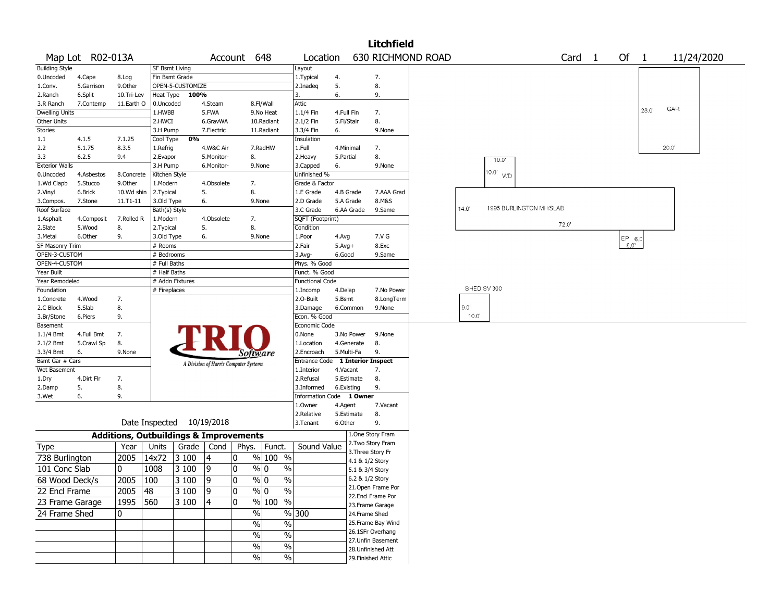|                       |                  |                                                   |                       |                           |             |                                       |                                |                          |            | <b>Litchfield</b>         |                   |                |                            |  |        |        |        |       |            |  |
|-----------------------|------------------|---------------------------------------------------|-----------------------|---------------------------|-------------|---------------------------------------|--------------------------------|--------------------------|------------|---------------------------|-------------------|----------------|----------------------------|--|--------|--------|--------|-------|------------|--|
|                       | Map Lot R02-013A |                                                   |                       |                           |             | Account 648                           |                                | Location                 |            |                           | 630 RICHMOND ROAD |                |                            |  | Card 1 |        | Of $1$ |       | 11/24/2020 |  |
| <b>Building Style</b> |                  |                                                   | <b>SF Bsmt Living</b> |                           |             |                                       |                                | Layout                   |            |                           |                   |                |                            |  |        |        |        |       |            |  |
| 0.Uncoded             | 4.Cape           | 8.Log                                             | Fin Bsmt Grade        |                           |             |                                       |                                | 1. Typical               | 4.         | 7.                        |                   |                |                            |  |        |        |        |       |            |  |
| 1.Conv.               | 5.Garrison       | 9.Other                                           |                       | OPEN-5-CUSTOMIZE          |             |                                       |                                | 2.Inadeq                 | 5.         | 8.                        |                   |                |                            |  |        |        |        |       |            |  |
| 2.Ranch               | 6.Split          | 10.Tri-Lev                                        |                       | Heat Type 100%            |             |                                       |                                | 3.                       | 6.         | 9.                        |                   |                |                            |  |        |        |        |       |            |  |
| 3.R Ranch             | 7.Contemp        | 11.Earth O                                        | 0.Uncoded             |                           | 4.Steam     |                                       | 8.Fl/Wall                      | Attic                    |            |                           |                   |                |                            |  |        |        |        | GAR   |            |  |
| <b>Dwelling Units</b> |                  |                                                   | 1.HWBB                |                           | 5.FWA       |                                       | 9.No Heat                      | 1.1/4 Fin                | 4.Full Fin | 7.                        |                   |                |                            |  |        |        | 28.0   |       |            |  |
| Other Units           |                  |                                                   | 2.HWCI                |                           | 6.GravWA    |                                       | 10.Radiant                     | 2.1/2 Fin                | 5.Fl/Stair | 8.                        |                   |                |                            |  |        |        |        |       |            |  |
| <b>Stories</b>        |                  |                                                   | 3.H Pump              |                           | 7.Electric  |                                       | 11.Radiant                     | 3.3/4 Fin                | 6.         | 9.None                    |                   |                |                            |  |        |        |        |       |            |  |
| 1.1                   | 4.1.5            | 7.1.25                                            | Cool Type             | 0%                        |             |                                       |                                | Insulation               |            |                           |                   |                |                            |  |        |        |        |       |            |  |
| 2.2                   | 5.1.75           | 8.3.5                                             | 1.Refrig              |                           | 4.W&C Air   |                                       | 7.RadHW                        | 1.Full                   | 4.Minimal  | 7.                        |                   |                |                            |  |        |        |        | 20.0" |            |  |
| 3.3                   | 6.2.5            | 9.4                                               | 2.Evapor              |                           | 5.Monitor-  | 8.                                    |                                | 2. Heavy                 | 5.Partial  | 8.                        |                   |                | 10.0                       |  |        |        |        |       |            |  |
| <b>Exterior Walls</b> |                  |                                                   | 3.H Pump              |                           | 6.Monitor-  |                                       | 9.None                         | 3.Capped                 | 6.         | 9.None                    |                   |                |                            |  |        |        |        |       |            |  |
| 0.Uncoded             | 4.Asbestos       | 8.Concrete                                        | Kitchen Style         |                           |             |                                       |                                | Unfinished %             |            |                           |                   |                | $0.0^{\circ}$<br><b>WD</b> |  |        |        |        |       |            |  |
| 1.Wd Clapb            | 5.Stucco         | 9.0ther                                           | 1.Modern              |                           | 4.Obsolete  | 7.                                    |                                | Grade & Factor           |            |                           |                   |                |                            |  |        |        |        |       |            |  |
| 2.Vinyl               | 6.Brick          | 10.Wd shin                                        | 2.Typical             |                           | 5.          | 8.                                    |                                | 1.E Grade                | 4.B Grade  | 7.AAA Grad                |                   |                |                            |  |        |        |        |       |            |  |
| 3.Compos.             | 7.Stone          | 11.T1-11                                          | 3.Old Type            |                           | 6.          |                                       | 9.None                         | 2.D Grade                | 5.A Grade  | 8.M&S                     |                   |                |                            |  |        |        |        |       |            |  |
| Roof Surface          |                  |                                                   | Bath(s) Style         |                           |             |                                       |                                | 3.C Grade                | 6.AA Grade | 9.Same                    |                   | $14.0^{\circ}$ | 1995 BURLINGTON MH/SLAB    |  |        |        |        |       |            |  |
| 1.Asphalt             | 4.Composit       | 7.Rolled R                                        | 1.Modern              |                           | 4.Obsolete  | 7.                                    |                                | SQFT (Footprint)         |            |                           |                   |                |                            |  | 72.0   |        |        |       |            |  |
| 2.Slate               | 5.Wood           | 8.                                                | 2. Typical            |                           | 5.          | 8.                                    |                                | Condition                |            |                           |                   |                |                            |  |        |        |        |       |            |  |
| 3.Metal               | 6.Other          | 9.                                                | 3.Old Type            |                           | 6.          |                                       | 9.None                         | 1.Poor                   | 4.Avg      | 7.V G                     |                   |                |                            |  |        | EP 6.0 |        |       |            |  |
| SF Masonry Trim       |                  |                                                   | # Rooms               |                           |             |                                       |                                | 2.Fair                   | $5.Avg+$   | 8.Exc                     |                   |                |                            |  |        | 8.0'   |        |       |            |  |
| OPEN-3-CUSTOM         |                  |                                                   | # Bedrooms            |                           |             |                                       |                                | 3.Avg-                   | 6.Good     | 9.Same                    |                   |                |                            |  |        |        |        |       |            |  |
| OPEN-4-CUSTOM         |                  |                                                   | # Full Baths          |                           |             |                                       |                                | Phys. % Good             |            |                           |                   |                |                            |  |        |        |        |       |            |  |
| Year Built            |                  |                                                   | # Half Baths          |                           |             |                                       |                                | Funct. % Good            |            |                           |                   |                |                            |  |        |        |        |       |            |  |
| Year Remodeled        |                  |                                                   |                       | # Addn Fixtures           |             |                                       |                                | <b>Functional Code</b>   |            |                           |                   |                |                            |  |        |        |        |       |            |  |
| Foundation            |                  |                                                   | # Fireplaces          |                           |             |                                       |                                | 1.Incomp                 | 4.Delap    | 7.No Power                |                   | SHED SV 300    |                            |  |        |        |        |       |            |  |
| 1.Concrete            | 4.Wood           | 7.                                                |                       |                           |             |                                       |                                | 2.O-Built                | 5.Bsmt     | 8.LongTerm                |                   |                |                            |  |        |        |        |       |            |  |
| 2.C Block             | 5.Slab           | 8.                                                |                       |                           |             |                                       |                                | 3.Damage                 | 6.Common   | 9.None                    |                   | 9.0'           |                            |  |        |        |        |       |            |  |
| 3.Br/Stone            | 6.Piers          | 9.                                                |                       |                           |             |                                       |                                | Econ. % Good             |            |                           |                   | 10.0'          |                            |  |        |        |        |       |            |  |
| Basement              |                  |                                                   |                       |                           |             |                                       |                                | Economic Code            |            |                           |                   |                |                            |  |        |        |        |       |            |  |
| 1.1/4 Bmt             | 4.Full Bmt       | 7.                                                |                       |                           |             |                                       |                                | 0.None                   | 3.No Power | 9.None                    |                   |                |                            |  |        |        |        |       |            |  |
| 2.1/2 Bmt             | 5.Crawl Sp       | 8.                                                |                       |                           |             |                                       |                                | 1.Location               | 4.Generate | 8.                        |                   |                |                            |  |        |        |        |       |            |  |
| 3.3/4 Bmt             | 6.               | 9.None                                            |                       |                           |             | Software                              |                                | 2.Encroach               | 5.Multi-Fa | 9.                        |                   |                |                            |  |        |        |        |       |            |  |
| Bsmt Gar # Cars       |                  |                                                   |                       |                           |             | A Division of Harris Computer Systems |                                | Entrance Code            |            | <b>1 Interior Inspect</b> |                   |                |                            |  |        |        |        |       |            |  |
| Wet Basement          |                  |                                                   |                       |                           |             |                                       |                                | 1.Interior               | 4.Vacant   | 7.                        |                   |                |                            |  |        |        |        |       |            |  |
| 1.Dry                 | 4.Dirt Flr       | 7.                                                |                       |                           |             |                                       |                                | 2.Refusal                | 5.Estimate | 8.                        |                   |                |                            |  |        |        |        |       |            |  |
| 2.Damp                | 5.               | 8.                                                |                       |                           |             |                                       |                                | 3.Informed               | 6.Existing | 9.                        |                   |                |                            |  |        |        |        |       |            |  |
| 3.Wet                 | 6.               | 9.                                                |                       |                           |             |                                       |                                | Information Code 1 Owner |            |                           |                   |                |                            |  |        |        |        |       |            |  |
|                       |                  |                                                   |                       |                           |             |                                       |                                | 1.Owner                  | 4.Agent    | 7.Vacant                  |                   |                |                            |  |        |        |        |       |            |  |
|                       |                  |                                                   |                       |                           |             |                                       |                                | 2.Relative               | 5.Estimate | 8.                        |                   |                |                            |  |        |        |        |       |            |  |
|                       |                  |                                                   |                       | Date Inspected 10/19/2018 |             |                                       |                                | 3. Tenant                | 6.Other    | 9.                        |                   |                |                            |  |        |        |        |       |            |  |
|                       |                  | <b>Additions, Outbuildings &amp; Improvements</b> |                       |                           |             |                                       |                                |                          |            | 1.One Story Fram          |                   |                |                            |  |        |        |        |       |            |  |
| Type                  |                  | Year                                              | Units                 | Grade                     | Cond        | Phys.                                 | Funct.                         | Sound Value              |            | 2. Two Story Fram         |                   |                |                            |  |        |        |        |       |            |  |
| 738 Burlington        |                  | 2005                                              | 14x72                 | 3 100                     | 4           | 0                                     | % 100 %                        |                          |            | 3. Three Story Fr         |                   |                |                            |  |        |        |        |       |            |  |
|                       |                  |                                                   |                       |                           |             |                                       |                                |                          |            | 4.1 & 1/2 Story           |                   |                |                            |  |        |        |        |       |            |  |
| 101 Conc Slab         |                  | 0                                                 | 1008                  | $\sqrt{3}100$             | 19          | 0                                     | % 0<br>$\%$                    |                          |            | 5.1 & 3/4 Story           |                   |                |                            |  |        |        |        |       |            |  |
| 68 Wood Deck/s        |                  | 2005 100                                          |                       | $3100$ 9                  |             | $\overline{0}$                        | $\sqrt[6]{0}$<br>$\frac{9}{6}$ |                          |            | 6.2 & 1/2 Story           |                   |                |                            |  |        |        |        |       |            |  |
| 22 Encl Frame         |                  | 2005 48                                           |                       | 3100                      | $ 9\rangle$ | 0                                     | $\sqrt[6]{0}$<br>$\%$          |                          |            | 21. Open Frame Por        |                   |                |                            |  |        |        |        |       |            |  |
| 23 Frame Garage       |                  | 1995 560                                          |                       | 3100                      | 14          | $\overline{0}$                        | % 100 %                        |                          |            | 22.Encl Frame Por         |                   |                |                            |  |        |        |        |       |            |  |
|                       |                  |                                                   |                       |                           |             |                                       |                                |                          |            | 23.Frame Garage           |                   |                |                            |  |        |        |        |       |            |  |
| 24 Frame Shed         |                  | $\mathbf{0}$                                      |                       |                           |             | %                                     |                                | %300                     |            | 24.Frame Shed             |                   |                |                            |  |        |        |        |       |            |  |
|                       |                  |                                                   |                       |                           |             | $\%$                                  | $\%$                           |                          |            | 25. Frame Bay Wind        |                   |                |                            |  |        |        |        |       |            |  |
|                       |                  |                                                   |                       |                           |             | $\%$                                  | $\%$                           |                          |            | 26.1SFr Overhang          |                   |                |                            |  |        |        |        |       |            |  |
|                       |                  |                                                   |                       |                           |             | $\%$                                  | $\%$                           |                          |            | 27.Unfin Basement         |                   |                |                            |  |        |        |        |       |            |  |
|                       |                  |                                                   |                       |                           |             |                                       |                                |                          |            | 28. Unfinished Att        |                   |                |                            |  |        |        |        |       |            |  |
|                       |                  |                                                   |                       |                           |             | $\%$                                  | $\sqrt{6}$                     |                          |            | 29. Finished Attic        |                   |                |                            |  |        |        |        |       |            |  |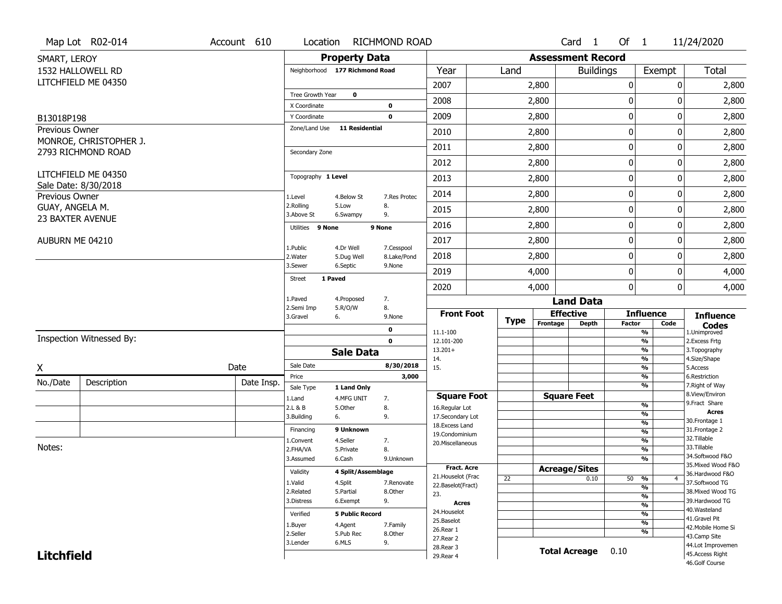|                   | Map Lot R02-014                             | Account 610 | Location                       |                         | <b>RICHMOND ROAD</b>      |                                         |             |                          | Card 1           | Of $1$           |                                           | 11/24/2020                            |
|-------------------|---------------------------------------------|-------------|--------------------------------|-------------------------|---------------------------|-----------------------------------------|-------------|--------------------------|------------------|------------------|-------------------------------------------|---------------------------------------|
| SMART, LEROY      |                                             |             |                                | <b>Property Data</b>    |                           |                                         |             | <b>Assessment Record</b> |                  |                  |                                           |                                       |
|                   | 1532 HALLOWELL RD                           |             | Neighborhood 177 Richmond Road |                         |                           | Year                                    | Land        |                          | <b>Buildings</b> |                  | Exempt                                    | Total                                 |
|                   | LITCHFIELD ME 04350                         |             |                                |                         |                           | 2007                                    |             | 2,800                    |                  | 0                | 0                                         | 2,800                                 |
|                   |                                             |             | Tree Growth Year               | $\mathbf{o}$            |                           | 2008                                    |             | 2,800                    |                  | 0                | 0                                         | 2,800                                 |
| B13018P198        |                                             |             | X Coordinate<br>Y Coordinate   |                         | 0<br>$\mathbf 0$          | 2009                                    |             | 2,800                    |                  | $\boldsymbol{0}$ | 0                                         | 2,800                                 |
| Previous Owner    |                                             |             | Zone/Land Use                  | <b>11 Residential</b>   |                           | 2010                                    |             | 2,800                    |                  | 0                | 0                                         | 2,800                                 |
|                   | MONROE, CHRISTOPHER J.                      |             |                                |                         |                           |                                         |             |                          |                  |                  |                                           |                                       |
|                   | 2793 RICHMOND ROAD                          |             | Secondary Zone                 |                         |                           | 2011                                    |             | 2,800                    |                  | $\boldsymbol{0}$ | 0                                         | 2,800                                 |
|                   |                                             |             |                                |                         |                           | 2012                                    |             | 2,800                    |                  | $\boldsymbol{0}$ | 0                                         | 2,800                                 |
|                   | LITCHFIELD ME 04350<br>Sale Date: 8/30/2018 |             | Topography 1 Level             |                         |                           | 2013                                    |             | 2,800                    |                  | 0                | 0                                         | 2,800                                 |
| Previous Owner    |                                             |             | 1.Level                        | 4.Below St              | 7.Res Protec              | 2014                                    |             | 2,800                    |                  | $\mathbf 0$      | 0                                         | 2,800                                 |
| GUAY, ANGELA M.   |                                             |             | 2.Rolling<br>3.Above St        | 5.Low<br>6.Swampy       | 8.<br>9.                  | 2015                                    |             | 2,800                    |                  | 0                | 0                                         | 2,800                                 |
| 23 BAXTER AVENUE  |                                             |             | Utilities 9 None               |                         | 9 None                    | 2016                                    |             | 2,800                    |                  | $\boldsymbol{0}$ | 0                                         | 2,800                                 |
| AUBURN ME 04210   |                                             |             |                                |                         |                           | 2017                                    |             | 2,800                    |                  | $\boldsymbol{0}$ | 0                                         | 2,800                                 |
|                   |                                             |             | 1.Public<br>2. Water           | 4.Dr Well<br>5.Dug Well | 7.Cesspool<br>8.Lake/Pond | 2018                                    |             | 2,800                    |                  | $\mathbf 0$      | 0                                         | 2,800                                 |
|                   |                                             |             | 3.Sewer                        | 6.Septic                | 9.None                    | 2019                                    |             | 4,000                    |                  | $\boldsymbol{0}$ | 0                                         | 4,000                                 |
|                   |                                             |             | 1 Paved<br><b>Street</b>       |                         |                           | 2020                                    |             | 4,000                    |                  | $\mathbf 0$      | 0                                         | 4,000                                 |
|                   |                                             |             | 1.Paved                        | 4.Proposed              | 7.                        |                                         |             |                          | <b>Land Data</b> |                  |                                           |                                       |
|                   |                                             |             | 2.Semi Imp<br>3.Gravel<br>6.   | 5.R/O/W                 | 8.<br>9.None              | <b>Front Foot</b>                       |             | <b>Effective</b>         |                  |                  | <b>Influence</b>                          | <b>Influence</b>                      |
|                   |                                             |             |                                |                         | 0                         | 11.1-100                                | <b>Type</b> | Frontage                 | <b>Depth</b>     | <b>Factor</b>    | Code<br>%                                 | <b>Codes</b><br>1.Unimproved          |
|                   | Inspection Witnessed By:                    |             |                                |                         | $\mathbf 0$               | 12.101-200                              |             |                          |                  |                  | %                                         | 2.Excess Frtg                         |
|                   |                                             |             |                                | <b>Sale Data</b>        |                           | $13.201+$                               |             |                          |                  |                  | %<br>%                                    | 3. Topography                         |
| χ                 |                                             | Date        | Sale Date                      |                         | 8/30/2018                 | 14.<br>15.                              |             |                          |                  |                  | %                                         | 4.Size/Shape<br>5.Access              |
| No./Date          | Description                                 | Date Insp.  | Price                          |                         | 3,000                     |                                         |             |                          |                  |                  | %                                         | 6.Restriction                         |
|                   |                                             |             | Sale Type                      | 1 Land Only             |                           | <b>Square Foot</b>                      |             | <b>Square Feet</b>       |                  |                  | %                                         | 7. Right of Way<br>8.View/Environ     |
|                   |                                             |             | 1.Land<br>2.L & B              | 4.MFG UNIT<br>5.Other   | 7.<br>8.                  | 16.Regular Lot                          |             |                          |                  |                  | %                                         | 9. Fract Share                        |
|                   |                                             |             | 3.Building<br>6.               |                         | 9.                        | 17.Secondary Lot                        |             |                          |                  |                  | %                                         | <b>Acres</b><br>30. Frontage 1        |
|                   |                                             |             | Financing                      | 9 Unknown               |                           | 18. Excess Land                         |             |                          |                  |                  | $\frac{9}{6}$<br>$\overline{\frac{9}{6}}$ | 31. Frontage 2                        |
|                   |                                             |             | 1.Convent                      | 4.Seller                | 7.                        | 19.Condominium<br>20. Miscellaneous     |             |                          |                  |                  | $\overline{\frac{9}{6}}$                  | 32.Tillable                           |
| Notes:            |                                             |             | 2.FHA/VA                       | 5.Private               | 8.                        |                                         |             |                          |                  |                  | $\overline{\frac{9}{6}}$                  | 33.Tillable                           |
|                   |                                             |             | 3.Assumed                      | 6.Cash                  | 9.Unknown                 |                                         |             |                          |                  |                  | $\frac{9}{6}$                             | 34.Softwood F&O<br>35. Mixed Wood F&O |
|                   |                                             |             | Validity                       | 4 Split/Assemblage      |                           | <b>Fract. Acre</b>                      |             | <b>Acreage/Sites</b>     |                  |                  |                                           | 36.Hardwood F&O                       |
|                   |                                             |             | 1.Valid                        | 4.Split                 | 7.Renovate                | 21. Houselot (Frac<br>22.Baselot(Fract) | 22          |                          | 0.10             |                  | 50 %<br>$\overline{4}$                    | 37.Softwood TG                        |
|                   |                                             |             | 2.Related                      | 5.Partial               | 8.Other                   | 23.                                     |             |                          |                  |                  | $\frac{9}{6}$<br>%                        | 38. Mixed Wood TG                     |
|                   |                                             |             | 3.Distress                     | 6.Exempt                | 9.                        | <b>Acres</b>                            |             |                          |                  |                  | $\frac{9}{6}$                             | 39.Hardwood TG                        |
|                   |                                             |             | Verified                       | <b>5 Public Record</b>  |                           | 24. Houselot                            |             |                          |                  |                  | %                                         | 40. Wasteland                         |
|                   |                                             |             | 1.Buyer                        | 4.Agent                 | 7.Family                  | 25.Baselot                              |             |                          |                  |                  | %                                         | 41.Gravel Pit<br>42. Mobile Home Si   |
|                   |                                             |             | 2.Seller                       | 5.Pub Rec               | 8.Other                   | 26.Rear 1                               |             |                          |                  |                  | %                                         | 43.Camp Site                          |
|                   |                                             | 3.Lender    | 6.MLS                          | 9.                      | 27.Rear 2<br>28. Rear 3   |                                         |             |                          |                  |                  | 44.Lot Improvemen                         |                                       |
| <b>Litchfield</b> |                                             |             |                                |                         | 29. Rear 4                |                                         |             | <b>Total Acreage</b>     | 0.10             |                  | 45.Access Right                           |                                       |
|                   |                                             |             |                                |                         |                           |                                         |             |                          |                  |                  |                                           | 46.Golf Course                        |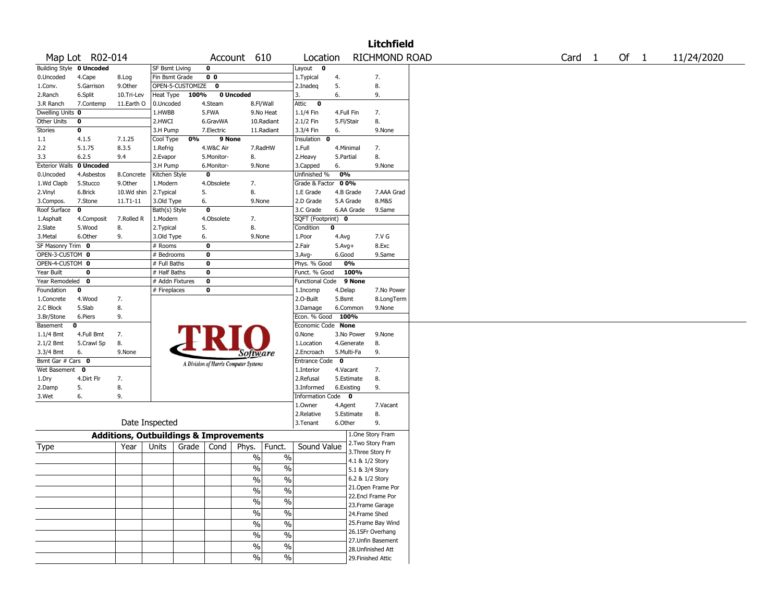|                                      |                 |                                                   |                             |                    |                   |                                       |               |                                        |                        |                 | <b>Litchfield</b>  |                   |        |            |
|--------------------------------------|-----------------|---------------------------------------------------|-----------------------------|--------------------|-------------------|---------------------------------------|---------------|----------------------------------------|------------------------|-----------------|--------------------|-------------------|--------|------------|
|                                      | Map Lot R02-014 |                                                   |                             |                    |                   | Account 610                           |               | Location                               |                        |                 | RICHMOND ROAD      | Card <sub>1</sub> | Of $1$ | 11/24/2020 |
| <b>Building Style 0 Uncoded</b>      |                 |                                                   | <b>SF Bsmt Living</b>       |                    | 0                 |                                       |               | $\sqrt{\text{Layout} \qquad \text{O}}$ |                        |                 |                    |                   |        |            |
| 0.Uncoded                            | 4.Cape          | 8.Log                                             | Fin Bsmt Grade              |                    | 0 <sub>0</sub>    |                                       |               | 1.Typical                              | 4.                     |                 | 7.                 |                   |        |            |
| 1.Conv.                              | 5.Garrison      | 9.Other                                           |                             | OPEN-5-CUSTOMIZE 0 |                   |                                       |               | 2.Inadeq                               | 5.                     |                 | 8.                 |                   |        |            |
| 2.Ranch                              | 6.Split         | 10.Tri-Lev                                        | Heat Type                   | 100%               |                   | 0 Uncoded                             |               | 3.                                     | 6.                     |                 | 9.                 |                   |        |            |
| 3.R Ranch                            | 7.Contemp       | 11.Earth O                                        | 0.Uncoded                   |                    | 4.Steam           | 8.Fl/Wall                             |               | Attic<br>$\mathbf 0$                   |                        |                 |                    |                   |        |            |
| Dwelling Units 0                     |                 |                                                   | 1.HWBB                      |                    | 5.FWA             |                                       | 9.No Heat     | 1.1/4 Fin                              | 4.Full Fin             |                 | 7.                 |                   |        |            |
| Other Units                          | 0               |                                                   | 2.HWCI                      |                    | 6.GravWA          |                                       | 10.Radiant    | 2.1/2 Fin                              | 5.Fl/Stair             |                 | 8.                 |                   |        |            |
| Stories                              | 0               |                                                   | 3.H Pump                    |                    | 7.Electric        |                                       | 11.Radiant    | 3.3/4 Fin                              | 6.                     |                 | 9.None             |                   |        |            |
| 1.1                                  | 4.1.5           | 7.1.25                                            | Cool Type                   | 0%                 | 9 None            |                                       |               | Insulation<br>0                        |                        |                 |                    |                   |        |            |
| 2.2                                  | 5.1.75          | 8.3.5                                             | 1.Refrig                    |                    | 4.W&C Air         | 7.RadHW                               |               | 1.Full                                 | 4.Minimal              |                 | 7.                 |                   |        |            |
| 3.3                                  | 6.2.5           | 9.4                                               | 2.Evapor                    |                    | 5.Monitor-        | 8.                                    |               | 2. Heavy                               | 5.Partial              |                 | 8.                 |                   |        |            |
| <b>Exterior Walls</b>                | 0 Uncoded       |                                                   | 3.H Pump                    |                    | 6.Monitor-        | 9.None                                |               | 3.Capped                               | 6.                     |                 | 9.None             |                   |        |            |
| 0.Uncoded                            | 4.Asbestos      | 8.Concrete                                        | Kitchen Style               |                    | 0                 |                                       |               | Unfinished %                           | 0%                     |                 |                    |                   |        |            |
| 1.Wd Clapb                           | 5.Stucco        | 9.0ther                                           | 1.Modern                    |                    | 4.Obsolete        | 7.                                    |               | Grade & Factor                         | 0 0%                   |                 |                    |                   |        |            |
| 2.Vinyl                              | 6.Brick         | 10.Wd shin                                        | 2.Typical                   |                    | 5.                | 8.                                    |               | 1.E Grade                              | 4.B Grade              |                 | 7.AAA Grad         |                   |        |            |
| 3.Compos.<br>Roof Surface            | 7.Stone<br>0    | 11.T1-11                                          | 3.Old Type<br>Bath(s) Style |                    | 6.<br>$\mathbf 0$ | 9.None                                |               | 2.D Grade<br>3.C Grade                 | 5.A Grade              | 6.AA Grade      | 8.M&S<br>9.Same    |                   |        |            |
|                                      |                 |                                                   |                             |                    |                   |                                       |               |                                        |                        |                 |                    |                   |        |            |
| 1.Asphalt                            | 4.Composit      | 7.Rolled R                                        | 1.Modern                    |                    | 4.Obsolete        | 7.<br>8.                              |               | SQFT (Footprint) 0                     |                        |                 |                    |                   |        |            |
| 2.Slate                              | 5.Wood          | 8.                                                | 2. Typical                  |                    | 5.                |                                       |               | Condition                              | 0                      |                 |                    |                   |        |            |
| 3.Metal                              | 6.Other         | 9.                                                | 3.Old Type<br># Rooms       |                    | 6.<br>0           | 9.None                                |               | 1.Poor<br>2.Fair                       | 4.Avg                  |                 | 7.V G<br>8.Exc     |                   |        |            |
| SF Masonry Trim 0<br>OPEN-3-CUSTOM 0 |                 |                                                   | # Bedrooms                  |                    | 0                 |                                       |               | $3.$ Avg-                              | $5.$ Avg $+$<br>6.Good |                 | 9.Same             |                   |        |            |
| OPEN-4-CUSTOM 0                      |                 |                                                   | # Full Baths                |                    | 0                 |                                       |               | Phys. % Good                           |                        | 0%              |                    |                   |        |            |
| Year Built                           | 0               |                                                   | # Half Baths                |                    | 0                 |                                       |               | Funct. % Good                          |                        | 100%            |                    |                   |        |            |
| Year Remodeled 0                     |                 |                                                   | # Addn Fixtures             |                    | $\mathbf 0$       |                                       |               | <b>Functional Code</b>                 |                        | 9 None          |                    |                   |        |            |
| Foundation                           | 0               |                                                   | # Fireplaces                |                    | 0                 |                                       |               | 1.Incomp                               | 4.Delap                |                 | 7.No Power         |                   |        |            |
| 1.Concrete                           | 4.Wood          | 7.                                                |                             |                    |                   |                                       |               | 2.0-Built                              | 5.Bsmt                 |                 | 8.LongTerm         |                   |        |            |
| 2.C Block                            | 5.Slab          | 8.                                                |                             |                    |                   |                                       |               | 3.Damage                               |                        | 6.Common        | 9.None             |                   |        |            |
| 3.Br/Stone                           | 6.Piers         | 9.                                                |                             |                    |                   |                                       |               | Econ. % Good                           | 100%                   |                 |                    |                   |        |            |
| Basement                             | 0               |                                                   |                             |                    |                   |                                       |               | Economic Code None                     |                        |                 |                    |                   |        |            |
| 1.1/4 Bmt                            | 4.Full Bmt      | 7.                                                |                             |                    |                   |                                       |               | 0.None                                 |                        | 3.No Power      | 9.None             |                   |        |            |
| 2.1/2 Bmt                            | 5.Crawl Sp      | 8.                                                |                             |                    |                   |                                       |               | 1.Location                             |                        | 4.Generate      | 8.                 |                   |        |            |
| 3.3/4 Bmt                            | 6.              | 9.None                                            |                             |                    |                   | Software                              |               | 2.Encroach                             | 5.Multi-Fa             |                 | 9.                 |                   |        |            |
| Bsmt Gar # Cars 0                    |                 |                                                   |                             |                    |                   |                                       |               | Entrance Code <sup>O</sup>             |                        |                 |                    |                   |        |            |
| Wet Basement 0                       |                 |                                                   |                             |                    |                   | A Division of Harris Computer Systems |               | 1.Interior                             | 4.Vacant               |                 | 7.                 |                   |        |            |
| 1.Dry                                | 4.Dirt Flr      | 7.                                                |                             |                    |                   |                                       |               | 2.Refusal                              |                        | 5.Estimate      | 8.                 |                   |        |            |
| 2.Damp                               | 5.              | 8.                                                |                             |                    |                   |                                       |               | 3.Informed                             | 6.Existing             |                 | 9.                 |                   |        |            |
| 3.Wet                                | 6.              | 9.                                                |                             |                    |                   |                                       |               | Information Code 0                     |                        |                 |                    |                   |        |            |
|                                      |                 |                                                   |                             |                    |                   |                                       |               | 1.Owner                                | 4.Agent                |                 | 7.Vacant           |                   |        |            |
|                                      |                 |                                                   |                             |                    |                   |                                       |               | 2.Relative                             |                        | 5.Estimate      | 8.                 |                   |        |            |
|                                      |                 |                                                   | Date Inspected              |                    |                   |                                       |               | 3. Tenant                              | 6.Other                |                 | 9.                 |                   |        |            |
|                                      |                 |                                                   |                             |                    |                   |                                       |               |                                        |                        |                 | 1.One Story Fram   |                   |        |            |
|                                      |                 | <b>Additions, Outbuildings &amp; Improvements</b> |                             |                    |                   |                                       |               |                                        |                        |                 | 2. Two Story Fram  |                   |        |            |
| Type                                 |                 | Year                                              | Units                       | Grade              | Cond              | Phys.                                 | Funct.        | Sound Value                            |                        |                 | 3. Three Story Fr  |                   |        |            |
|                                      |                 |                                                   |                             |                    |                   | %                                     | $\%$          |                                        |                        | 4.1 & 1/2 Story |                    |                   |        |            |
|                                      |                 |                                                   |                             |                    |                   | $\frac{1}{2}$                         | $\frac{0}{0}$ |                                        |                        | 5.1 & 3/4 Story |                    |                   |        |            |
|                                      |                 |                                                   |                             |                    |                   |                                       |               |                                        |                        | 6.2 & 1/2 Story |                    |                   |        |            |
|                                      |                 |                                                   |                             |                    |                   | %                                     | %             |                                        |                        |                 | 21.Open Frame Por  |                   |        |            |
|                                      |                 |                                                   |                             |                    |                   | $\frac{1}{2}$                         | $\frac{0}{6}$ |                                        |                        |                 | 22.Encl Frame Por  |                   |        |            |
|                                      |                 |                                                   |                             |                    |                   | $\frac{1}{2}$                         | $\frac{0}{6}$ |                                        |                        |                 | 23. Frame Garage   |                   |        |            |
|                                      |                 |                                                   |                             |                    |                   | $\frac{0}{6}$                         | $\frac{0}{6}$ |                                        |                        | 24.Frame Shed   |                    |                   |        |            |
|                                      |                 |                                                   |                             |                    |                   | $\frac{1}{2}$                         | $\frac{0}{6}$ |                                        |                        |                 | 25. Frame Bay Wind |                   |        |            |
|                                      |                 |                                                   |                             |                    |                   |                                       |               |                                        |                        |                 | 26.1SFr Overhang   |                   |        |            |
|                                      |                 |                                                   |                             |                    |                   | $\frac{0}{0}$                         | $\frac{0}{6}$ |                                        |                        |                 | 27.Unfin Basement  |                   |        |            |
|                                      |                 |                                                   |                             |                    |                   | $\%$                                  | $\frac{1}{2}$ |                                        |                        |                 | 28.Unfinished Att  |                   |        |            |
|                                      |                 |                                                   |                             |                    |                   | $\frac{1}{2}$                         | $\frac{0}{6}$ |                                        |                        |                 | 29. Finished Attic |                   |        |            |
|                                      |                 |                                                   |                             |                    |                   |                                       |               |                                        |                        |                 |                    |                   |        |            |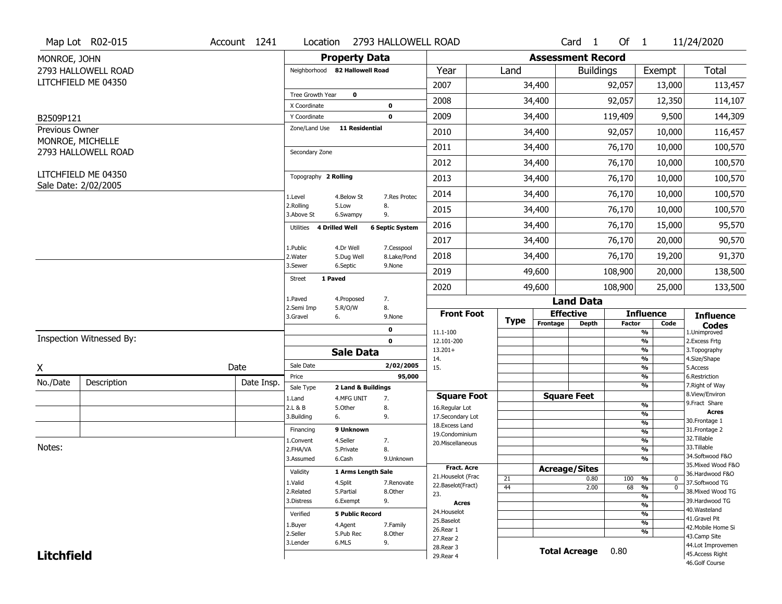|                             | Map Lot R02-015                             | Account 1241 | Location                       | 2793 HALLOWELL ROAD               |                                         |          |                          | Card <sub>1</sub>    | Of $1$        |                                    | 11/24/2020                            |
|-----------------------------|---------------------------------------------|--------------|--------------------------------|-----------------------------------|-----------------------------------------|----------|--------------------------|----------------------|---------------|------------------------------------|---------------------------------------|
| MONROE, JOHN                |                                             |              |                                | <b>Property Data</b>              |                                         |          | <b>Assessment Record</b> |                      |               |                                    |                                       |
|                             | 2793 HALLOWELL ROAD                         |              | Neighborhood 82 Hallowell Road |                                   | Year                                    | Land     |                          | <b>Buildings</b>     |               | Exempt                             | Total                                 |
|                             | LITCHFIELD ME 04350                         |              |                                |                                   | 2007                                    |          | 34,400                   |                      | 92,057        | 13,000                             | 113,457                               |
|                             |                                             |              | Tree Growth Year               | $\mathbf{o}$                      | 2008                                    |          | 34,400                   |                      | 92,057        | 12,350                             | 114,107                               |
|                             |                                             |              | X Coordinate<br>Y Coordinate   | 0<br>$\mathbf 0$                  | 2009                                    |          | 34,400                   |                      | 119,409       | 9,500                              | 144,309                               |
| B2509P121<br>Previous Owner |                                             |              | Zone/Land Use                  | <b>11 Residential</b>             |                                         |          |                          |                      |               |                                    |                                       |
|                             | MONROE, MICHELLE                            |              |                                |                                   | 2010                                    |          | 34,400                   |                      | 92,057        | 10,000                             | 116,457                               |
|                             | 2793 HALLOWELL ROAD                         |              | Secondary Zone                 |                                   | 2011                                    |          | 34,400                   |                      | 76,170        | 10,000                             | 100,570                               |
|                             |                                             |              |                                |                                   | 2012                                    |          | 34,400                   |                      | 76,170        | 10,000                             | 100,570                               |
|                             | LITCHFIELD ME 04350<br>Sale Date: 2/02/2005 |              | Topography 2 Rolling           |                                   | 2013                                    |          | 34,400                   |                      | 76,170        | 10,000                             | 100,570                               |
|                             |                                             |              | 1.Level                        | 4.Below St<br>7.Res Protec        | 2014                                    |          | 34,400                   |                      | 76,170        | 10,000                             | 100,570                               |
|                             |                                             |              | 2.Rolling<br>3.Above St        | 5.Low<br>8.<br>9.<br>6.Swampy     | 2015                                    |          | 34,400                   |                      | 76,170        | 10,000                             | 100,570                               |
|                             |                                             |              | Utilities 4 Drilled Well       | <b>6 Septic System</b>            | 2016                                    |          | 34,400                   |                      | 76,170        | 15,000                             | 95,570                                |
|                             |                                             |              | 1.Public                       | 4.Dr Well<br>7.Cesspool           | 2017                                    |          | 34,400                   |                      | 76,170        | 20,000                             | 90,570                                |
|                             |                                             |              | 2. Water                       | 8.Lake/Pond<br>5.Dug Well         | 2018                                    |          | 34,400                   |                      | 76,170        | 19,200                             | 91,370                                |
|                             |                                             |              | 3.Sewer                        | 6.Septic<br>9.None                | 2019                                    |          | 49,600                   |                      | 108,900       | 20,000                             | 138,500                               |
|                             |                                             |              | 1 Paved<br>Street              |                                   | 2020                                    |          | 49,600                   |                      | 108,900       | 25,000                             | 133,500                               |
|                             |                                             |              | 1.Paved                        | 7.<br>4.Proposed                  |                                         |          |                          | <b>Land Data</b>     |               |                                    |                                       |
|                             |                                             |              | 2.Semi Imp<br>3.Gravel<br>6.   | 5.R/O/W<br>8.<br>9.None           | <b>Front Foot</b>                       | Type     | <b>Effective</b>         |                      |               | <b>Influence</b>                   | <b>Influence</b>                      |
|                             |                                             |              |                                | $\mathbf 0$                       | 11.1-100                                |          | Frontage                 | <b>Depth</b>         | <b>Factor</b> | Code<br>$\frac{9}{6}$              | <b>Codes</b><br>1.Unimproved          |
|                             | Inspection Witnessed By:                    |              |                                | $\mathbf 0$                       | 12.101-200                              |          |                          |                      |               | $\frac{9}{6}$                      | 2.Excess Frtg                         |
|                             |                                             |              |                                | <b>Sale Data</b>                  | $13.201+$<br>14.                        |          |                          |                      |               | $\frac{9}{6}$<br>$\frac{9}{6}$     | 3. Topography<br>4.Size/Shape         |
| X                           |                                             | Date         | Sale Date                      | 2/02/2005                         | 15.                                     |          |                          |                      |               | $\frac{9}{6}$                      | 5.Access                              |
| No./Date                    | Description                                 | Date Insp.   | Price                          | 95,000                            |                                         |          |                          |                      |               | %                                  | 6.Restriction                         |
|                             |                                             |              | Sale Type                      | 2 Land & Buildings                | <b>Square Foot</b>                      |          |                          | <b>Square Feet</b>   |               | $\frac{9}{6}$                      | 7. Right of Way<br>8.View/Environ     |
|                             |                                             |              | 1.Land<br>2.L & B              | 7.<br>4.MFG UNIT<br>5.Other<br>8. | 16.Regular Lot                          |          |                          |                      |               | $\frac{9}{6}$                      | 9. Fract Share                        |
|                             |                                             |              | 3.Building<br>6.               | 9.                                | 17.Secondary Lot                        |          |                          |                      |               | %                                  | <b>Acres</b><br>30. Frontage 1        |
|                             |                                             |              | Financing                      | 9 Unknown                         | 18.Excess Land                          |          |                          |                      |               | %<br>%                             | 31. Frontage 2                        |
|                             |                                             |              | 1.Convent                      | 4.Seller<br>7.                    | 19.Condominium<br>20.Miscellaneous      |          |                          |                      |               | $\frac{9}{6}$                      | 32.Tillable                           |
| Notes:                      |                                             |              | 2.FHA/VA                       | 8.<br>5.Private                   |                                         |          |                          |                      |               | %                                  | 33.Tillable                           |
|                             |                                             |              | 3.Assumed                      | 6.Cash<br>9.Unknown               |                                         |          |                          |                      |               | %                                  | 34.Softwood F&O<br>35. Mixed Wood F&O |
|                             |                                             |              | Validity                       | 1 Arms Length Sale                | <b>Fract. Acre</b>                      |          | <b>Acreage/Sites</b>     |                      |               |                                    | 36.Hardwood F&O                       |
|                             |                                             |              | 1.Valid                        | 4.Split<br>7.Renovate             | 21. Houselot (Frac<br>22.Baselot(Fract) | 21<br>44 |                          | 0.80<br>2.00         | 100 %<br>68   | 0<br>$\frac{9}{6}$<br>$\mathbf{0}$ | 37.Softwood TG                        |
|                             |                                             |              | 2.Related                      | 5.Partial<br>8.Other              | 23.                                     |          |                          |                      |               | %                                  | 38. Mixed Wood TG                     |
|                             |                                             |              | 3.Distress                     | 9.<br>6.Exempt                    | <b>Acres</b>                            |          |                          |                      |               | $\frac{9}{6}$                      | 39.Hardwood TG                        |
|                             |                                             |              | Verified                       | <b>5 Public Record</b>            | 24. Houselot                            |          |                          |                      |               | $\frac{9}{6}$                      | 40. Wasteland                         |
|                             |                                             |              | 1.Buyer                        | 4.Agent<br>7.Family               | 25.Baselot                              |          |                          |                      |               | $\frac{9}{6}$                      | 41.Gravel Pit<br>42. Mobile Home Si   |
|                             |                                             |              | 2.Seller                       | 5.Pub Rec<br>8.Other              | 26.Rear 1                               |          |                          |                      |               | $\frac{9}{6}$                      | 43.Camp Site                          |
|                             |                                             |              | 3.Lender                       | 6.MLS<br>9.                       | 27. Rear 2                              |          |                          |                      |               |                                    | 44.Lot Improvemen                     |
|                             |                                             |              |                                |                                   |                                         |          |                          |                      |               |                                    |                                       |
| <b>Litchfield</b>           |                                             |              |                                |                                   | 28. Rear 3<br>29. Rear 4                |          |                          | <b>Total Acreage</b> | 0.80          |                                    | 45.Access Right                       |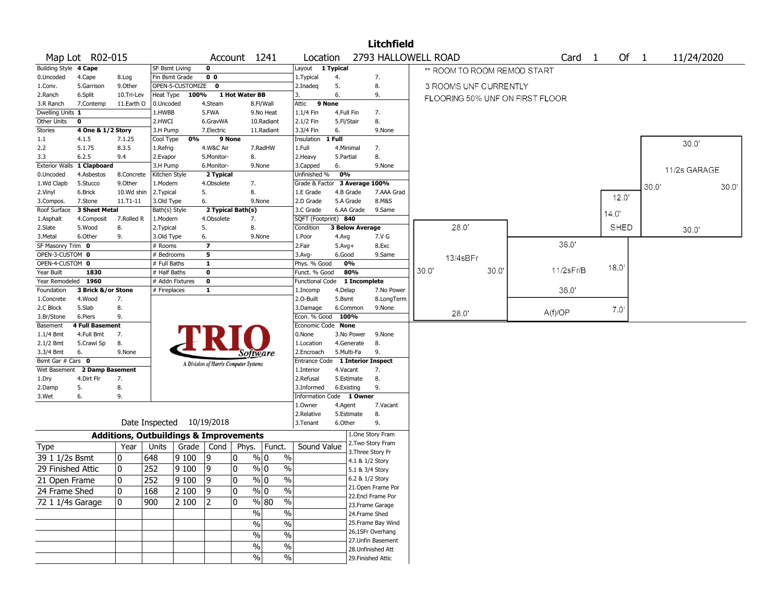|                       |                    |                                                   |                       |                  |                                       |                   |                        |                                  |            |                        | <b>Litchfield</b>                       |       |                       |      |                                 |                   |               |       |              |       |
|-----------------------|--------------------|---------------------------------------------------|-----------------------|------------------|---------------------------------------|-------------------|------------------------|----------------------------------|------------|------------------------|-----------------------------------------|-------|-----------------------|------|---------------------------------|-------------------|---------------|-------|--------------|-------|
|                       | Map Lot R02-015    |                                                   |                       |                  |                                       | Account 1241      |                        | Location                         |            |                        | 2793 HALLOWELL ROAD                     |       |                       |      |                                 | Card <sub>1</sub> | Of $1$        |       | 11/24/2020   |       |
| <b>Building Style</b> | 4 Cape             |                                                   | <b>SF Bsmt Living</b> |                  | $\mathbf 0$                           |                   |                        | Layout                           | 1 Typical  |                        |                                         |       |                       |      | ** ROOM TO ROOM REMOD START     |                   |               |       |              |       |
| 0.Uncoded             | 4.Cape             | 8.Log                                             | Fin Bsmt Grade        |                  | 0 <sub>0</sub>                        |                   |                        | 1. Typical                       | 4.         |                        | 7.                                      |       |                       |      |                                 |                   |               |       |              |       |
| 1.Conv.               | 5.Garrison         | 9.Other                                           |                       | OPEN-5-CUSTOMIZE | $\mathbf 0$                           |                   |                        | 2.Inadeg                         | 5.         |                        | 8.                                      |       | 3 ROOMS UNF CURRENTLY |      |                                 |                   |               |       |              |       |
| 2.Ranch               | 6.Split            | 10.Tri-Lev                                        | Heat Type             | 100%             |                                       | 1 Hot Water BB    |                        | 3.                               | 6.         |                        | 9.                                      |       |                       |      | FLOORING 50% UNF ON FIRST FLOOR |                   |               |       |              |       |
| 3.R Ranch             | 7.Contemp          | 11.Earth O                                        | 0.Uncoded             |                  | 4.Steam                               |                   | 8.Fl/Wall              | Attic                            | 9 None     |                        |                                         |       |                       |      |                                 |                   |               |       |              |       |
| Dwelling Units 1      |                    |                                                   | 1.HWBB                |                  | 5.FWA                                 |                   | 9.No Heat              | $1.1/4$ Fin                      | 4.Full Fin |                        | 7.                                      |       |                       |      |                                 |                   |               |       |              |       |
| Other Units           | 0                  |                                                   | 2.HWCI                |                  | 6.GravWA                              |                   | 10.Radiant             | 2.1/2 Fin                        | 5.Fl/Stair |                        | 8.                                      |       |                       |      |                                 |                   |               |       |              |       |
| <b>Stories</b>        | 4 One & 1/2 Story  |                                                   | 3.H Pump              |                  | 7.Electric                            |                   | 11.Radiant             | 3.3/4 Fin                        | 6.         |                        | 9.None                                  |       |                       |      |                                 |                   |               |       |              |       |
| 1.1                   | 4.1.5              | 7.1.25                                            | Cool Type             | 0%               | 9 None                                |                   |                        | Insulation                       | 1 Full     |                        |                                         |       |                       |      |                                 |                   |               |       | 30.0'        |       |
| 2.2                   | 5.1.75             | 8.3.5                                             | 1.Refrig              |                  | 4.W&C Air                             |                   | 7.RadHW                | 1.Full                           | 4.Minimal  |                        | 7.                                      |       |                       |      |                                 |                   |               |       |              |       |
| 3.3                   | 6.2.5              | 9.4                                               | 2.Evapor              |                  | 5.Monitor-                            | 8.                |                        | 2. Heavy                         | 5.Partial  |                        | 8.                                      |       |                       |      |                                 |                   |               |       |              |       |
| <b>Exterior Walls</b> | 1 Clapboard        |                                                   | 3.H Pump              |                  | 6.Monitor-                            |                   | 9.None                 | 3.Capped                         | 6.         |                        | 9.None                                  |       |                       |      |                                 |                   |               |       | 11/2s GARAGE |       |
| 0.Uncoded             | 4.Asbestos         | 8.Concrete                                        | Kitchen Style         |                  | 2 Typical                             |                   |                        | Unfinished %                     | 0%         |                        |                                         |       |                       |      |                                 |                   |               |       |              |       |
| 1.Wd Clapb            | 5.Stucco           | 9.Other                                           | 1.Modern              |                  | 4.Obsolete                            | 7.                |                        | Grade & Factor 3 Average 100%    |            |                        |                                         |       |                       |      |                                 |                   |               | 30.0' |              | 30.0' |
| 2.Vinyl               | 6.Brick            | 10.Wd shin                                        | 2.Typical             |                  | 5.                                    | 8.                |                        | 1.E Grade                        |            | 4.B Grade              | 7.AAA Grad                              |       |                       |      |                                 |                   | 12.0'         |       |              |       |
| 3.Compos.             | 7.Stone            | $11.71 - 11$                                      | 3.Old Type            |                  | 6.                                    |                   | 9.None                 | 2.D Grade                        |            | 5.A Grade              | 8.M&S                                   |       |                       |      |                                 |                   |               |       |              |       |
| Roof Surface          | 3 Sheet Metal      |                                                   | Bath(s) Style         |                  |                                       | 2 Typical Bath(s) |                        | 3.C Grade                        |            | 6.AA Grade             | 9.Same                                  |       |                       |      |                                 |                   | 14.0'         |       |              |       |
| 1.Asphalt             | 4.Composit         | 7.Rolled R                                        | 1.Modern              |                  | 4.Obsolete                            | 7.                |                        | SQFT (Footprint) 840             |            |                        |                                         |       |                       |      |                                 |                   |               |       |              |       |
| 2.Slate               | 5.Wood             | 8.                                                | 2. Typical            |                  | 5.                                    | 8.                |                        | Condition                        |            | <b>3 Below Average</b> |                                         |       | 28.0'                 |      |                                 |                   | <b>SHED</b>   |       | 30.0'        |       |
| 3.Metal               | 6.Other            | 9.                                                | 3.Old Type            |                  | 6.                                    |                   | 9.None                 | 1.Poor                           | 4.Avg      |                        | 7.V G                                   |       |                       |      |                                 |                   |               |       |              |       |
| SF Masonry Trim 0     |                    |                                                   | # Rooms               |                  | $\overline{\mathbf{z}}$               |                   |                        | 2.Fair                           | $5.Avg+$   |                        | 8.Exc                                   |       |                       |      |                                 | 36.0'             |               |       |              |       |
| OPEN-3-CUSTOM 0       |                    |                                                   | # Bedrooms            |                  | 5                                     |                   |                        | $3.$ Avg-                        | 6.Good     |                        | 9.Same                                  |       | 13/4sBFr              |      |                                 |                   |               |       |              |       |
| OPEN-4-CUSTOM 0       |                    |                                                   | # Full Baths          |                  | $\mathbf{1}$                          |                   |                        | Phys. % Good                     |            | 0%                     |                                         |       |                       |      |                                 |                   | 18.0          |       |              |       |
| Year Built            | 1830               |                                                   | # Half Baths          |                  | $\mathbf 0$                           |                   |                        | Funct. % Good                    |            | 80%                    |                                         | 30.0' |                       | 30.0 |                                 | 11/2sFr/B         |               |       |              |       |
| Year Remodeled 1960   |                    |                                                   | # Addn Fixtures       |                  | $\mathbf 0$                           |                   |                        | <b>Functional Code</b>           |            | 1 Incomplete           |                                         |       |                       |      |                                 |                   |               |       |              |       |
| Foundation            | 3 Brick &/or Stone |                                                   | # Fireplaces          |                  | $\mathbf{1}$                          |                   |                        | 1.Incomp                         | 4.Delap    |                        | 7.No Power                              |       |                       |      |                                 | 36.0'             |               |       |              |       |
| 1.Concrete            | 4.Wood             | 7.                                                |                       |                  |                                       |                   |                        | 2.0-Built                        | 5.Bsmt     |                        | 8.LongTerm                              |       |                       |      |                                 |                   |               |       |              |       |
| 2.C Block             | 5.Slab             | 8.                                                |                       |                  |                                       |                   |                        | 3.Damage                         |            | 6.Common               | 9.None                                  |       |                       |      |                                 |                   | $7.0^{\circ}$ |       |              |       |
| 3.Br/Stone            | 6.Piers            | 9.                                                |                       |                  |                                       |                   |                        | Econ. % Good                     | 100%       |                        |                                         |       | 28.0'                 |      |                                 | A(f)/OP           |               |       |              |       |
| Basement              | 4 Full Basement    |                                                   |                       |                  |                                       |                   |                        | Economic Code None               |            |                        |                                         |       |                       |      |                                 |                   |               |       |              |       |
| $1.1/4$ Bmt           | 4.Full Bmt         | 7.                                                |                       |                  |                                       |                   |                        | 0.None                           |            | 3.No Power             | 9.None                                  |       |                       |      |                                 |                   |               |       |              |       |
| $2.1/2$ Bmt           | 5.Crawl Sp         | 8.                                                |                       |                  |                                       |                   |                        | 1.Location                       |            | 4.Generate             | 8.                                      |       |                       |      |                                 |                   |               |       |              |       |
| 3.3/4 Bmt             | 6.                 | 9.None                                            |                       |                  |                                       | Software          |                        | 2.Encroach                       |            | 5.Multi-Fa             | 9.                                      |       |                       |      |                                 |                   |               |       |              |       |
| Bsmt Gar # Cars 0     |                    |                                                   |                       |                  | A Division of Harris Computer Systems |                   |                        | Entrance Code 1 Interior Inspect |            |                        |                                         |       |                       |      |                                 |                   |               |       |              |       |
| Wet Basement          | 2 Damp Basement    |                                                   |                       |                  |                                       |                   |                        | 1.Interior                       | 4.Vacant   |                        | 7.                                      |       |                       |      |                                 |                   |               |       |              |       |
| 1.Dry                 | 4.Dirt Flr         | 7.                                                |                       |                  |                                       |                   |                        | 2.Refusal                        |            | 5.Estimate             | 8.                                      |       |                       |      |                                 |                   |               |       |              |       |
| 2.Damp                | 5.                 | 8.                                                |                       |                  |                                       |                   |                        | 3.Informed                       | 6.Existing |                        | 9.                                      |       |                       |      |                                 |                   |               |       |              |       |
| 3.Wet                 | 6.                 | 9.                                                |                       |                  |                                       |                   |                        | Information Code 1 Owner         |            |                        |                                         |       |                       |      |                                 |                   |               |       |              |       |
|                       |                    |                                                   |                       |                  |                                       |                   |                        | 1.0wner                          | 4.Agent    |                        | 7.Vacant                                |       |                       |      |                                 |                   |               |       |              |       |
|                       |                    |                                                   |                       |                  |                                       |                   |                        | 2.Relative                       |            | 5.Estimate             | 8.                                      |       |                       |      |                                 |                   |               |       |              |       |
|                       |                    |                                                   | Date Inspected        |                  | 10/19/2018                            |                   |                        | 3. Tenant                        | 6.Other    |                        | 9.                                      |       |                       |      |                                 |                   |               |       |              |       |
|                       |                    | <b>Additions, Outbuildings &amp; Improvements</b> |                       |                  |                                       |                   |                        |                                  |            |                        | 1.One Story Fram                        |       |                       |      |                                 |                   |               |       |              |       |
| Type                  |                    | Year                                              | Units                 | Grade            | Cond                                  | Phys.             | Funct.                 | Sound Value                      |            |                        | 2. Two Story Fram                       |       |                       |      |                                 |                   |               |       |              |       |
| 39 1 1/2s Bsmt        |                    | 0                                                 | 648                   | 9100             | 19                                    | 10                | % 0<br>$\%$            |                                  |            | 3. Three Story Fr      |                                         |       |                       |      |                                 |                   |               |       |              |       |
| 29 Finished Attic     |                    | $\mathbf 0$                                       | 252                   | 9100             | 9                                     | 0                 | % 0<br>$\%$            |                                  |            | 4.1 & 1/2 Story        |                                         |       |                       |      |                                 |                   |               |       |              |       |
|                       |                    |                                                   |                       |                  |                                       |                   |                        |                                  |            | 5.1 & 3/4 Story        |                                         |       |                       |      |                                 |                   |               |       |              |       |
| 21 Open Frame         |                    | $\Omega$                                          | 252                   | 9100             | ١q                                    | 0                 | $\%$<br>% 0            |                                  |            | 6.2 & 1/2 Story        |                                         |       |                       |      |                                 |                   |               |       |              |       |
| 24 Frame Shed         |                    | 10                                                | 168                   | 2 100            | $ 9\rangle$                           | 0                 | % 0<br>%               |                                  |            |                        | 21. Open Frame Por<br>22.Encl Frame Por |       |                       |      |                                 |                   |               |       |              |       |
| 72 1 1/4s Garage      |                    | 0                                                 | 900                   | 2 100            | 12                                    | 0                 | $\frac{8}{10}$<br>$\%$ |                                  |            |                        |                                         |       |                       |      |                                 |                   |               |       |              |       |
|                       |                    |                                                   |                       |                  |                                       | $\sqrt{2}$        | $\%$                   |                                  |            |                        | 23. Frame Garage                        |       |                       |      |                                 |                   |               |       |              |       |
|                       |                    |                                                   |                       |                  |                                       |                   |                        |                                  |            | 24.Frame Shed          |                                         |       |                       |      |                                 |                   |               |       |              |       |
|                       |                    |                                                   |                       |                  |                                       | $\sqrt{6}$        | $\frac{1}{2}$          |                                  |            |                        | 25. Frame Bay Wind                      |       |                       |      |                                 |                   |               |       |              |       |
|                       |                    |                                                   |                       |                  |                                       | $\sqrt{6}$        | $\%$                   |                                  |            |                        | 26.1SFr Overhang                        |       |                       |      |                                 |                   |               |       |              |       |
|                       |                    |                                                   |                       |                  |                                       | $\%$              | $\%$                   |                                  |            |                        | 27. Unfin Basement                      |       |                       |      |                                 |                   |               |       |              |       |
|                       |                    |                                                   |                       |                  |                                       |                   |                        |                                  |            |                        | 28.Unfinished Att                       |       |                       |      |                                 |                   |               |       |              |       |
|                       |                    |                                                   |                       |                  |                                       | %                 | %                      |                                  |            | 29. Finished Attic     |                                         |       |                       |      |                                 |                   |               |       |              |       |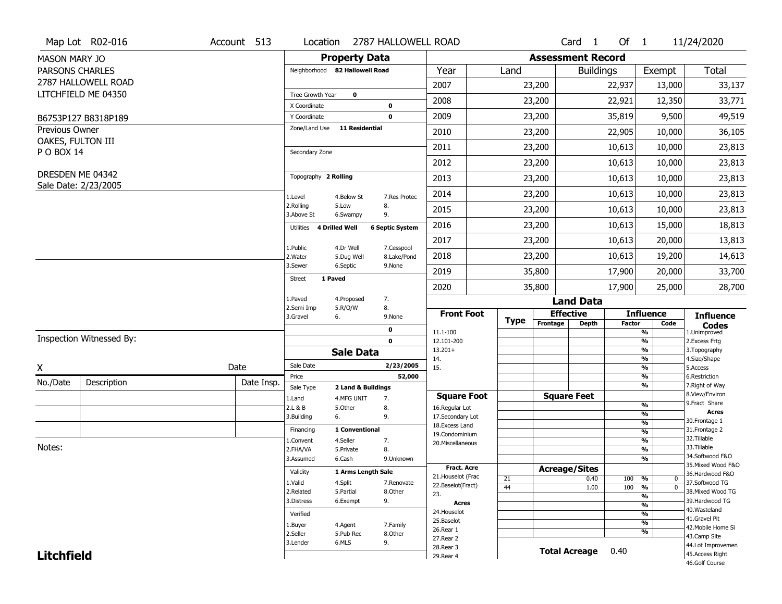|                        | Map Lot R02-016          | Account 513 | Location                       | 2787 HALLOWELL ROAD                       |                                    |             |                              | Card <sub>1</sub>    | Of $1$        |                                    | 11/24/2020                           |
|------------------------|--------------------------|-------------|--------------------------------|-------------------------------------------|------------------------------------|-------------|------------------------------|----------------------|---------------|------------------------------------|--------------------------------------|
| <b>MASON MARY JO</b>   |                          |             |                                | <b>Property Data</b>                      |                                    |             | <b>Assessment Record</b>     |                      |               |                                    |                                      |
| <b>PARSONS CHARLES</b> |                          |             | Neighborhood 82 Hallowell Road |                                           | Year                               | Land        |                              | <b>Buildings</b>     |               | Exempt                             | Total                                |
|                        | 2787 HALLOWELL ROAD      |             |                                |                                           | 2007                               |             | 23,200                       |                      | 22,937        | 13,000                             | 33,137                               |
|                        | LITCHFIELD ME 04350      |             | Tree Growth Year               | $\mathbf{o}$                              | 2008                               |             | 23,200                       |                      | 22,921        | 12,350                             | 33,771                               |
|                        | B6753P127 B8318P189      |             | X Coordinate<br>Y Coordinate   | 0<br>$\mathbf 0$                          | 2009                               |             | 23,200                       |                      | 35,819        | 9,500                              | 49,519                               |
| Previous Owner         |                          |             | Zone/Land Use                  | <b>11 Residential</b>                     | 2010                               |             | 23,200                       |                      | 22,905        | 10,000                             | 36,105                               |
| OAKES, FULTON III      |                          |             |                                |                                           | 2011                               |             | 23,200                       |                      | 10,613        | 10,000                             | 23,813                               |
| P O BOX 14             |                          |             | Secondary Zone                 |                                           | 2012                               |             |                              |                      |               |                                    |                                      |
|                        | DRESDEN ME 04342         |             | Topography 2 Rolling           |                                           |                                    |             | 23,200                       |                      | 10,613        | 10,000                             | 23,813                               |
|                        | Sale Date: 2/23/2005     |             |                                |                                           | 2013                               |             | 23,200                       |                      | 10,613        | 10,000                             | 23,813                               |
|                        |                          |             | 1.Level<br>2.Rolling           | 4.Below St<br>7.Res Protec<br>5.Low<br>8. | 2014                               |             | 23,200                       |                      | 10,613        | 10,000                             | 23,813                               |
|                        |                          |             | 3.Above St                     | 9.<br>6.Swampy                            | 2015                               |             | 23,200                       |                      | 10,613        | 10,000                             | 23,813                               |
|                        |                          |             | Utilities 4 Drilled Well       | <b>6 Septic System</b>                    | 2016                               |             | 23,200                       |                      | 10,613        | 15,000                             | 18,813                               |
|                        |                          |             | 1.Public                       | 4.Dr Well<br>7.Cesspool                   | 2017                               |             | 23,200                       |                      | 10,613        | 20,000                             | 13,813                               |
|                        |                          |             | 2. Water                       | 8.Lake/Pond<br>5.Dug Well                 | 2018                               |             | 23,200                       |                      | 10,613        | 19,200                             | 14,613                               |
|                        |                          |             | 3.Sewer<br>1 Paved             | 6.Septic<br>9.None                        | 2019                               |             | 35,800                       |                      | 17,900        | 20,000                             | 33,700                               |
|                        |                          |             | Street                         |                                           | 2020                               |             | 35,800                       |                      | 17,900        | 25,000                             | 28,700                               |
|                        |                          |             | 1.Paved<br>2.Semi Imp          | 7.<br>4.Proposed<br>5.R/O/W<br>8.         |                                    |             |                              | <b>Land Data</b>     |               |                                    |                                      |
|                        |                          |             | 3.Gravel<br>6.                 | 9.None                                    | <b>Front Foot</b>                  | <b>Type</b> | <b>Effective</b><br>Frontage |                      | <b>Factor</b> | <b>Influence</b><br>Code           | <b>Influence</b>                     |
|                        |                          |             |                                | $\mathbf 0$                               | 11.1-100                           |             |                              | <b>Depth</b>         |               | $\frac{9}{6}$                      | Codes<br>1.Unimproved                |
|                        | Inspection Witnessed By: |             |                                | $\mathbf 0$                               |                                    |             |                              |                      |               | $\frac{9}{6}$                      | 2.Excess Frtg                        |
|                        |                          |             |                                |                                           | 12.101-200                         |             |                              |                      |               |                                    |                                      |
| X                      |                          |             |                                | <b>Sale Data</b>                          | $13.201+$<br>14.                   |             |                              |                      |               | $\frac{9}{6}$<br>$\frac{9}{6}$     | 3. Topography<br>4.Size/Shape        |
|                        |                          | Date        | Sale Date<br>Price             | 2/23/2005<br>52,000                       | 15.                                |             |                              |                      |               | $\frac{9}{6}$<br>%                 | 5.Access<br>6.Restriction            |
| No./Date               | Description              | Date Insp.  | Sale Type                      | 2 Land & Buildings                        |                                    |             |                              |                      |               | $\frac{9}{6}$                      | 7. Right of Way                      |
|                        |                          |             | 1.Land                         | 4.MFG UNIT<br>7.                          | <b>Square Foot</b>                 |             | <b>Square Feet</b>           |                      |               |                                    | 8.View/Environ                       |
|                        |                          |             | 2.L & B                        | 5.Other<br>8.                             | 16.Regular Lot                     |             |                              |                      |               | $\frac{9}{6}$<br>%                 | 9. Fract Share<br><b>Acres</b>       |
|                        |                          |             | 3.Building<br>6.               | 9.                                        | 17.Secondary Lot<br>18.Excess Land |             |                              |                      |               | %                                  | 30. Frontage 1                       |
|                        |                          |             | Financing                      | 1 Conventional                            | 19.Condominium                     |             |                              |                      |               | %                                  | 31. Frontage 2                       |
|                        |                          |             | 1.Convent                      | 4.Seller<br>7.                            | 20.Miscellaneous                   |             |                              |                      |               | %                                  | 32.Tillable                          |
| Notes:                 |                          |             | 2.FHA/VA                       | 8.<br>5.Private                           |                                    |             |                              |                      |               | %                                  | 33.Tillable<br>34.Softwood F&O       |
|                        |                          |             | 3.Assumed                      | 6.Cash<br>9.Unknown                       | <b>Fract. Acre</b>                 |             |                              |                      |               | %                                  | 35. Mixed Wood F&O                   |
|                        |                          |             | Validity                       | 1 Arms Length Sale                        | 21. Houselot (Frac                 |             | <b>Acreage/Sites</b>         |                      |               |                                    | 36.Hardwood F&O                      |
|                        |                          |             | 1.Valid                        | 4.Split<br>7.Renovate                     | 22.Baselot(Fract)                  | 21<br>44    |                              | 0.40<br>1.00         | 100 %<br>100  | 0<br>$\frac{9}{6}$<br>$\mathbf{0}$ | 37.Softwood TG                       |
|                        |                          |             | 2.Related                      | 5.Partial<br>8.Other                      | 23.                                |             |                              |                      |               | %                                  | 38. Mixed Wood TG                    |
|                        |                          |             | 3.Distress                     | 9.<br>6.Exempt                            | <b>Acres</b>                       |             |                              |                      |               | $\frac{9}{6}$                      | 39.Hardwood TG                       |
|                        |                          |             | Verified                       |                                           | 24. Houselot                       |             |                              |                      |               | $\frac{9}{6}$                      | 40. Wasteland<br>41.Gravel Pit       |
|                        |                          |             | 1.Buyer                        | 4.Agent<br>7.Family                       | 25.Baselot<br>26.Rear 1            |             |                              |                      |               | $\frac{9}{6}$                      | 42. Mobile Home Si                   |
|                        |                          |             | 2.Seller                       | 5.Pub Rec<br>8.Other                      | 27. Rear 2                         |             |                              |                      |               | $\frac{9}{6}$                      | 43.Camp Site                         |
| <b>Litchfield</b>      |                          |             | 3.Lender                       | 6.MLS<br>9.                               | 28. Rear 3<br>29. Rear 4           |             |                              | <b>Total Acreage</b> | 0.40          |                                    | 44.Lot Improvemen<br>45.Access Right |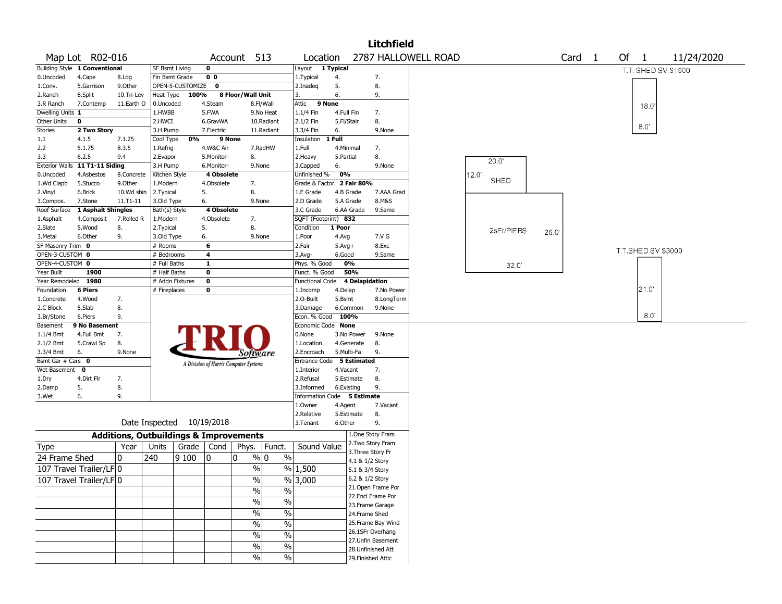|                   |                                |                                                   |                       |                           |                |                                       |                          |                             |            |                       | <b>Litchfield</b>  |                     |       |            |      |                   |                      |     |            |  |
|-------------------|--------------------------------|---------------------------------------------------|-----------------------|---------------------------|----------------|---------------------------------------|--------------------------|-----------------------------|------------|-----------------------|--------------------|---------------------|-------|------------|------|-------------------|----------------------|-----|------------|--|
|                   | Map Lot R02-016                |                                                   |                       |                           |                | Account 513                           |                          | Location                    |            |                       |                    | 2787 HALLOWELL ROAD |       |            |      | Card <sub>1</sub> | Of<br>$\overline{1}$ |     | 11/24/2020 |  |
|                   | Building Style 1 Conventional  |                                                   | <b>SF Bsmt Living</b> |                           | $\mathbf 0$    |                                       |                          | Layout                      | 1 Typical  |                       |                    |                     |       |            |      |                   | T.T. SHED SV S1500   |     |            |  |
| 0.Uncoded         | 4.Cape                         | 8.Log                                             | Fin Bsmt Grade        |                           | 0 <sub>0</sub> |                                       |                          | 1. Typical                  | 4.         |                       | 7.                 |                     |       |            |      |                   |                      |     |            |  |
| 1.Conv.           | 5.Garrison                     | 9.0ther                                           |                       | OPEN-5-CUSTOMIZE          | $\mathbf 0$    |                                       |                          | 2.Inadeq                    | 5.         |                       | 8.                 |                     |       |            |      |                   |                      |     |            |  |
| 2.Ranch           | 6.Split                        | 10.Tri-Lev                                        | Heat Type             | 100%                      |                | 8 Floor/Wall Unit                     |                          | 3.                          | 6.         |                       | 9.                 |                     |       |            |      |                   |                      |     |            |  |
| 3.R Ranch         | 7.Contemp                      | 11.Earth O                                        | 0.Uncoded             |                           | 4.Steam        |                                       | 8.Fl/Wall                | 9 None<br>Attic             |            |                       |                    |                     |       |            |      |                   | 18.0                 |     |            |  |
| Dwelling Units 1  |                                |                                                   | 1.HWBB                |                           | 5.FWA          |                                       | 9.No Heat                | 1.1/4 Fin                   | 4.Full Fin |                       | 7.                 |                     |       |            |      |                   |                      |     |            |  |
| Other Units       | 0                              |                                                   | 2.HWCI                |                           | 6.GravWA       |                                       | 10.Radiant               | 2.1/2 Fin                   | 5.Fl/Stair |                       | 8.                 |                     |       |            |      |                   | 8.0'                 |     |            |  |
| <b>Stories</b>    | 2 Two Story                    |                                                   | 3.H Pump              |                           | 7.Electric     |                                       | 11.Radiant               | 3.3/4 Fin                   | 6.         |                       | 9.None             |                     |       |            |      |                   |                      |     |            |  |
| 1.1               | 4.1.5                          | 7.1.25                                            | Cool Type             | 0%                        |                | 9 None                                |                          | Insulation                  | 1 Full     |                       |                    |                     |       |            |      |                   |                      |     |            |  |
| 2.2               | 5.1.75                         | 8.3.5                                             | 1.Refrig              |                           | 4.W&C Air      |                                       | 7.RadHW                  | 1.Full                      | 4.Minimal  |                       | 7.                 |                     |       |            |      |                   |                      |     |            |  |
| 3.3               | 6.2.5                          | 9.4                                               | 2.Evapor              |                           | 5.Monitor-     | 8.                                    |                          | 2.Heavy                     | 5.Partial  |                       | 8.                 |                     |       | 20.0'      |      |                   |                      |     |            |  |
|                   | Exterior Walls 11 T1-11 Siding |                                                   | 3.H Pump              |                           | 6.Monitor-     | 9.None                                |                          | 3.Capped                    | 6.         |                       | 9.None             |                     |       |            |      |                   |                      |     |            |  |
| 0.Uncoded         | 4.Asbestos                     | 8.Concrete                                        | Kitchen Style         |                           | 4 Obsolete     |                                       |                          | Unfinished %                | 0%         |                       |                    |                     | 12.0' | SHED       |      |                   |                      |     |            |  |
| 1.Wd Clapb        | 5.Stucco                       | 9.0ther                                           | 1.Modern              |                           | 4.Obsolete     | 7.                                    |                          | Grade & Factor 2 Fair 80%   |            |                       |                    |                     |       |            |      |                   |                      |     |            |  |
| 2.Vinyl           | 6.Brick                        | 10.Wd shin                                        | 2.Typical             |                           | 5.             | 8.                                    |                          | 1.E Grade                   | 4.B Grade  |                       | 7.AAA Grad         |                     |       |            |      |                   |                      |     |            |  |
| 3.Compos.         | 7.Stone                        | $11.71 - 11$                                      | 3.Old Type            |                           | 6.             | 9.None                                |                          | 2.D Grade                   | 5.A Grade  |                       | 8.M&S              |                     |       |            |      |                   |                      |     |            |  |
| Roof Surface      | 1 Asphalt Shingles             |                                                   | Bath(s) Style         |                           | 4 Obsolete     |                                       |                          | 3.C Grade                   |            | 6.AA Grade            | 9.Same             |                     |       |            |      |                   |                      |     |            |  |
| 1.Asphalt         | 4.Composit                     | 7.Rolled R                                        | 1.Modern              |                           | 4.Obsolete     | 7.                                    |                          | SQFT (Footprint) 832        |            |                       |                    |                     |       |            |      |                   |                      |     |            |  |
| 2.Slate           | 5.Wood                         | 8.                                                | 2.Typical             |                           | 5.             | 8.                                    |                          | Condition                   | 1 Poor     |                       |                    |                     |       | 2sFr/PIERS | 26.0 |                   |                      |     |            |  |
| 3.Metal           | 6.Other                        | 9.                                                | 3.Old Type            |                           | 6.             | 9.None                                |                          | 1.Poor                      | 4.Avg      |                       | 7.V G              |                     |       |            |      |                   |                      |     |            |  |
| SF Masonry Trim 0 |                                |                                                   | # Rooms               |                           | 6              |                                       |                          | 2.Fair                      | $5.Avg+$   |                       | 8.Exc              |                     |       |            |      |                   | T.T.SHED SV \$3000   |     |            |  |
| OPEN-3-CUSTOM 0   |                                |                                                   | # Bedrooms            |                           | 4              |                                       |                          | 3.Avg-                      | 6.Good     |                       | 9.Same             |                     |       |            |      |                   |                      |     |            |  |
| OPEN-4-CUSTOM 0   |                                |                                                   | # Full Baths          |                           | 1              |                                       |                          | Phys. % Good                | 0%         |                       |                    |                     |       | 32.0'      |      |                   |                      |     |            |  |
| Year Built        | 1900                           |                                                   | # Half Baths          |                           | $\bf{0}$       |                                       |                          | Funct. % Good               |            | 50%                   |                    |                     |       |            |      |                   |                      |     |            |  |
| Year Remodeled    | 1980                           |                                                   | # Addn Fixtures       |                           | $\bf o$        |                                       |                          | Functional Code             |            | <b>4 Delapidation</b> |                    |                     |       |            |      |                   |                      |     |            |  |
| Foundation        | <b>6 Piers</b>                 |                                                   | # Fireplaces          |                           | $\bf{0}$       |                                       |                          | 1.Incomp                    | 4.Delap    |                       | 7.No Power         |                     |       |            |      |                   | 21.0'                |     |            |  |
| 1.Concrete        | 4.Wood                         | 7.                                                |                       |                           |                |                                       |                          | 2.0-Built                   | 5.Bsmt     |                       | 8.LongTerm         |                     |       |            |      |                   |                      |     |            |  |
| 2.C Block         | 5.Slab                         | 8.                                                |                       |                           |                |                                       |                          | 3.Damage                    | 6.Common   |                       | 9.None             |                     |       |            |      |                   |                      |     |            |  |
| 3.Br/Stone        | 6.Piers                        | 9.                                                |                       |                           |                |                                       |                          | Econ. % Good                | 100%       |                       |                    |                     |       |            |      |                   |                      | 8.0 |            |  |
| Basement          | 9 No Basement                  |                                                   |                       |                           |                |                                       |                          | Economic Code None          |            |                       |                    |                     |       |            |      |                   |                      |     |            |  |
| 1.1/4 Bmt         | 4.Full Bmt                     | 7.                                                |                       |                           |                |                                       |                          | 0.None                      |            | 3.No Power            | 9.None             |                     |       |            |      |                   |                      |     |            |  |
| 2.1/2 Bmt         | 5.Crawl Sp                     | 8.                                                |                       |                           |                |                                       |                          | 1.Location                  |            | 4.Generate            | 8.                 |                     |       |            |      |                   |                      |     |            |  |
| 3.3/4 Bmt         | 6.                             | 9.None                                            |                       |                           |                | Software                              |                          | 2.Encroach                  | 5.Multi-Fa |                       | 9.                 |                     |       |            |      |                   |                      |     |            |  |
| Bsmt Gar # Cars 0 |                                |                                                   |                       |                           |                | A Division of Harris Computer Systems |                          | Entrance Code 5 Estimated   |            |                       |                    |                     |       |            |      |                   |                      |     |            |  |
| Wet Basement      | 0                              |                                                   |                       |                           |                |                                       |                          | 1.Interior                  | 4.Vacant   |                       | 7.                 |                     |       |            |      |                   |                      |     |            |  |
| 1.Dry             | 4.Dirt Flr                     | 7.                                                |                       |                           |                |                                       |                          | 2.Refusal                   | 5.Estimate |                       | 8.                 |                     |       |            |      |                   |                      |     |            |  |
| 2.Damp            | 5.                             | 8.                                                |                       |                           |                |                                       |                          | 3.Informed                  | 6.Existing |                       | 9.                 |                     |       |            |      |                   |                      |     |            |  |
| 3.Wet             | 6.                             | 9.                                                |                       |                           |                |                                       |                          | Information Code 5 Estimate |            |                       |                    |                     |       |            |      |                   |                      |     |            |  |
|                   |                                |                                                   |                       |                           |                |                                       |                          | 1.Owner                     | 4.Agent    |                       | 7.Vacant           |                     |       |            |      |                   |                      |     |            |  |
|                   |                                |                                                   |                       |                           |                |                                       |                          | 2.Relative                  | 5.Estimate |                       | 8.                 |                     |       |            |      |                   |                      |     |            |  |
|                   |                                |                                                   |                       | Date Inspected 10/19/2018 |                |                                       |                          | 3.Tenant                    | 6.Other    |                       | 9.                 |                     |       |            |      |                   |                      |     |            |  |
|                   |                                | <b>Additions, Outbuildings &amp; Improvements</b> |                       |                           |                |                                       |                          |                             |            |                       | 1.One Story Fram   |                     |       |            |      |                   |                      |     |            |  |
|                   |                                | Year                                              | Units                 |                           | Grade   Cond   | Phys.                                 | Funct.                   | Sound Value                 |            |                       | 2. Two Story Fram  |                     |       |            |      |                   |                      |     |            |  |
| Type              |                                |                                                   |                       |                           |                |                                       |                          |                             |            |                       | 3. Three Story Fr  |                     |       |            |      |                   |                      |     |            |  |
| 24 Frame Shed     |                                | 0                                                 | 240                   | 9100                      | 10             | $\frac{9}{0}$ 0<br>0                  | $\%$                     |                             |            | 4.1 & 1/2 Story       |                    |                     |       |            |      |                   |                      |     |            |  |
|                   | 107 Travel Trailer/LF 0        |                                                   |                       |                           |                | %                                     |                          | % 1,500                     |            | 5.1 & 3/4 Story       |                    |                     |       |            |      |                   |                      |     |            |  |
|                   | 107 Travel Trailer/LF 0        |                                                   |                       |                           |                | $\%$                                  |                          | %3,000                      |            | 6.2 & 1/2 Story       |                    |                     |       |            |      |                   |                      |     |            |  |
|                   |                                |                                                   |                       |                           |                | $\frac{0}{0}$                         | $\%$                     |                             |            |                       | 21. Open Frame Por |                     |       |            |      |                   |                      |     |            |  |
|                   |                                |                                                   |                       |                           |                |                                       |                          |                             |            |                       | 22.Encl Frame Por  |                     |       |            |      |                   |                      |     |            |  |
|                   |                                |                                                   |                       |                           |                | $\frac{9}{6}$                         | $\%$                     |                             |            |                       | 23. Frame Garage   |                     |       |            |      |                   |                      |     |            |  |
|                   |                                |                                                   |                       |                           |                | $\sqrt{20}$                           | $\overline{\frac{0}{6}}$ |                             |            | 24.Frame Shed         |                    |                     |       |            |      |                   |                      |     |            |  |
|                   |                                |                                                   |                       |                           |                | $\sqrt{20}$                           | $\frac{0}{6}$            |                             |            |                       | 25. Frame Bay Wind |                     |       |            |      |                   |                      |     |            |  |
|                   |                                |                                                   |                       |                           |                | $\sqrt{20}$                           | $\frac{1}{2}$            |                             |            |                       | 26.1SFr Overhang   |                     |       |            |      |                   |                      |     |            |  |
|                   |                                |                                                   |                       |                           |                |                                       |                          |                             |            |                       | 27. Unfin Basement |                     |       |            |      |                   |                      |     |            |  |
|                   |                                |                                                   |                       |                           |                | %                                     | $\%$                     |                             |            |                       | 28. Unfinished Att |                     |       |            |      |                   |                      |     |            |  |
|                   |                                |                                                   |                       |                           |                | $\%$                                  | $\frac{1}{2}$            |                             |            |                       | 29. Finished Attic |                     |       |            |      |                   |                      |     |            |  |
|                   |                                |                                                   |                       |                           |                |                                       |                          |                             |            |                       |                    |                     |       |            |      |                   |                      |     |            |  |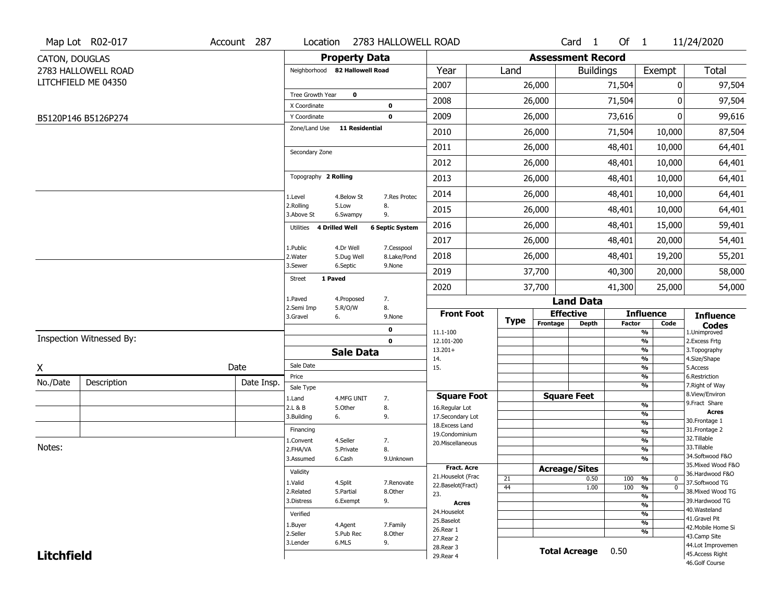|                   | Map Lot R02-017          | Account 287 | Location                       |                        | 2783 HALLOWELL ROAD    |                                    |          |                              | Card <sub>1</sub>    | Of 1          |                                 | 11/24/2020                        |
|-------------------|--------------------------|-------------|--------------------------------|------------------------|------------------------|------------------------------------|----------|------------------------------|----------------------|---------------|---------------------------------|-----------------------------------|
| CATON, DOUGLAS    |                          |             |                                | <b>Property Data</b>   |                        |                                    |          | <b>Assessment Record</b>     |                      |               |                                 |                                   |
|                   | 2783 HALLOWELL ROAD      |             | Neighborhood 82 Hallowell Road |                        |                        | Year                               | Land     |                              | <b>Buildings</b>     |               | Exempt                          | Total                             |
|                   | LITCHFIELD ME 04350      |             |                                |                        |                        | 2007                               |          | 26,000                       |                      | 71,504        | 0                               | 97,504                            |
|                   |                          |             | Tree Growth Year               | $\mathbf 0$            |                        | 2008                               |          | 26,000                       |                      | 71,504        | 0                               | 97,504                            |
|                   |                          |             | X Coordinate<br>Y Coordinate   |                        | 0<br>$\mathbf 0$       | 2009                               |          | 26,000                       |                      | 73,616        | 0                               | 99,616                            |
|                   | B5120P146 B5126P274      |             | Zone/Land Use                  | <b>11 Residential</b>  |                        | 2010                               |          | 26,000                       |                      | 71,504        | 10,000                          | 87,504                            |
|                   |                          |             |                                |                        |                        | 2011                               |          | 26,000                       |                      | 48,401        | 10,000                          | 64,401                            |
|                   |                          |             | Secondary Zone                 |                        |                        | 2012                               |          | 26,000                       |                      | 48,401        | 10,000                          | 64,401                            |
|                   |                          |             | Topography 2 Rolling           |                        |                        | 2013                               |          | 26,000                       |                      | 48,401        | 10,000                          | 64,401                            |
|                   |                          |             |                                |                        |                        |                                    |          |                              |                      |               |                                 |                                   |
|                   |                          |             | 1.Level<br>2.Rolling           | 4.Below St<br>5.Low    | 7.Res Protec<br>8.     | 2014                               |          | 26,000                       |                      | 48,401        | 10,000                          | 64,401                            |
|                   |                          |             | 3.Above St                     | 6.Swampy               | 9.                     | 2015                               |          | 26,000                       |                      | 48,401        | 10,000                          | 64,401                            |
|                   |                          |             | Utilities 4 Drilled Well       |                        | <b>6 Septic System</b> | 2016                               |          | 26,000                       |                      | 48,401        | 15,000                          | 59,401                            |
|                   |                          |             | 1.Public                       | 4.Dr Well              | 7.Cesspool             | 2017                               |          | 26,000                       |                      | 48,401        | 20,000                          | 54,401                            |
|                   |                          |             | 2. Water<br>3.Sewer            | 5.Dug Well<br>6.Septic | 8.Lake/Pond<br>9.None  | 2018                               |          | 26,000                       |                      | 48,401        | 19,200                          | 55,201                            |
|                   |                          |             | 1 Paved<br>Street              |                        |                        | 2019                               |          | 37,700                       |                      | 40,300        | 20,000                          | 58,000                            |
|                   |                          |             | 1.Paved                        | 4.Proposed             | 7.                     | 2020                               |          | 37,700                       |                      | 41,300        | 25,000                          | 54,000                            |
|                   |                          |             | 2.Semi Imp                     | 5.R/O/W                | 8.                     |                                    |          |                              | <b>Land Data</b>     |               |                                 |                                   |
|                   |                          |             | 3.Gravel                       | 6.                     | 9.None                 | <b>Front Foot</b>                  | Type     | <b>Effective</b><br>Frontage | <b>Depth</b>         | <b>Factor</b> | <b>Influence</b><br>Code        | <b>Influence</b>                  |
|                   | Inspection Witnessed By: |             |                                |                        | $\mathbf 0$            | 11.1-100                           |          |                              |                      |               | $\frac{9}{6}$                   | <b>Codes</b><br>1.Unimproved      |
|                   |                          |             |                                | <b>Sale Data</b>       | $\mathbf 0$            | 12.101-200<br>$13.201+$            |          |                              |                      |               | $\frac{9}{6}$<br>$\frac{9}{6}$  | 2.Excess Frtg<br>3. Topography    |
|                   |                          |             | Sale Date                      |                        |                        | 14.                                |          |                              |                      |               | $\overline{\frac{9}{6}}$        | 4.Size/Shape                      |
| X                 |                          | Date        | Price                          |                        |                        | 15.                                |          |                              |                      |               | $\frac{9}{6}$<br>%              | 5.Access<br>6.Restriction         |
| No./Date          | Description              | Date Insp.  | Sale Type                      |                        |                        |                                    |          |                              |                      |               | $\frac{9}{6}$                   | 7. Right of Way                   |
|                   |                          |             | 1.Land                         | 4.MFG UNIT             | 7.                     | <b>Square Foot</b>                 |          | <b>Square Feet</b>           |                      |               |                                 | 8.View/Environ<br>9.Fract Share   |
|                   |                          |             | 2.L & B                        | 5.Other                | 8.                     | 16.Regular Lot                     |          |                              |                      |               | %<br>%                          | <b>Acres</b>                      |
|                   |                          |             | 3.Building                     | 6.                     | 9.                     | 17.Secondary Lot<br>18.Excess Land |          |                              |                      |               | %                               | 30. Frontage 1                    |
|                   |                          |             | Financing                      |                        |                        | 19.Condominium                     |          |                              |                      |               | $\frac{9}{6}$                   | 31. Frontage 2                    |
| Notes:            |                          |             | 1.Convent                      | 4.Seller               | 7.                     | 20.Miscellaneous                   |          |                              |                      |               | %                               | 32.Tillable<br>33.Tillable        |
|                   |                          |             | 2.FHA/VA                       | 5.Private              | 8.                     |                                    |          |                              |                      |               | %                               | 34.Softwood F&O                   |
|                   |                          |             | 3.Assumed                      | 6.Cash                 | 9.Unknown              | <b>Fract. Acre</b>                 |          |                              |                      |               | %                               | 35. Mixed Wood F&O                |
|                   |                          |             | Validity                       |                        |                        | 21. Houselot (Frac                 |          | <b>Acreage/Sites</b>         |                      | 100 %         | 0                               | 36.Hardwood F&O                   |
|                   |                          |             | 1.Valid                        | 4.Split                | 7.Renovate             | 22.Baselot(Fract)                  | 21<br>44 |                              | 0.50<br>1.00         | 100           | $\frac{9}{6}$<br>$\overline{0}$ | 37.Softwood TG                    |
|                   |                          |             | 2.Related                      | 5.Partial              | 8.Other                | 23.                                |          |                              |                      |               | $\overline{\frac{9}{6}}$        | 38. Mixed Wood TG                 |
|                   |                          |             | 3.Distress                     | 6.Exempt               | 9.                     | <b>Acres</b>                       |          |                              |                      |               | $\frac{9}{6}$                   | 39.Hardwood TG                    |
|                   |                          |             | Verified                       |                        |                        | 24. Houselot                       |          |                              |                      |               | $\frac{9}{6}$                   | 40. Wasteland<br>41.Gravel Pit    |
|                   |                          |             | 1.Buyer                        | 4.Agent                | 7.Family               | 25.Baselot<br>26.Rear 1            |          |                              |                      |               | $\frac{9}{6}$                   | 42. Mobile Home Si                |
|                   |                          |             | 2.Seller                       | 5.Pub Rec              | 8.Other                | 27. Rear 2                         |          |                              |                      |               | $\frac{9}{6}$                   | 43.Camp Site                      |
|                   |                          |             | 3.Lender                       | 6.MLS                  | 9.                     | 28. Rear 3                         |          |                              | <b>Total Acreage</b> | 0.50          |                                 | 44.Lot Improvemen                 |
| <b>Litchfield</b> |                          |             |                                |                        |                        | 29. Rear 4                         |          |                              |                      |               |                                 | 45.Access Right<br>46.Golf Course |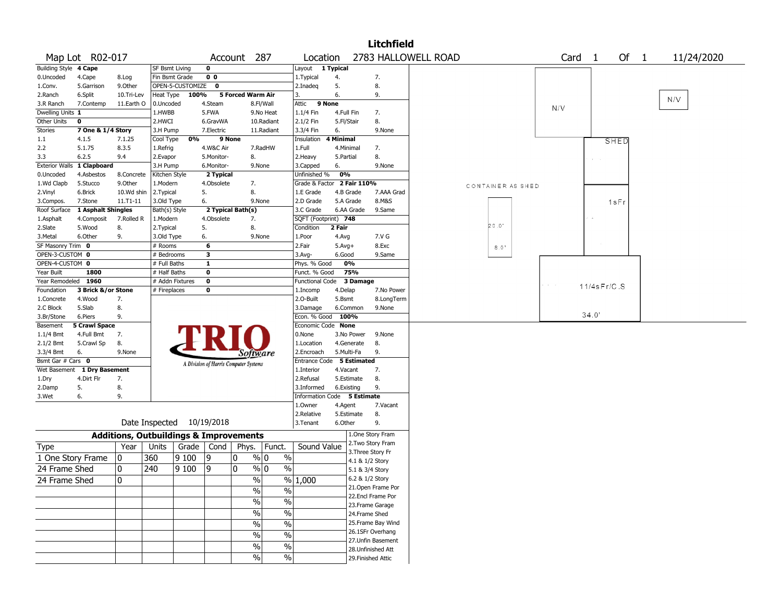|                                 |                      |                                                   |                       |                           |                   |                                       |                          |                             |                          |                 | <b>Litchfield</b>                       |                     |                   |                 |                |             |                |            |  |
|---------------------------------|----------------------|---------------------------------------------------|-----------------------|---------------------------|-------------------|---------------------------------------|--------------------------|-----------------------------|--------------------------|-----------------|-----------------------------------------|---------------------|-------------------|-----------------|----------------|-------------|----------------|------------|--|
|                                 | Map Lot R02-017      |                                                   |                       |                           |                   | Account 287                           |                          | Location                    |                          |                 |                                         | 2783 HALLOWELL ROAD |                   | Card            | $\overline{1}$ | Of          | $\overline{1}$ | 11/24/2020 |  |
| <b>Building Style</b>           | 4 Cape               |                                                   | <b>SF Bsmt Living</b> |                           | $\mathbf 0$       |                                       |                          | Layout 1 Typical            |                          |                 |                                         |                     |                   |                 |                |             |                |            |  |
| 0.Uncoded                       | 4.Cape               | 8.Log                                             | Fin Bsmt Grade        |                           | 0 <sub>0</sub>    |                                       |                          | 1. Typical                  | 4.                       |                 | 7.                                      |                     |                   |                 |                |             |                |            |  |
| 1.Conv.                         | 5.Garrison           | 9.0ther                                           |                       | OPEN-5-CUSTOMIZE          | $\mathbf 0$       |                                       |                          | 2.Inadeg                    | 5.                       |                 | 8.                                      |                     |                   |                 |                |             |                |            |  |
| 2.Ranch                         | 6.Split              | 10.Tri-Lev                                        | Heat Type             | 100%                      |                   | 5 Forced Warm Air                     |                          | 3.                          | 6.                       |                 | 9.                                      |                     |                   |                 |                |             |                | N/V        |  |
| 3.R Ranch                       | 7.Contemp            | 11.Earth O                                        | 0.Uncoded             |                           | 4.Steam           |                                       | 8.Fl/Wall                | Attic                       | 9 None                   |                 |                                         |                     |                   | N/V             |                |             |                |            |  |
| Dwelling Units 1<br>Other Units | 0                    |                                                   | 1.HWBB<br>2.HWCI      |                           | 5.FWA<br>6.GravWA |                                       | 9.No Heat<br>10.Radiant  | 1.1/4 Fin                   | 4.Full Fin<br>5.Fl/Stair |                 | 7.<br>8.                                |                     |                   |                 |                |             |                |            |  |
| Stories                         | 7 One & 1/4 Story    |                                                   | 3.H Pump              |                           | 7.Electric        |                                       | 11.Radiant               | 2.1/2 Fin<br>3.3/4 Fin      | 6.                       |                 | 9.None                                  |                     |                   |                 |                |             |                |            |  |
| 1.1                             | 4.1.5                | 7.1.25                                            | Cool Type             | 0%                        |                   | 9 None                                |                          | Insulation                  | 4 Minimal                |                 |                                         |                     |                   |                 |                |             |                |            |  |
| 2.2                             | 5.1.75               | 8.3.5                                             | 1.Refrig              |                           | 4.W&C Air         |                                       | 7.RadHW                  | 1.Full                      | 4.Minimal                |                 | 7.                                      |                     |                   |                 |                | <b>SHED</b> |                |            |  |
| 3.3                             | 6.2.5                | 9.4                                               | 2.Evapor              |                           | 5.Monitor-        | 8.                                    |                          | 2. Heavy                    | 5.Partial                |                 | 8.                                      |                     |                   |                 | $\sim$         |             |                |            |  |
| <b>Exterior Walls</b>           | 1 Clapboard          |                                                   | 3.H Pump              |                           | 6.Monitor-        |                                       | 9.None                   | 3.Capped                    | 6.                       |                 | 9.None                                  |                     |                   |                 |                |             |                |            |  |
| 0.Uncoded                       | 4.Asbestos           | 8.Concrete                                        | Kitchen Style         |                           | 2 Typical         |                                       |                          | Unfinished %                | 0%                       |                 |                                         |                     |                   |                 |                |             |                |            |  |
| 1.Wd Clapb                      | 5.Stucco             | 9.0ther                                           | 1.Modern              |                           | 4.Obsolete        | 7.                                    |                          | Grade & Factor              |                          | 2 Fair 110%     |                                         |                     | CONTAINER AS SHED |                 |                |             |                |            |  |
| 2.Vinyl                         | 6.Brick              | 10.Wd shin                                        | 2.Typical             |                           | 5.                | 8.                                    |                          | 1.E Grade                   |                          | 4.B Grade       | 7.AAA Grad                              |                     |                   |                 |                |             |                |            |  |
| 3.Compos.                       | 7.Stone              | $11. T1 - 11$                                     | 3.Old Type            |                           | 6.                |                                       | 9.None                   | 2.D Grade                   |                          | 5.A Grade       | 8.M&S                                   |                     |                   |                 |                | $1$ s $Fr$  |                |            |  |
| Roof Surface                    | 1 Asphalt Shingles   |                                                   | Bath(s) Style         |                           |                   | 2 Typical Bath(s)                     |                          | 3.C Grade                   |                          | 6.AA Grade      | 9.Same                                  |                     |                   |                 |                |             |                |            |  |
| 1.Asphalt                       | 4.Composit           | 7.Rolled R                                        | 1.Modern              |                           | 4.Obsolete        | 7.                                    |                          | SQFT (Footprint) 748        |                          |                 |                                         |                     |                   |                 |                |             |                |            |  |
| 2.Slate                         | 5.Wood               | 8.                                                | 2. Typical            |                           | 5.                | 8.                                    |                          | Condition                   | 2 Fair                   |                 |                                         |                     | 2C.0'             |                 |                |             |                |            |  |
| 3.Metal                         | 6.Other              | 9.                                                | 3.Old Type            |                           | 6.                | 9.None                                |                          | 1.Poor                      | 4.Avg                    |                 | 7.V G                                   |                     |                   |                 |                |             |                |            |  |
| SF Masonry Trim 0               |                      |                                                   | # Rooms               |                           | 6                 |                                       |                          | 2.Fair                      | $5.Avg+$                 |                 | 8.Exc                                   |                     | 8.0'              |                 |                |             |                |            |  |
| OPEN-3-CUSTOM 0                 |                      |                                                   | # Bedrooms            |                           | 3                 |                                       |                          | $3.$ Avg-                   | 6.Good                   |                 | 9.Same                                  |                     |                   |                 |                |             |                |            |  |
| OPEN-4-CUSTOM 0                 |                      |                                                   | # Full Baths          |                           | $\mathbf{1}$      |                                       |                          | Phys. % Good                |                          | 0%              |                                         |                     |                   |                 |                |             |                |            |  |
| Year Built                      | 1800                 |                                                   | # Half Baths          |                           | 0                 |                                       |                          | Funct. % Good               |                          | 75%             |                                         |                     |                   |                 |                |             |                |            |  |
| Year Remodeled                  | 1960                 |                                                   |                       | # Addn Fixtures           | $\mathbf{o}$      |                                       |                          | <b>Functional Code</b>      |                          | 3 Damage        |                                         |                     |                   | $\sim 10^{-10}$ | 11/4s Fr/C.S   |             |                |            |  |
| Foundation                      | 3 Brick &/or Stone   |                                                   | # Fireplaces          |                           | 0                 |                                       |                          | 1.Incomp                    | 4.Delap                  |                 | 7.No Power                              |                     |                   |                 |                |             |                |            |  |
| 1.Concrete                      | 4.Wood               | 7.                                                |                       |                           |                   |                                       |                          | 2.0-Built                   | 5.Bsmt                   |                 | 8.LongTerm                              |                     |                   |                 |                |             |                |            |  |
| 2.C Block<br>3.Br/Stone         | 5.Slab<br>6.Piers    | 8.<br>9.                                          |                       |                           |                   |                                       |                          | 3.Damage<br>Econ. % Good    | 100%                     | 6.Common        | 9.None                                  |                     |                   |                 | 34.0'          |             |                |            |  |
| Basement                        | <b>5 Crawl Space</b> |                                                   |                       |                           |                   |                                       |                          | Economic Code None          |                          |                 |                                         |                     |                   |                 |                |             |                |            |  |
| $1.1/4$ Bmt                     | 4.Full Bmt           | 7.                                                |                       |                           |                   |                                       |                          | 0.None                      |                          | 3.No Power      | 9.None                                  |                     |                   |                 |                |             |                |            |  |
| 2.1/2 Bmt                       | 5.Crawl Sp           | 8.                                                |                       |                           |                   |                                       |                          | 1.Location                  |                          | 4.Generate      | 8.                                      |                     |                   |                 |                |             |                |            |  |
| 3.3/4 Bmt                       | 6.                   | 9.None                                            |                       |                           |                   | Software                              |                          | 2.Encroach                  |                          | 5.Multi-Fa      | 9.                                      |                     |                   |                 |                |             |                |            |  |
| Bsmt Gar # Cars 0               |                      |                                                   |                       |                           |                   | A Division of Harris Computer Systems |                          | Entrance Code 5 Estimated   |                          |                 |                                         |                     |                   |                 |                |             |                |            |  |
| Wet Basement                    | 1 Dry Basement       |                                                   |                       |                           |                   |                                       |                          | 1.Interior                  | 4.Vacant                 |                 | 7.                                      |                     |                   |                 |                |             |                |            |  |
| 1.Dry                           | 4.Dirt Flr           | 7.                                                |                       |                           |                   |                                       |                          | 2.Refusal                   |                          | 5.Estimate      | 8.                                      |                     |                   |                 |                |             |                |            |  |
| 2.Damp                          | 5.                   | 8.                                                |                       |                           |                   |                                       |                          | 3.Informed                  | 6.Existing               |                 | 9.                                      |                     |                   |                 |                |             |                |            |  |
| 3.Wet                           | 6.                   | 9.                                                |                       |                           |                   |                                       |                          | Information Code 5 Estimate |                          |                 |                                         |                     |                   |                 |                |             |                |            |  |
|                                 |                      |                                                   |                       |                           |                   |                                       |                          | 1.0wner                     | 4.Agent                  |                 | 7.Vacant                                |                     |                   |                 |                |             |                |            |  |
|                                 |                      |                                                   |                       |                           |                   |                                       |                          | 2.Relative                  |                          | 5.Estimate      | 8.                                      |                     |                   |                 |                |             |                |            |  |
|                                 |                      |                                                   |                       | Date Inspected 10/19/2018 |                   |                                       |                          | 3.Tenant                    | 6.Other                  |                 | 9.                                      |                     |                   |                 |                |             |                |            |  |
|                                 |                      | <b>Additions, Outbuildings &amp; Improvements</b> |                       |                           |                   |                                       |                          |                             |                          |                 | 1.One Story Fram                        |                     |                   |                 |                |             |                |            |  |
| <b>Type</b>                     |                      | Year                                              | Units                 |                           | Grade   Cond      | Phys.                                 | Funct.                   | Sound Value                 |                          |                 | 2. Two Story Fram                       |                     |                   |                 |                |             |                |            |  |
| 1 One Story Frame               |                      | 0                                                 | 360                   | 9100                      | 19                | 10                                    | % 0<br>$\%$              |                             |                          |                 | 3. Three Story Fr                       |                     |                   |                 |                |             |                |            |  |
| 24 Frame Shed                   |                      | 0                                                 | 240                   | 9100                      | 19                | 0                                     | % 0<br>$\%$              |                             |                          | 4.1 & 1/2 Story |                                         |                     |                   |                 |                |             |                |            |  |
|                                 |                      |                                                   |                       |                           |                   |                                       |                          |                             |                          | 5.1 & 3/4 Story |                                         |                     |                   |                 |                |             |                |            |  |
| 24 Frame Shed                   |                      | $\overline{0}$                                    |                       |                           |                   | $\frac{0}{0}$                         |                          | $\sqrt{6}$ 1,000            |                          | 6.2 & 1/2 Story |                                         |                     |                   |                 |                |             |                |            |  |
|                                 |                      |                                                   |                       |                           |                   | $\frac{0}{0}$                         | $\%$                     |                             |                          |                 | 21. Open Frame Por<br>22.Encl Frame Por |                     |                   |                 |                |             |                |            |  |
|                                 |                      |                                                   |                       |                           |                   | $\frac{9}{6}$                         | $\overline{\frac{0}{6}}$ |                             |                          |                 | 23. Frame Garage                        |                     |                   |                 |                |             |                |            |  |
|                                 |                      |                                                   |                       |                           |                   | $\sqrt{20}$                           | $\%$                     |                             |                          |                 | 24.Frame Shed                           |                     |                   |                 |                |             |                |            |  |
|                                 |                      |                                                   |                       |                           |                   |                                       |                          |                             |                          |                 | 25. Frame Bay Wind                      |                     |                   |                 |                |             |                |            |  |
|                                 |                      |                                                   |                       |                           |                   | $\frac{0}{0}$                         | $\%$                     |                             |                          |                 | 26.1SFr Overhang                        |                     |                   |                 |                |             |                |            |  |
|                                 |                      |                                                   |                       |                           |                   | $\sqrt{20}$                           | $\%$                     |                             |                          |                 | 27.Unfin Basement                       |                     |                   |                 |                |             |                |            |  |
|                                 |                      |                                                   |                       |                           |                   | $\frac{0}{0}$                         | $\%$                     |                             |                          |                 | 28. Unfinished Att                      |                     |                   |                 |                |             |                |            |  |
|                                 |                      |                                                   |                       |                           |                   | $\frac{0}{0}$                         | %                        |                             |                          |                 | 29. Finished Attic                      |                     |                   |                 |                |             |                |            |  |
|                                 |                      |                                                   |                       |                           |                   |                                       |                          |                             |                          |                 |                                         |                     |                   |                 |                |             |                |            |  |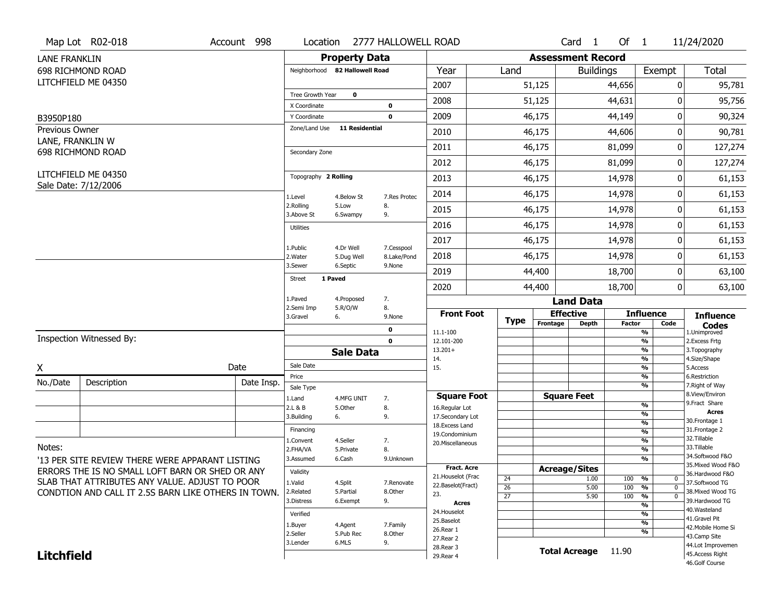|                      | Map Lot R02-018                                                                                   | Account 998 | Location                         |                                | 2777 HALLOWELL ROAD       |                                     |                 |             |                              | Card <sub>1</sub> | Of $1$        |                                | 11/24/2020                           |
|----------------------|---------------------------------------------------------------------------------------------------|-------------|----------------------------------|--------------------------------|---------------------------|-------------------------------------|-----------------|-------------|------------------------------|-------------------|---------------|--------------------------------|--------------------------------------|
| <b>LANE FRANKLIN</b> |                                                                                                   |             |                                  | <b>Property Data</b>           |                           |                                     |                 |             | <b>Assessment Record</b>     |                   |               |                                |                                      |
|                      | 698 RICHMOND ROAD                                                                                 |             |                                  | Neighborhood 82 Hallowell Road |                           | Year                                |                 | Land        |                              | <b>Buildings</b>  |               | Exempt                         | Total                                |
|                      | LITCHFIELD ME 04350                                                                               |             |                                  |                                |                           | 2007                                |                 |             | 51,125                       |                   | 44,656        | 0                              | 95,781                               |
|                      |                                                                                                   |             | Tree Growth Year<br>X Coordinate | $\mathbf 0$                    | $\mathbf{0}$              | 2008                                |                 |             | 51,125                       |                   | 44,631        | 0                              | 95,756                               |
| B3950P180            |                                                                                                   |             | Y Coordinate                     |                                | $\mathbf 0$               | 2009                                |                 |             | 46,175                       |                   | 44,149        | 0                              | 90,324                               |
| Previous Owner       |                                                                                                   |             | Zone/Land Use                    | <b>11 Residential</b>          |                           | 2010                                |                 |             | 46,175                       |                   | 44,606        | 0                              | 90,781                               |
| LANE, FRANKLIN W     |                                                                                                   |             |                                  |                                |                           | 2011                                |                 |             | 46,175                       |                   | 81,099        | 0                              | 127,274                              |
|                      | 698 RICHMOND ROAD                                                                                 |             | Secondary Zone                   |                                |                           | 2012                                |                 |             | 46,175                       |                   | 81,099        | 0                              | 127,274                              |
|                      | LITCHFIELD ME 04350                                                                               |             | Topography 2 Rolling             |                                |                           | 2013                                |                 |             | 46,175                       |                   | 14,978        | 0                              | 61,153                               |
|                      | Sale Date: 7/12/2006                                                                              |             | 1.Level                          | 4.Below St                     | 7.Res Protec              | 2014                                |                 |             | 46,175                       |                   | 14,978        | 0                              | 61,153                               |
|                      |                                                                                                   |             | 2.Rolling<br>3.Above St          | 5.Low<br>6.Swampy              | 8.<br>9.                  | 2015                                |                 |             | 46,175                       |                   | 14,978        | 0                              | 61,153                               |
|                      |                                                                                                   |             | Utilities                        |                                |                           | 2016                                |                 |             | 46,175                       |                   | 14,978        | 0                              | 61,153                               |
|                      |                                                                                                   |             |                                  |                                |                           | 2017                                |                 |             | 46,175                       |                   | 14,978        | 0                              | 61,153                               |
|                      |                                                                                                   |             | 1.Public<br>2. Water             | 4.Dr Well<br>5.Dug Well        | 7.Cesspool<br>8.Lake/Pond | 2018                                |                 |             | 46,175                       |                   | 14,978        | 0                              | 61,153                               |
|                      |                                                                                                   |             | 3.Sewer                          | 6.Septic<br>1 Paved            | 9.None                    | 2019                                |                 |             | 44,400                       |                   | 18,700        | 0                              | 63,100                               |
|                      |                                                                                                   |             | Street                           |                                |                           | 2020                                |                 |             | 44,400                       |                   | 18,700        | 0                              | 63,100                               |
|                      |                                                                                                   |             | 1.Paved<br>2.Semi Imp            | 4.Proposed<br>5.R/O/W          | 7.<br>8.                  |                                     |                 |             |                              | <b>Land Data</b>  |               |                                |                                      |
|                      |                                                                                                   |             | 3.Gravel                         | 6.                             | 9.None                    | <b>Front Foot</b>                   |                 | <b>Type</b> | <b>Effective</b><br>Frontage | <b>Depth</b>      | <b>Factor</b> | <b>Influence</b><br>Code       | <b>Influence</b>                     |
|                      |                                                                                                   |             |                                  |                                | $\mathbf 0$               | 11.1-100                            |                 |             |                              |                   |               | $\frac{9}{6}$                  | <b>Codes</b><br>1.Unimproved         |
|                      | Inspection Witnessed By:                                                                          |             |                                  |                                | $\mathbf 0$               | 12.101-200<br>$13.201+$             |                 |             |                              |                   |               | $\frac{9}{6}$<br>$\frac{9}{6}$ | 2. Excess Frtg<br>3. Topography      |
|                      |                                                                                                   |             |                                  | <b>Sale Data</b>               |                           | 14.                                 |                 |             |                              |                   |               | $\overline{\frac{9}{6}}$       | 4.Size/Shape                         |
| X                    |                                                                                                   | Date        | Sale Date                        |                                |                           | 15.                                 |                 |             |                              |                   |               | $\frac{9}{6}$                  | 5.Access                             |
| No./Date             | Description                                                                                       | Date Insp.  | Price<br>Sale Type               |                                |                           |                                     |                 |             |                              |                   |               | %<br>%                         | 6.Restriction<br>7. Right of Way     |
|                      |                                                                                                   |             | 1.Land                           | 4.MFG UNIT                     | 7.                        | <b>Square Foot</b>                  |                 |             | <b>Square Feet</b>           |                   |               |                                | 8.View/Environ                       |
|                      |                                                                                                   |             | 2.L & B                          | 5.Other                        | 8.                        | 16.Regular Lot                      |                 |             |                              |                   |               | $\frac{9}{6}$                  | 9. Fract Share<br><b>Acres</b>       |
|                      |                                                                                                   |             | 3.Building                       | 6.                             | 9.                        | 17.Secondary Lot<br>18. Excess Land |                 |             |                              |                   |               | %<br>%                         | 30. Frontage 1                       |
|                      |                                                                                                   |             | Financing                        |                                |                           | 19.Condominium                      |                 |             |                              |                   |               | %                              | 31. Frontage 2                       |
| Notes:               |                                                                                                   |             | 1.Convent                        | 4.Seller                       | 7.                        | 20.Miscellaneous                    |                 |             |                              |                   |               | %                              | 32.Tillable<br>33.Tillable           |
|                      |                                                                                                   |             | 2.FHA/VA<br>3.Assumed            | 5.Private<br>6.Cash            | 8.<br>9.Unknown           |                                     |                 |             |                              |                   |               | %<br>%                         | 34.Softwood F&O                      |
|                      | '13 PER SITE REVIEW THERE WERE APPARANT LISTING                                                   |             |                                  |                                |                           | <b>Fract. Acre</b>                  |                 |             | <b>Acreage/Sites</b>         |                   |               |                                | 35. Mixed Wood F&O                   |
|                      | ERRORS THE IS NO SMALL LOFT BARN OR SHED OR ANY<br>SLAB THAT ATTRIBUTES ANY VALUE. ADJUST TO POOR |             | Validity                         |                                |                           | 21. Houselot (Frac                  | 24              |             |                              | 1.00              | 100           | %<br>0                         | 36.Hardwood F&O                      |
|                      | CONDTION AND CALL IT 2.5S BARN LIKE OTHERS IN TOWN.                                               |             | 1.Valid<br>2.Related             | 4.Split<br>5.Partial           | 7.Renovate<br>8.Other     | 22.Baselot(Fract)                   | 26              |             |                              | 5.00              | 100           | %<br>$\mathbf 0$               | 37.Softwood TG<br>38. Mixed Wood TG  |
|                      |                                                                                                   |             | 3.Distress                       | 6.Exempt                       | 9.                        | 23.<br><b>Acres</b>                 | $\overline{27}$ |             |                              | 5.90              | 100           | %<br>$\Omega$                  | 39.Hardwood TG                       |
|                      |                                                                                                   |             | Verified                         |                                |                           | 24. Houselot                        |                 |             |                              |                   |               | %<br>%                         | 40. Wasteland                        |
|                      |                                                                                                   |             | 1.Buyer                          | 4.Agent                        | 7.Family                  | 25.Baselot                          |                 |             |                              |                   |               | %                              | 41.Gravel Pit                        |
|                      |                                                                                                   |             | 2.Seller                         | 5.Pub Rec                      | 8.0ther                   | 26.Rear 1                           |                 |             |                              |                   |               | %                              | 42. Mobile Home Si<br>43.Camp Site   |
|                      |                                                                                                   |             |                                  |                                |                           |                                     |                 |             |                              |                   |               |                                |                                      |
|                      |                                                                                                   |             | 3.Lender                         | 6.MLS                          | 9.                        | 27.Rear 2                           |                 |             |                              |                   |               |                                |                                      |
| <b>Litchfield</b>    |                                                                                                   |             |                                  |                                |                           | 28. Rear 3<br>29. Rear 4            |                 |             | <b>Total Acreage</b>         |                   | 11.90         |                                | 44.Lot Improvemen<br>45.Access Right |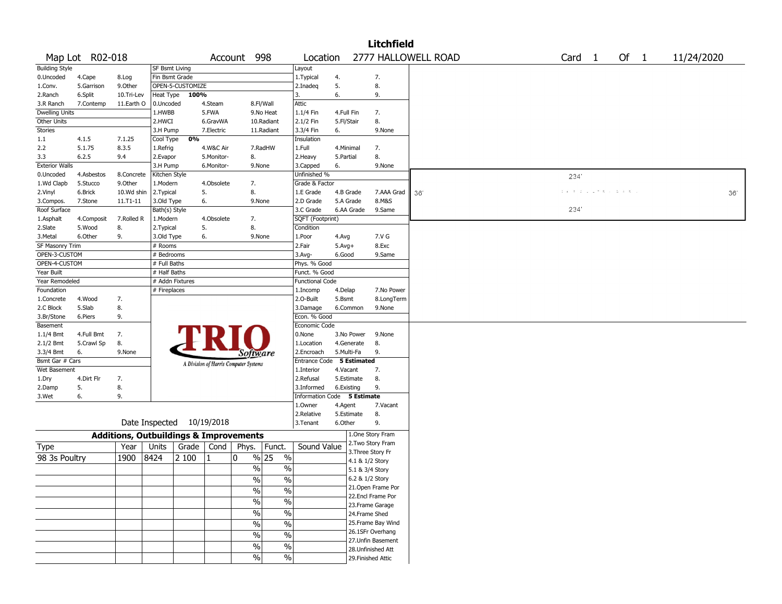|                       |                 |                                                   |               |                           |            |                                       |                          |                             |              |                 | <b>Litchfield</b>  |                     |                   |                 |            |
|-----------------------|-----------------|---------------------------------------------------|---------------|---------------------------|------------|---------------------------------------|--------------------------|-----------------------------|--------------|-----------------|--------------------|---------------------|-------------------|-----------------|------------|
|                       | Map Lot R02-018 |                                                   |               |                           |            | Account 998                           |                          | Location                    |              |                 |                    | 2777 HALLOWELL ROAD | Card <sub>1</sub> | Of 1            | 11/24/2020 |
| <b>Building Style</b> |                 |                                                   |               | <b>SF Bsmt Living</b>     |            |                                       |                          | Layout                      |              |                 |                    |                     |                   |                 |            |
| 0.Uncoded             | 4.Cape          | 8.Log                                             |               | Fin Bsmt Grade            |            |                                       |                          | 1.Typical                   | 4.           |                 | 7.                 |                     |                   |                 |            |
| 1.Conv.               | 5.Garrison      | 9.0ther                                           |               | OPEN-5-CUSTOMIZE          |            |                                       |                          | 2.Inadeq                    | 5.           |                 | 8.                 |                     |                   |                 |            |
| 2.Ranch               | 6.Split         | 10.Tri-Lev                                        |               | Heat Type 100%            |            |                                       |                          | 3.                          | 6.           |                 | 9.                 |                     |                   |                 |            |
| 3.R Ranch             | 7.Contemp       | 11.Earth O                                        | 0.Uncoded     |                           | 4.Steam    |                                       | 8.Fl/Wall                | Attic                       |              |                 |                    |                     |                   |                 |            |
| <b>Dwelling Units</b> |                 |                                                   | 1.HWBB        |                           | 5.FWA      |                                       | 9.No Heat                | 1.1/4 Fin                   | 4.Full Fin   |                 | 7.                 |                     |                   |                 |            |
| Other Units           |                 |                                                   | 2.HWCI        |                           | 6.GravWA   |                                       | 10.Radiant               | 2.1/2 Fin                   | 5.Fl/Stair   |                 | 8.                 |                     |                   |                 |            |
| Stories               |                 |                                                   | 3.H Pump      |                           | 7.Electric |                                       | 11.Radiant               | 3.3/4 Fin                   | 6.           |                 | 9.None             |                     |                   |                 |            |
| 1.1                   | 4.1.5           | 7.1.25                                            | Cool Type     | 0%                        |            |                                       |                          | Insulation                  |              |                 |                    |                     |                   |                 |            |
| 2.2                   | 5.1.75          | 8.3.5                                             | 1.Refrig      |                           | 4.W&C Air  |                                       | 7.RadHW                  | 1.Full                      |              | 4.Minimal       | 7.                 |                     |                   |                 |            |
| 3.3                   | 6.2.5           | 9.4                                               | 2.Evapor      |                           | 5.Monitor- | 8.                                    |                          | 2. Heavy                    | 5.Partial    |                 | 8.                 |                     |                   |                 |            |
| <b>Exterior Walls</b> |                 |                                                   | 3.H Pump      |                           | 6.Monitor- |                                       | 9.None                   | 3.Capped                    | 6.           |                 | 9.None             |                     |                   |                 |            |
| 0.Uncoded             | 4.Asbestos      | 8.Concrete                                        | Kitchen Style |                           |            |                                       |                          | Unfinished %                |              |                 |                    |                     | 2341              |                 |            |
| 1.Wd Clapb            | 5.Stucco        | 9.0ther                                           | 1.Modern      |                           | 4.Obsolete | 7.                                    |                          | Grade & Factor              |              |                 |                    |                     |                   |                 |            |
| 2.Vinyl               | 6.Brick         | 10.Wd shin                                        | 2.Typical     |                           | 5.         | 8.                                    |                          | 1.E Grade                   |              | 4.B Grade       | 7.AAA Grad         | 36'                 |                   | エネチ ホッしてもり エネギル | 36'        |
| 3.Compos.             | 7.Stone         | $11.71 - 11$                                      | 3.Old Type    |                           | 6.         |                                       | 9.None                   | 2.D Grade                   |              | 5.A Grade       | 8.M&S              |                     |                   |                 |            |
| Roof Surface          |                 |                                                   | Bath(s) Style |                           |            |                                       |                          | 3.C Grade                   |              | 6.AA Grade      | 9.Same             |                     | 2341              |                 |            |
| 1.Asphalt             | 4.Composit      | 7.Rolled R                                        | 1.Modern      |                           | 4.Obsolete | 7.                                    |                          | SQFT (Footprint)            |              |                 |                    |                     |                   |                 |            |
| 2.Slate               | 5.Wood          | 8.                                                | 2. Typical    |                           | 5.         | 8.                                    |                          | Condition                   |              |                 |                    |                     |                   |                 |            |
| 3.Metal               | 6.Other         | 9.                                                | 3.Old Type    |                           | 6.         |                                       | 9.None                   | 1.Poor                      | 4.Avg        |                 | 7.V G              |                     |                   |                 |            |
| SF Masonry Trim       |                 |                                                   | # Rooms       |                           |            |                                       |                          | 2.Fair                      | $5.$ Avg $+$ |                 | 8.Exc              |                     |                   |                 |            |
| OPEN-3-CUSTOM         |                 |                                                   | # Bedrooms    |                           |            |                                       |                          | 3.Avg-                      | 6.Good       |                 | 9.Same             |                     |                   |                 |            |
| OPEN-4-CUSTOM         |                 |                                                   | # Full Baths  |                           |            |                                       |                          | Phys. % Good                |              |                 |                    |                     |                   |                 |            |
| Year Built            |                 |                                                   | # Half Baths  |                           |            |                                       |                          | Funct. % Good               |              |                 |                    |                     |                   |                 |            |
| Year Remodeled        |                 |                                                   |               | # Addn Fixtures           |            |                                       |                          | Functional Code             |              |                 |                    |                     |                   |                 |            |
| Foundation            |                 |                                                   | # Fireplaces  |                           |            |                                       |                          | 1.Incomp                    | 4.Delap      |                 | 7.No Power         |                     |                   |                 |            |
| 1.Concrete            | 4.Wood          | 7.                                                |               |                           |            |                                       |                          | 2.0-Built                   | 5.Bsmt       |                 | 8.LongTerm         |                     |                   |                 |            |
| 2.C Block             | 5.Slab          | 8.                                                |               |                           |            |                                       |                          | 3.Damage                    |              | 6.Common        | 9.None             |                     |                   |                 |            |
| 3.Br/Stone            | 6.Piers         | 9.                                                |               |                           |            |                                       |                          | Econ. % Good                |              |                 |                    |                     |                   |                 |            |
| Basement              |                 |                                                   |               |                           |            |                                       |                          | Economic Code               |              |                 |                    |                     |                   |                 |            |
| $1.1/4$ Bmt           | 4.Full Bmt      | 7.                                                |               |                           |            |                                       |                          | 0.None                      |              | 3.No Power      | 9.None             |                     |                   |                 |            |
| 2.1/2 Bmt             | 5.Crawl Sp      | 8.                                                |               |                           |            |                                       |                          | 1.Location                  |              | 4.Generate      | 8.                 |                     |                   |                 |            |
| 3.3/4 Bmt             | 6.              | 9.None                                            |               |                           |            | <i>Software</i>                       |                          | 2.Encroach                  |              | 5.Multi-Fa      | 9.                 |                     |                   |                 |            |
| Bsmt Gar # Cars       |                 |                                                   |               |                           |            | A Division of Harris Computer Systems |                          | Entrance Code 5 Estimated   |              |                 |                    |                     |                   |                 |            |
| Wet Basement          |                 |                                                   |               |                           |            |                                       |                          | 1.Interior                  | 4.Vacant     |                 | 7.                 |                     |                   |                 |            |
| 1.Dry                 | 4.Dirt Flr      | 7.                                                |               |                           |            |                                       |                          | 2.Refusal                   |              | 5.Estimate      | 8.                 |                     |                   |                 |            |
| 2.Damp                | 5.              | 8.                                                |               |                           |            |                                       |                          | 3.Informed                  |              | 6.Existing      | 9.                 |                     |                   |                 |            |
| 3.Wet                 | 6.              | 9.                                                |               |                           |            |                                       |                          | Information Code 5 Estimate |              |                 |                    |                     |                   |                 |            |
|                       |                 |                                                   |               |                           |            |                                       |                          | 1.0wner                     | 4.Agent      |                 | 7.Vacant           |                     |                   |                 |            |
|                       |                 |                                                   |               |                           |            |                                       |                          | 2.Relative                  |              | 5.Estimate      | 8.                 |                     |                   |                 |            |
|                       |                 |                                                   |               | Date Inspected 10/19/2018 |            |                                       |                          | 3. Tenant                   | 6.Other      |                 | 9.                 |                     |                   |                 |            |
|                       |                 | <b>Additions, Outbuildings &amp; Improvements</b> |               |                           |            |                                       |                          |                             |              |                 | 1.One Story Fram   |                     |                   |                 |            |
| Type                  |                 | Year                                              | Units         | Grade                     | Cond       | Phys.                                 | Funct.                   | Sound Value                 |              |                 | 2. Two Story Fram  |                     |                   |                 |            |
|                       |                 |                                                   |               |                           |            |                                       |                          |                             |              |                 | 3. Three Story Fr  |                     |                   |                 |            |
| 98 3s Poultry         |                 | 1900                                              | 8424          | 2 100                     | 1          | 0                                     | % 25<br>$\%$             |                             |              | 4.1 & 1/2 Story |                    |                     |                   |                 |            |
|                       |                 |                                                   |               |                           |            | %                                     | $\%$                     |                             |              | 5.1 & 3/4 Story |                    |                     |                   |                 |            |
|                       |                 |                                                   |               |                           |            | $\sqrt{6}$                            | $\sqrt{20}$              |                             |              | 6.2 & 1/2 Story |                    |                     |                   |                 |            |
|                       |                 |                                                   |               |                           |            | $\frac{1}{2}$                         | $\overline{\frac{0}{0}}$ |                             |              |                 | 21. Open Frame Por |                     |                   |                 |            |
|                       |                 |                                                   |               |                           |            |                                       |                          |                             |              |                 | 22.Encl Frame Por  |                     |                   |                 |            |
|                       |                 |                                                   |               |                           |            | $\frac{9}{6}$                         | $\overline{\frac{0}{0}}$ |                             |              |                 | 23. Frame Garage   |                     |                   |                 |            |
|                       |                 |                                                   |               |                           |            | $\frac{1}{2}$                         | $\overline{\frac{0}{0}}$ |                             |              | 24.Frame Shed   |                    |                     |                   |                 |            |
|                       |                 |                                                   |               |                           |            | $\%$                                  | $\frac{0}{0}$            |                             |              |                 | 25.Frame Bay Wind  |                     |                   |                 |            |
|                       |                 |                                                   |               |                           |            |                                       |                          |                             |              |                 | 26.1SFr Overhang   |                     |                   |                 |            |
|                       |                 |                                                   |               |                           |            | $\frac{0}{0}$                         | $\%$                     |                             |              |                 | 27.Unfin Basement  |                     |                   |                 |            |
|                       |                 |                                                   |               |                           |            | %                                     | $\overline{\frac{0}{0}}$ |                             |              |                 | 28.Unfinished Att  |                     |                   |                 |            |
|                       |                 |                                                   |               |                           |            | $\%$                                  | $\sqrt{6}$               |                             |              |                 | 29. Finished Attic |                     |                   |                 |            |
|                       |                 |                                                   |               |                           |            |                                       |                          |                             |              |                 |                    |                     |                   |                 |            |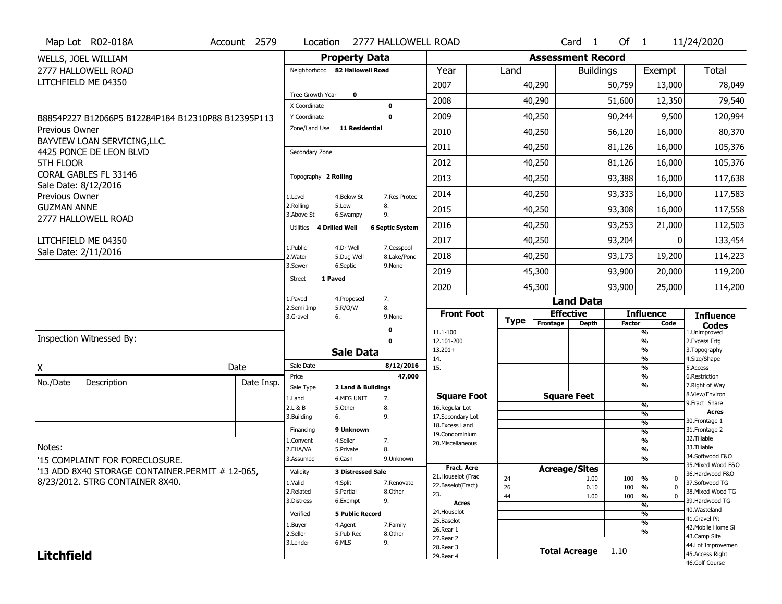|                    | Map Lot R02-018A                                   | Account 2579 | Location                           |                                  | 2777 HALLOWELL ROAD        |                                     |                       |                          | Card <sub>1</sub>    | Of $1$        |                                           | 11/24/2020                           |
|--------------------|----------------------------------------------------|--------------|------------------------------------|----------------------------------|----------------------------|-------------------------------------|-----------------------|--------------------------|----------------------|---------------|-------------------------------------------|--------------------------------------|
|                    | WELLS, JOEL WILLIAM                                |              |                                    | <b>Property Data</b>             |                            |                                     |                       | <b>Assessment Record</b> |                      |               |                                           |                                      |
|                    | 2777 HALLOWELL ROAD                                |              | Neighborhood 82 Hallowell Road     |                                  |                            | Year                                | Land                  |                          | <b>Buildings</b>     |               | Exempt                                    | Total                                |
|                    | LITCHFIELD ME 04350                                |              |                                    |                                  |                            | 2007                                |                       | 40,290                   |                      | 50,759        | 13,000                                    | 78,049                               |
|                    |                                                    |              | Tree Growth Year                   | $\mathbf 0$                      |                            | 2008                                |                       | 40,290                   |                      | 51,600        | 12,350                                    | 79,540                               |
|                    |                                                    |              | X Coordinate                       |                                  | $\mathbf 0$<br>$\mathbf 0$ | 2009                                |                       |                          |                      | 90,244        |                                           |                                      |
| Previous Owner     | B8854P227 B12066P5 B12284P184 B12310P88 B12395P113 |              | Y Coordinate<br>Zone/Land Use      | <b>11 Residential</b>            |                            |                                     |                       | 40,250                   |                      |               | 9,500                                     | 120,994                              |
|                    | BAYVIEW LOAN SERVICING, LLC.                       |              |                                    |                                  |                            | 2010                                |                       | 40,250                   |                      | 56,120        | 16,000                                    | 80,370                               |
|                    | 4425 PONCE DE LEON BLVD                            |              | Secondary Zone                     |                                  |                            | 2011                                |                       | 40,250                   |                      | 81,126        | 16,000                                    | 105,376                              |
| 5TH FLOOR          |                                                    |              |                                    |                                  |                            | 2012                                |                       | 40,250                   |                      | 81,126        | 16,000                                    | 105,376                              |
|                    | CORAL GABLES FL 33146                              |              | Topography 2 Rolling               |                                  |                            | 2013                                |                       | 40,250                   |                      | 93,388        | 16,000                                    | 117,638                              |
| Previous Owner     | Sale Date: 8/12/2016                               |              | 1.Level                            | 4.Below St                       | 7.Res Protec               | 2014                                |                       | 40,250                   |                      | 93,333        | 16,000                                    | 117,583                              |
| <b>GUZMAN ANNE</b> |                                                    |              | 2.Rolling<br>3.Above St            | 5.Low<br>6.Swampy                | 8.<br>9.                   | 2015                                |                       | 40,250                   |                      | 93,308        | 16,000                                    | 117,558                              |
|                    | 2777 HALLOWELL ROAD                                |              | <b>4 Drilled Well</b><br>Utilities |                                  | <b>6 Septic System</b>     | 2016                                |                       | 40,250                   |                      | 93,253        | 21,000                                    | 112,503                              |
|                    | LITCHFIELD ME 04350                                |              |                                    |                                  |                            | 2017                                |                       | 40,250                   |                      | 93,204        |                                           | 133,454                              |
|                    | Sale Date: 2/11/2016                               |              | 1.Public<br>2. Water               | 4.Dr Well<br>5.Dug Well          | 7.Cesspool<br>8.Lake/Pond  | 2018                                |                       | 40,250                   |                      | 93,173        | 19,200                                    | 114,223                              |
|                    |                                                    |              | 3.Sewer                            | 6.Septic                         | 9.None                     | 2019                                |                       | 45,300                   |                      | 93,900        | 20,000                                    | 119,200                              |
|                    |                                                    |              | 1 Paved<br><b>Street</b>           |                                  |                            | 2020                                |                       | 45,300                   |                      | 93,900        | 25,000                                    | 114,200                              |
|                    |                                                    |              | 1.Paved                            | 4.Proposed                       | 7.                         |                                     |                       |                          | <b>Land Data</b>     |               |                                           |                                      |
|                    |                                                    |              | 2.Semi Imp<br>3.Gravel             | 5.R/O/W<br>6.                    | 8.<br>9.None               | <b>Front Foot</b>                   | <b>Type</b>           | <b>Effective</b>         |                      |               | <b>Influence</b>                          | <b>Influence</b>                     |
|                    |                                                    |              |                                    |                                  | 0                          | 11.1-100                            |                       | Frontage                 | <b>Depth</b>         | <b>Factor</b> | Code<br>%                                 | <b>Codes</b><br>1.Unimproved         |
|                    | Inspection Witnessed By:                           |              |                                    |                                  | $\mathbf 0$                | 12.101-200                          |                       |                          |                      |               | %                                         | 2. Excess Frtg                       |
|                    |                                                    |              |                                    | <b>Sale Data</b>                 |                            | $13.201+$<br>14.                    |                       |                          |                      |               | %<br>%                                    | 3. Topography<br>4.Size/Shape        |
| X                  |                                                    | Date         | Sale Date                          |                                  | 8/12/2016                  | 15.                                 |                       |                          |                      |               | %                                         | 5.Access                             |
| No./Date           | Description                                        | Date Insp.   | Price                              |                                  | 47,000                     |                                     |                       |                          |                      |               | %<br>%                                    | 6.Restriction<br>7. Right of Way     |
|                    |                                                    |              | Sale Type<br>1.Land                | 2 Land & Buildings<br>4.MFG UNIT | 7.                         | <b>Square Foot</b>                  |                       |                          | <b>Square Feet</b>   |               |                                           | 8.View/Environ                       |
|                    |                                                    |              | 2.L & B                            | 5.Other                          | 8.                         | 16.Regular Lot                      |                       |                          |                      |               | $\frac{9}{6}$                             | 9.Fract Share<br><b>Acres</b>        |
|                    |                                                    |              | 3.Building                         | 6.                               | 9.                         | 17.Secondary Lot<br>18. Excess Land |                       |                          |                      |               | %<br>$\overline{\frac{9}{6}}$             | 30.Frontage 1                        |
|                    |                                                    |              | Financing                          | 9 Unknown                        |                            | 19.Condominium                      |                       |                          |                      |               | $\frac{9}{6}$                             | 31. Frontage 2                       |
| Notes:             |                                                    |              | 1.Convent                          | 4.Seller                         | 7.                         | 20. Miscellaneous                   |                       |                          |                      |               | $\overline{\frac{9}{6}}$                  | 32.Tillable<br>33.Tillable           |
|                    |                                                    |              | 2.FHA/VA<br>3.Assumed              | 5.Private<br>6.Cash              | 8.<br>9.Unknown            |                                     |                       |                          |                      |               | $\frac{9}{6}$<br>$\overline{\frac{9}{6}}$ | 34.Softwood F&O                      |
|                    | '15 COMPLAINT FOR FORECLOSURE.                     |              |                                    |                                  |                            | <b>Fract, Acre</b>                  |                       | <b>Acreage/Sites</b>     |                      |               |                                           | 35. Mixed Wood F&O                   |
|                    |                                                    |              |                                    |                                  |                            |                                     |                       |                          |                      |               |                                           | 36.Hardwood F&O                      |
|                    | '13 ADD 8X40 STORAGE CONTAINER.PERMIT # 12-065,    |              | Validity                           | <b>3 Distressed Sale</b>         |                            | 21. Houselot (Frac                  |                       |                          |                      |               |                                           |                                      |
|                    | 8/23/2012. STRG CONTAINER 8X40.                    |              | 1.Valid                            | 4.Split                          | 7.Renovate                 | 22.Baselot(Fract)                   | 24<br>$\overline{26}$ |                          | 1.00<br>0.10         | 100<br>100    | %<br>0<br>%<br>$\mathbf 0$                | 37.Softwood TG                       |
|                    |                                                    |              | 2.Related                          | 5.Partial                        | 8.Other                    | 23.                                 | 44                    |                          | 1.00                 | 100           | %<br>$\mathbf 0$                          | 38. Mixed Wood TG                    |
|                    |                                                    |              | 3.Distress                         | 6.Exempt                         | 9.                         | <b>Acres</b>                        |                       |                          |                      |               | %                                         | 39.Hardwood TG<br>40.Wasteland       |
|                    |                                                    |              | Verified                           | <b>5 Public Record</b>           |                            | 24. Houselot                        |                       |                          |                      |               | %                                         | 41.Gravel Pit                        |
|                    |                                                    |              | 1.Buyer                            | 4.Agent                          | 7.Family                   | 25.Baselot<br>26.Rear 1             |                       |                          |                      |               | %                                         | 42. Mobile Home Si                   |
|                    |                                                    |              | 2.Seller                           | 5.Pub Rec                        | 8.Other                    | 27.Rear 2                           |                       |                          |                      |               | %                                         | 43.Camp Site                         |
| <b>Litchfield</b>  |                                                    |              | 3.Lender                           | 6.MLS                            | 9.                         | 28. Rear 3<br>29. Rear 4            |                       |                          | <b>Total Acreage</b> | 1.10          |                                           | 44.Lot Improvemen<br>45.Access Right |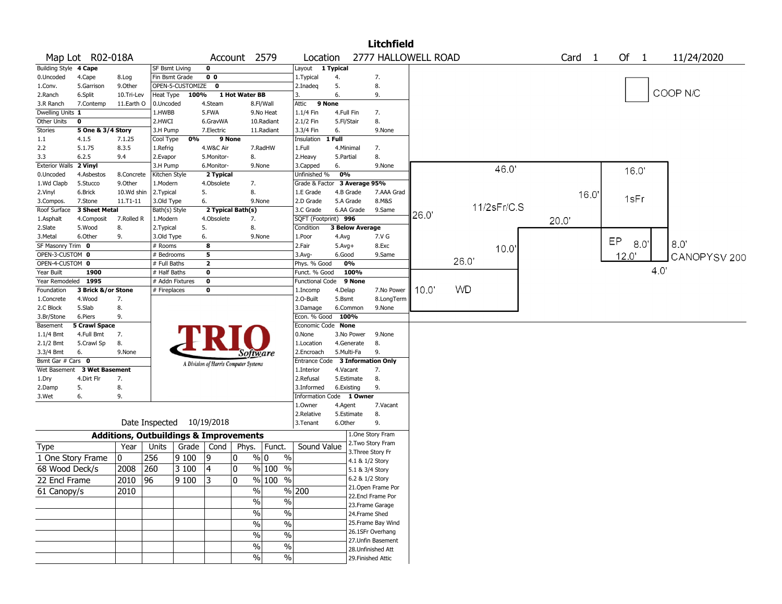|                               |                             |                                                   |                                 |                  |                                           |                                       |             |                                    |            |                        | <b>Litchfield</b>         |       |           |             |                   |                      |     |              |
|-------------------------------|-----------------------------|---------------------------------------------------|---------------------------------|------------------|-------------------------------------------|---------------------------------------|-------------|------------------------------------|------------|------------------------|---------------------------|-------|-----------|-------------|-------------------|----------------------|-----|--------------|
|                               | Map Lot R02-018A            |                                                   |                                 |                  |                                           | Account 2579                          |             | Location                           |            |                        | 2777 HALLOWELL ROAD       |       |           |             | Card <sub>1</sub> | Of<br>$\overline{1}$ |     | 11/24/2020   |
| Building Style 4 Cape         |                             |                                                   | SF Bsmt Living                  |                  | $\mathbf 0$                               |                                       |             | Layout                             | 1 Typical  |                        |                           |       |           |             |                   |                      |     |              |
| 0.Uncoded                     | 4.Cape                      | 8.Log                                             | Fin Bsmt Grade                  |                  | 0 <sub>0</sub>                            |                                       |             | 1. Typical                         | 4.         |                        | 7.                        |       |           |             |                   |                      |     |              |
| 1.Conv.                       | 5.Garrison                  | 9.0ther                                           |                                 | OPEN-5-CUSTOMIZE | $\mathbf 0$                               |                                       |             | 2.Inadeg                           | 5.         |                        | 8.                        |       |           |             |                   |                      |     |              |
| 2.Ranch                       | 6.Split                     | 10.Tri-Lev                                        | Heat Type                       | 100%             |                                           | 1 Hot Water BB                        |             | 3.                                 | 6.         |                        | 9.                        |       |           |             |                   |                      |     | COOP N/C     |
| 3.R Ranch                     | 7.Contemp                   | 11.Earth O                                        | 0.Uncoded                       |                  | 4.Steam                                   |                                       | 8.Fl/Wall   | Attic<br>9 None                    |            |                        |                           |       |           |             |                   |                      |     |              |
| Dwelling Units 1              |                             |                                                   | 1.HWBB                          |                  | 5.FWA                                     |                                       | 9.No Heat   | 1.1/4 Fin                          | 4.Full Fin |                        | 7.                        |       |           |             |                   |                      |     |              |
| Other Units                   | $\mathbf 0$                 |                                                   | 2.HWCI                          |                  | 6.GravWA                                  |                                       | 10.Radiant  | 2.1/2 Fin                          | 5.Fl/Stair |                        | 8.                        |       |           |             |                   |                      |     |              |
| <b>Stories</b>                | 5 One & 3/4 Story           |                                                   | 3.H Pump                        |                  | 7.Electric                                |                                       | 11.Radiant  | 3.3/4 Fin                          | 6.         |                        | 9.None                    |       |           |             |                   |                      |     |              |
| 1.1                           | 4.1.5                       | 7.1.25                                            | Cool Type                       | 0%               |                                           | 9 None                                |             | Insulation                         | 1 Full     |                        |                           |       |           |             |                   |                      |     |              |
| 2.2                           | 5.1.75                      | 8.3.5                                             | 1.Refrig                        |                  | 4.W&C Air                                 |                                       | 7.RadHW     | 1.Full                             | 4.Minimal  |                        | 7.                        |       |           |             |                   |                      |     |              |
| 3.3                           | 6.2.5                       | 9.4                                               | 2.Evapor                        |                  | 5.Monitor-                                | 8.                                    |             | 2.Heavy                            | 5.Partial  |                        | 8.                        |       |           |             |                   |                      |     |              |
| <b>Exterior Walls</b>         | 2 Vinyl                     |                                                   | 3.H Pump                        |                  | 6.Monitor-                                | 9.None                                |             | 3.Capped                           | 6.         |                        | 9.None                    |       |           | 46.0        |                   | 16.0                 |     |              |
| 0.Uncoded                     | 4.Asbestos                  | 8.Concrete                                        | Kitchen Style                   |                  | 2 Typical                                 |                                       |             | Unfinished %                       | 0%         |                        |                           |       |           |             |                   |                      |     |              |
| 1.Wd Clapb                    | 5.Stucco                    | 9.0ther                                           | 1.Modern                        |                  | 4.Obsolete                                | 7.                                    |             | Grade & Factor                     |            | 3 Average 95%          |                           |       |           |             |                   |                      |     |              |
| 2.Vinyl                       | 6.Brick                     | 10.Wd shin                                        | 2.Typical                       |                  | 5.                                        | 8.                                    |             | 1.E Grade                          | 4.B Grade  |                        | 7.AAA Grad                |       |           |             | 16.0              | 1sFr                 |     |              |
| 3.Compos.                     | 7.Stone                     | 11.T1-11                                          | 3.Old Type                      |                  | 6.                                        | 9.None                                |             | 2.D Grade                          | 5.A Grade  |                        | 8.M&S                     |       |           | 11/2sFr/C.S |                   |                      |     |              |
| Roof Surface                  | 3 Sheet Metal               |                                                   | Bath(s) Style                   |                  |                                           | 2 Typical Bath(s)                     |             | 3.C Grade                          |            | 6.AA Grade             | 9.Same                    | 26.0' |           |             |                   |                      |     |              |
| 1.Asphalt                     | 4.Composit                  | 7.Rolled R                                        | 1.Modern                        |                  | 4.Obsolete                                | 7.                                    |             | SQFT (Footprint) 996               |            |                        |                           |       |           |             | 20.0"             |                      |     |              |
| 2.Slate                       | 5.Wood                      | 8.                                                | 2.Typical                       |                  | 5.                                        | 8.                                    |             | Condition                          |            | <b>3 Below Average</b> |                           |       |           |             |                   |                      |     |              |
| 3.Metal                       | 6.Other                     | 9.                                                | 3.Old Type                      |                  | 6.                                        | 9.None                                |             | 1.Poor                             | 4.Avg      |                        | 7.V G                     |       |           |             |                   | EP<br>8.0            |     | 8.0          |
| SF Masonry Trim 0             |                             |                                                   | # Rooms                         |                  | $\overline{\mathbf{8}}$                   |                                       |             | 2.Fair                             | $5.Avg+$   |                        | 8.Exc                     |       |           | 10.0'       |                   |                      |     |              |
| OPEN-3-CUSTOM 0               |                             |                                                   | # Bedrooms                      |                  | 5                                         |                                       |             | 3.Avg-                             | 6.Good     |                        | 9.Same                    |       | 26.0      |             |                   | 12.0'                |     | CANOPYSV 200 |
| OPEN-4-CUSTOM 0<br>Year Built | 1900                        |                                                   | # Full Baths                    |                  | $\overline{2}$<br>$\overline{\mathbf{0}}$ |                                       |             | Phys. % Good<br>Funct. % Good      | 0%         | 100%                   |                           |       |           |             |                   |                      | 4.0 |              |
| Year Remodeled 1995           |                             |                                                   | # Half Baths                    |                  | $\pmb{0}$                                 |                                       |             |                                    |            | 9 None                 |                           |       |           |             |                   |                      |     |              |
| Foundation                    | 3 Brick &/or Stone          |                                                   | # Addn Fixtures<br># Fireplaces |                  | $\pmb{0}$                                 |                                       |             | <b>Functional Code</b><br>1.Incomp | 4.Delap    |                        | 7.No Power                | 10.0  | <b>WD</b> |             |                   |                      |     |              |
| 1.Concrete                    | 4.Wood                      | 7.                                                |                                 |                  |                                           |                                       |             | 2.O-Built                          | 5.Bsmt     |                        | 8.LongTerm                |       |           |             |                   |                      |     |              |
| 2.C Block                     | 5.Slab                      | 8.                                                |                                 |                  |                                           |                                       |             | 3.Damage                           | 6.Common   |                        | 9.None                    |       |           |             |                   |                      |     |              |
| 3.Br/Stone                    | 6.Piers                     | 9.                                                |                                 |                  |                                           |                                       |             | Econ. % Good 100%                  |            |                        |                           |       |           |             |                   |                      |     |              |
| Basement                      | <b>5 Crawl Space</b>        |                                                   |                                 |                  |                                           |                                       |             | Economic Code None                 |            |                        |                           |       |           |             |                   |                      |     |              |
| $1.1/4$ Bmt                   | 4.Full Bmt                  | 7.                                                |                                 |                  |                                           |                                       |             | 0.None                             |            | 3.No Power             | 9.None                    |       |           |             |                   |                      |     |              |
| 2.1/2 Bmt                     | 5.Crawl Sp                  | 8.                                                |                                 |                  |                                           |                                       |             | 1.Location                         |            | 4.Generate             | 8.                        |       |           |             |                   |                      |     |              |
| 3.3/4 Bmt                     | 6.                          | 9.None                                            |                                 |                  |                                           | Software                              |             | 2.Encroach                         | 5.Multi-Fa |                        | 9.                        |       |           |             |                   |                      |     |              |
| Bsmt Gar # Cars 0             |                             |                                                   |                                 |                  |                                           |                                       |             | Entrance Code                      |            |                        | <b>3 Information Only</b> |       |           |             |                   |                      |     |              |
|                               | Wet Basement 3 Wet Basement |                                                   |                                 |                  |                                           | A Division of Harris Computer Systems |             | 1.Interior                         | 4.Vacant   |                        | 7.                        |       |           |             |                   |                      |     |              |
| 1.Dry                         | 4.Dirt Flr                  | 7.                                                |                                 |                  |                                           |                                       |             | 2.Refusal                          | 5.Estimate |                        | 8.                        |       |           |             |                   |                      |     |              |
| 2.Damp                        | 5.                          | 8.                                                |                                 |                  |                                           |                                       |             | 3.Informed                         | 6.Existing |                        | 9.                        |       |           |             |                   |                      |     |              |
| 3.Wet                         | 6.                          | 9.                                                |                                 |                  |                                           |                                       |             | Information Code 1 Owner           |            |                        |                           |       |           |             |                   |                      |     |              |
|                               |                             |                                                   |                                 |                  |                                           |                                       |             | 1.0wner                            | 4.Agent    |                        | 7.Vacant                  |       |           |             |                   |                      |     |              |
|                               |                             |                                                   |                                 |                  |                                           |                                       |             | 2.Relative                         | 5.Estimate |                        | 8.                        |       |           |             |                   |                      |     |              |
|                               |                             | Date Inspected 10/19/2018                         |                                 |                  |                                           |                                       |             | 3.Tenant                           | 6.Other    |                        | 9.                        |       |           |             |                   |                      |     |              |
|                               |                             | <b>Additions, Outbuildings &amp; Improvements</b> |                                 |                  |                                           |                                       |             |                                    |            |                        | 1.One Story Fram          |       |           |             |                   |                      |     |              |
|                               |                             |                                                   |                                 |                  |                                           |                                       |             |                                    |            |                        | 2. Two Story Fram         |       |           |             |                   |                      |     |              |
| Type                          |                             | Year                                              | Units                           | Grade            | Cond                                      | Phys.                                 | Funct.      | Sound Value                        |            | 3. Three Story Fr      |                           |       |           |             |                   |                      |     |              |
| 1 One Story Frame             |                             | 0                                                 | 256                             | 9100             | 9                                         | 0                                     | % 0<br>$\%$ |                                    |            | 4.1 & 1/2 Story        |                           |       |           |             |                   |                      |     |              |
| 68 Wood Deck/s                |                             | 2008                                              | 260                             | 3 100            | 4                                         | $\mathbf{0}$                          | $%100$ %    |                                    |            | 5.1 & 3/4 Story        |                           |       |           |             |                   |                      |     |              |
| 22 Encl Frame                 |                             | 2010   96                                         |                                 | 9 100 3          |                                           | 10                                    | $% 100\% $  |                                    |            | 6.2 & 1/2 Story        |                           |       |           |             |                   |                      |     |              |
|                               |                             | 2010                                              |                                 |                  |                                           | $\frac{1}{2}$                         |             | % 200                              |            |                        | 21. Open Frame Por        |       |           |             |                   |                      |     |              |
| 61 Canopy/s                   |                             |                                                   |                                 |                  |                                           |                                       |             |                                    |            |                        | 22.Encl Frame Por         |       |           |             |                   |                      |     |              |
|                               |                             |                                                   |                                 |                  |                                           | $\sqrt{6}$                            | $\%$        |                                    |            |                        | 23. Frame Garage          |       |           |             |                   |                      |     |              |
|                               |                             |                                                   |                                 |                  |                                           | $\sqrt{6}$                            | $\%$        |                                    |            | 24.Frame Shed          |                           |       |           |             |                   |                      |     |              |
|                               |                             |                                                   |                                 |                  |                                           | $\sqrt{6}$                            | $\%$        |                                    |            |                        | 25. Frame Bay Wind        |       |           |             |                   |                      |     |              |
|                               |                             |                                                   |                                 |                  |                                           | $\frac{0}{0}$                         | $\%$        |                                    |            |                        | 26.1SFr Overhang          |       |           |             |                   |                      |     |              |
|                               |                             |                                                   |                                 |                  |                                           |                                       |             |                                    |            |                        | 27.Unfin Basement         |       |           |             |                   |                      |     |              |
|                               |                             |                                                   |                                 |                  |                                           | $\%$                                  | $\%$        |                                    |            |                        | 28. Unfinished Att        |       |           |             |                   |                      |     |              |
|                               |                             |                                                   |                                 |                  |                                           | $\sqrt{6}$                            | $\sqrt{6}$  |                                    |            |                        | 29. Finished Attic        |       |           |             |                   |                      |     |              |
|                               |                             |                                                   |                                 |                  |                                           |                                       |             |                                    |            |                        |                           |       |           |             |                   |                      |     |              |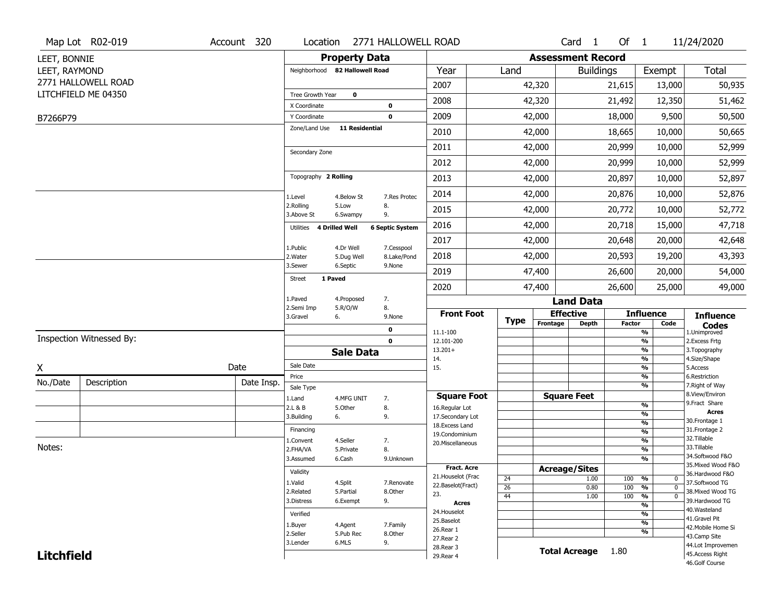|                   | Map Lot R02-019          | Account 320 | Location                       |                         | 2771 HALLOWELL ROAD       |                                         |                 |          | Card <sub>1</sub>        | Of $1$        |                                                | 11/24/2020                            |
|-------------------|--------------------------|-------------|--------------------------------|-------------------------|---------------------------|-----------------------------------------|-----------------|----------|--------------------------|---------------|------------------------------------------------|---------------------------------------|
| LEET, BONNIE      |                          |             |                                | <b>Property Data</b>    |                           |                                         |                 |          | <b>Assessment Record</b> |               |                                                |                                       |
| LEET, RAYMOND     |                          |             | Neighborhood 82 Hallowell Road |                         |                           | Year                                    | Land            |          | <b>Buildings</b>         |               | Exempt                                         | Total                                 |
|                   | 2771 HALLOWELL ROAD      |             |                                |                         |                           | 2007                                    |                 | 42,320   |                          | 21,615        | 13,000                                         | 50,935                                |
|                   | LITCHFIELD ME 04350      |             | Tree Growth Year               | $\mathbf 0$             |                           | 2008                                    |                 | 42,320   |                          | 21,492        | 12,350                                         | 51,462                                |
|                   |                          |             | X Coordinate                   |                         | $\mathbf 0$               |                                         |                 |          |                          |               |                                                |                                       |
| B7266P79          |                          |             | Y Coordinate<br>Zone/Land Use  | <b>11 Residential</b>   | $\mathbf 0$               | 2009                                    |                 | 42,000   |                          | 18,000        | 9,500                                          | 50,500                                |
|                   |                          |             |                                |                         |                           | 2010                                    |                 | 42,000   |                          | 18,665        | 10,000                                         | 50,665                                |
|                   |                          |             | Secondary Zone                 |                         |                           | 2011                                    |                 | 42,000   |                          | 20,999        | 10,000                                         | 52,999                                |
|                   |                          |             |                                |                         |                           | 2012                                    |                 | 42,000   |                          | 20,999        | 10,000                                         | 52,999                                |
|                   |                          |             | Topography 2 Rolling           |                         |                           | 2013                                    |                 | 42,000   |                          | 20,897        | 10,000                                         | 52,897                                |
|                   |                          |             | 1.Level                        | 4.Below St              | 7.Res Protec              | 2014                                    |                 | 42,000   |                          | 20,876        | 10,000                                         | 52,876                                |
|                   |                          |             | 2.Rolling<br>3.Above St        | 5.Low<br>6.Swampy       | 8.<br>9.                  | 2015                                    |                 | 42,000   |                          | 20,772        | 10,000                                         | 52,772                                |
|                   |                          |             | Utilities 4 Drilled Well       |                         | <b>6 Septic System</b>    | 2016                                    |                 | 42,000   |                          | 20,718        | 15,000                                         | 47,718                                |
|                   |                          |             |                                |                         |                           | 2017                                    |                 | 42,000   |                          | 20,648        | 20,000                                         | 42,648                                |
|                   |                          |             | 1.Public<br>2. Water           | 4.Dr Well<br>5.Dug Well | 7.Cesspool<br>8.Lake/Pond | 2018                                    |                 | 42,000   |                          | 20,593        | 19,200                                         | 43,393                                |
|                   |                          |             | 3.Sewer                        | 6.Septic                | 9.None                    | 2019                                    |                 | 47,400   |                          | 26,600        | 20,000                                         | 54,000                                |
|                   |                          |             | 1 Paved<br><b>Street</b>       |                         |                           | 2020                                    |                 | 47,400   |                          | 26,600        | 25,000                                         | 49,000                                |
|                   |                          |             | 1.Paved                        | 4.Proposed              | 7.                        |                                         |                 |          | <b>Land Data</b>         |               |                                                |                                       |
|                   |                          |             | 2.Semi Imp<br>3.Gravel         | 5.R/O/W<br>6.           | 8.<br>9.None              | <b>Front Foot</b>                       |                 |          | <b>Effective</b>         |               | <b>Influence</b>                               | <b>Influence</b>                      |
|                   |                          |             |                                |                         | 0                         | 11.1-100                                | <b>Type</b>     | Frontage | <b>Depth</b>             | <b>Factor</b> | Code<br>%                                      | <b>Codes</b><br>1.Unimproved          |
|                   | Inspection Witnessed By: |             |                                |                         | $\mathbf 0$               | 12.101-200                              |                 |          |                          |               | $\overline{\frac{9}{6}}$                       | 2. Excess Frtg                        |
|                   |                          |             |                                | <b>Sale Data</b>        |                           | $13.201+$<br>14.                        |                 |          |                          |               | $\overline{\frac{9}{6}}$<br>%                  | 3. Topography<br>4.Size/Shape         |
| X                 |                          | Date        | Sale Date                      |                         |                           | 15.                                     |                 |          |                          |               | $\overline{\frac{9}{6}}$                       | 5.Access                              |
| No./Date          | Description              | Date Insp.  | Price                          |                         |                           |                                         |                 |          |                          |               | %                                              | 6.Restriction                         |
|                   |                          |             | Sale Type                      |                         |                           | <b>Square Foot</b>                      |                 |          | <b>Square Feet</b>       |               | %                                              | 7. Right of Way<br>8.View/Environ     |
|                   |                          |             | 1.Land<br>2.L & B              | 4.MFG UNIT<br>5.Other   | 7.<br>8.                  | 16.Regular Lot                          |                 |          |                          |               | $\frac{9}{6}$                                  | 9.Fract Share                         |
|                   |                          |             | 3.Building                     | 6.                      | 9.                        | 17.Secondary Lot                        |                 |          |                          |               | $\frac{9}{6}$                                  | <b>Acres</b><br>30. Frontage 1        |
|                   |                          |             | Financing                      |                         |                           | 18.Excess Land                          |                 |          |                          |               | $\overline{\frac{9}{6}}$<br>$\frac{9}{6}$      | 31. Frontage 2                        |
|                   |                          |             | 1.Convent                      | 4.Seller                | 7.                        | 19.Condominium<br>20.Miscellaneous      |                 |          |                          |               | $\frac{9}{6}$                                  | 32.Tillable                           |
| Notes:            |                          |             | 2.FHA/VA                       | 5.Private               | 8.                        |                                         |                 |          |                          |               | $\overline{\frac{9}{6}}$                       | 33.Tillable                           |
|                   |                          |             | 3.Assumed                      | 6.Cash                  | 9.Unknown                 |                                         |                 |          |                          |               | $\overline{\frac{9}{6}}$                       | 34.Softwood F&O                       |
|                   |                          |             | Validity                       |                         |                           | <b>Fract. Acre</b>                      |                 |          | <b>Acreage/Sites</b>     |               |                                                | 35. Mixed Wood F&O<br>36.Hardwood F&O |
|                   |                          |             | 1.Valid                        | 4.Split                 | 7.Renovate                | 21. Houselot (Frac<br>22.Baselot(Fract) | 24              |          | 1.00                     | 100           | %<br>0                                         | 37.Softwood TG                        |
|                   |                          |             | 2.Related                      | 5.Partial               | 8.Other                   | 23.                                     | $\overline{26}$ |          | 0.80                     | 100           | $\frac{9}{6}$<br>$\mathbf 0$                   | 38. Mixed Wood TG                     |
|                   |                          |             | 3.Distress                     | 6.Exempt                | 9.                        | <b>Acres</b>                            | 44              |          | 1.00                     | 100           | $\frac{9}{6}$<br>0<br>$\overline{\frac{9}{6}}$ | 39.Hardwood TG                        |
|                   |                          |             | Verified                       |                         |                           | 24. Houselot                            |                 |          |                          |               | $\frac{9}{6}$                                  | 40. Wasteland                         |
|                   |                          |             | 1.Buyer                        | 4.Agent                 | 7.Family                  | 25.Baselot                              |                 |          |                          |               | $\frac{9}{6}$                                  | 41.Gravel Pit                         |
|                   |                          |             | 2.Seller                       | 5.Pub Rec               | 8.Other                   | 26.Rear 1                               |                 |          |                          |               | %                                              | 42. Mobile Home Si<br>43.Camp Site    |
|                   |                          |             |                                |                         |                           |                                         |                 |          |                          |               |                                                |                                       |
|                   |                          |             | 3.Lender                       | 6.MLS                   | 9.                        | 27.Rear 2                               |                 |          |                          |               |                                                | 44.Lot Improvemen                     |
| <b>Litchfield</b> |                          |             |                                |                         |                           | 28. Rear 3<br>29. Rear 4                |                 |          | <b>Total Acreage</b>     | 1.80          |                                                | 45. Access Right<br>46.Golf Course    |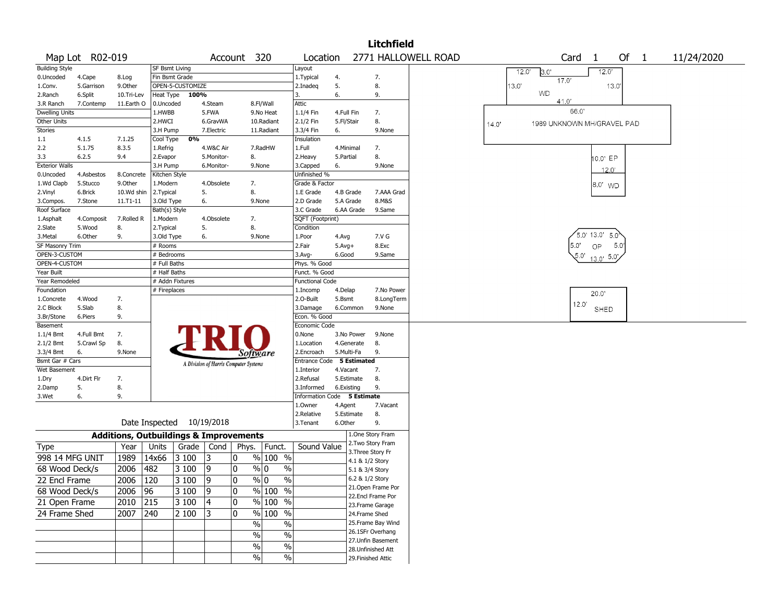|                          |                 |                                                   |                           |                  |                                       |             |                          |                           |                        |                 | <b>Litchfield</b>                      |                     |                |              |                            |      |                     |             |        |  |            |  |
|--------------------------|-----------------|---------------------------------------------------|---------------------------|------------------|---------------------------------------|-------------|--------------------------|---------------------------|------------------------|-----------------|----------------------------------------|---------------------|----------------|--------------|----------------------------|------|---------------------|-------------|--------|--|------------|--|
|                          | Map Lot R02-019 |                                                   |                           |                  |                                       | Account 320 |                          | Location                  |                        |                 |                                        | 2771 HALLOWELL ROAD |                |              |                            | Card | -1                  |             | Of $1$ |  | 11/24/2020 |  |
| <b>Building Style</b>    |                 |                                                   | <b>SF Bsmt Living</b>     |                  |                                       |             |                          | Layout                    |                        |                 |                                        |                     |                | 12.0'        | 3.0'                       |      |                     | 12.0'       |        |  |            |  |
| 0.Uncoded                | 4.Cape          | 8.Log                                             | Fin Bsmt Grade            |                  |                                       |             |                          | 1. Typical                | 4.                     |                 | 7.                                     |                     |                |              |                            | 17.0 |                     |             |        |  |            |  |
| 1.Conv.                  | 5.Garrison      | 9.0ther                                           |                           | OPEN-5-CUSTOMIZE |                                       |             |                          | 2.Inadeg                  | 5.                     |                 | 8.                                     |                     |                | $13.0^\circ$ |                            |      |                     | 13.0        |        |  |            |  |
| 2.Ranch                  | 6.Split         | 10.Tri-Lev                                        | Heat Type                 | 100%             |                                       |             |                          | 3.                        | 6.                     |                 | 9.                                     |                     |                |              | <b>WD</b>                  |      |                     |             |        |  |            |  |
| 3.R Ranch                | 7.Contemp       | 11.Earth O                                        | 0.Uncoded                 |                  | 4.Steam                               |             | 8.Fl/Wall                | <b>Attic</b>              |                        |                 |                                        |                     |                |              |                            | 41.0 |                     |             |        |  |            |  |
| <b>Dwelling Units</b>    |                 |                                                   | 1.HWBB                    |                  | 5.FWA                                 |             | 9.No Heat                | 1.1/4 Fin                 | 4.Full Fin             |                 | 7.                                     |                     |                |              |                            | 66.0 |                     |             |        |  |            |  |
| <b>Other Units</b>       |                 |                                                   | 2.HWCI                    |                  | 6.GravWA                              |             | 10.Radiant               | 2.1/2 Fin                 | 5.Fl/Stair             |                 | 8.                                     |                     | $14.0^{\circ}$ |              | 1989 UNKNOWN MH/GRAVEL PAD |      |                     |             |        |  |            |  |
| Stories                  |                 |                                                   | 3.H Pump                  |                  | 7.Electric                            |             | 11.Radiant               | 3.3/4 Fin                 | 6.                     |                 | 9.None                                 |                     |                |              |                            |      |                     |             |        |  |            |  |
| 1.1                      | 4.1.5           | 7.1.25                                            | Cool Type                 | 0%               |                                       |             |                          | Insulation                |                        |                 |                                        |                     |                |              |                            |      |                     |             |        |  |            |  |
| 2.2<br>3.3               | 5.1.75<br>6.2.5 | 8.3.5<br>9.4                                      | 1.Refrig<br>2.Evapor      |                  | 4.W&C Air<br>5.Monitor-               | 8.          | 7.RadHW                  | 1.Full                    | 4.Minimal<br>5.Partial |                 | 7.<br>8.                               |                     |                |              |                            |      |                     |             |        |  |            |  |
| <b>Exterior Walls</b>    |                 |                                                   | 3.H Pump                  |                  | 6.Monitor-                            |             | 9.None                   | 2. Heavy<br>3.Capped      | 6.                     |                 | 9.None                                 |                     |                |              |                            |      |                     | $0.0'$ EP   |        |  |            |  |
| 0.Uncoded                | 4.Asbestos      | 8.Concrete                                        | Kitchen Style             |                  |                                       |             |                          | Unfinished %              |                        |                 |                                        |                     |                |              |                            |      |                     | 12.0'       |        |  |            |  |
| 1.Wd Clapb               | 5.Stucco        | 9.Other                                           | 1.Modern                  |                  | 4.Obsolete                            | 7.          |                          | Grade & Factor            |                        |                 |                                        |                     |                |              |                            |      |                     |             |        |  |            |  |
| 2.Vinyl                  | 6.Brick         | 10.Wd shin                                        | 2.Typical                 |                  | 5.                                    | 8.          |                          | 1.E Grade                 | 4.B Grade              |                 | 7.AAA Grad                             |                     |                |              |                            |      |                     | 8.0 WD      |        |  |            |  |
| 3.Compos.                | 7.Stone         | 11.T1-11                                          | 3.Old Type                |                  | 6.                                    |             | 9.None                   | 2.D Grade                 | 5.A Grade              |                 | 8.M&S                                  |                     |                |              |                            |      |                     |             |        |  |            |  |
| Roof Surface             |                 |                                                   | Bath(s) Style             |                  |                                       |             |                          | 3.C Grade                 |                        | 6.AA Grade      | 9.Same                                 |                     |                |              |                            |      |                     |             |        |  |            |  |
| 1.Asphalt                | 4.Composit      | 7.Rolled R                                        | 1.Modern                  |                  | 4.Obsolete                            | 7.          |                          | SQFT (Footprint)          |                        |                 |                                        |                     |                |              |                            |      |                     |             |        |  |            |  |
| 2.Slate                  | 5.Wood          | 8.                                                | 2. Typical                |                  | 5.                                    | 8.          |                          | Condition                 |                        |                 |                                        |                     |                |              |                            |      |                     |             |        |  |            |  |
| 3.Metal                  | 6.Other         | 9.                                                | 3.Old Type                |                  | 6.                                    |             | 9.None                   | 1.Poor                    | 4.Avg                  |                 | 7.V G                                  |                     |                |              |                            |      | $5.0'$ 13.0' $5.0'$ |             |        |  |            |  |
| SF Masonry Trim          |                 |                                                   | # Rooms                   |                  |                                       |             |                          | 2.Fair                    | $5.$ Avg $+$           |                 | 8.Exc                                  |                     |                |              |                            | 5.0' | OP                  | 5.0         |        |  |            |  |
| OPEN-3-CUSTOM            |                 |                                                   | # Bedrooms                |                  |                                       |             |                          | 3.Avg-                    | 6.Good                 |                 | 9.Same                                 |                     |                |              |                            |      | 5.0'                | $13.0$ 5.0  |        |  |            |  |
| OPEN-4-CUSTOM            |                 |                                                   | # Full Baths              |                  |                                       |             |                          | Phys. % Good              |                        |                 |                                        |                     |                |              |                            |      |                     |             |        |  |            |  |
| Year Built               |                 |                                                   | # Half Baths              |                  |                                       |             |                          | Funct. % Good             |                        |                 |                                        |                     |                |              |                            |      |                     |             |        |  |            |  |
| Year Remodeled           |                 |                                                   | # Addn Fixtures           |                  |                                       |             |                          | <b>Functional Code</b>    |                        |                 |                                        |                     |                |              |                            |      |                     |             |        |  |            |  |
| Foundation               |                 |                                                   | # Fireplaces              |                  |                                       |             |                          | 1.Incomp                  | 4.Delap                |                 | 7.No Power                             |                     |                |              |                            |      | 20.0                |             |        |  |            |  |
| 1.Concrete               | 4.Wood          | 7.                                                |                           |                  |                                       |             |                          | 2.O-Built                 | 5.Bsmt                 |                 | 8.LongTerm                             |                     |                |              |                            |      | 12.0'               |             |        |  |            |  |
| 2.C Block                | 5.Slab          | 8.                                                |                           |                  |                                       |             |                          | 3.Damage                  |                        | 6.Common        | 9.None                                 |                     |                |              |                            |      |                     | <b>SHED</b> |        |  |            |  |
| 3.Br/Stone               | 6.Piers         | 9.                                                |                           |                  |                                       |             |                          | Econ. % Good              |                        |                 |                                        |                     |                |              |                            |      |                     |             |        |  |            |  |
| Basement                 | 4.Full Bmt      | 7.                                                |                           |                  |                                       |             |                          | Economic Code<br>0.None   |                        | 3.No Power      | 9.None                                 |                     |                |              |                            |      |                     |             |        |  |            |  |
| 1.1/4 Bmt<br>$2.1/2$ Bmt | 5.Crawl Sp      | 8.                                                |                           |                  |                                       |             |                          | 1.Location                |                        | 4.Generate      | 8.                                     |                     |                |              |                            |      |                     |             |        |  |            |  |
| 3.3/4 Bmt                | 6.              | 9.None                                            |                           |                  |                                       |             |                          | 2.Encroach                | 5.Multi-Fa             |                 | 9.                                     |                     |                |              |                            |      |                     |             |        |  |            |  |
| Bsmt Gar # Cars          |                 |                                                   |                           |                  |                                       | Software    |                          | Entrance Code 5 Estimated |                        |                 |                                        |                     |                |              |                            |      |                     |             |        |  |            |  |
| Wet Basement             |                 |                                                   |                           |                  | A Division of Harris Computer Systems |             |                          | 1.Interior                | 4.Vacant               |                 | 7.                                     |                     |                |              |                            |      |                     |             |        |  |            |  |
| 1.Dry                    | 4.Dirt Flr      | 7.                                                |                           |                  |                                       |             |                          | 2.Refusal                 |                        | 5.Estimate      | 8.                                     |                     |                |              |                            |      |                     |             |        |  |            |  |
| 2.Damp                   | 5.              | 8.                                                |                           |                  |                                       |             |                          | 3.Informed                | 6.Existing             |                 | 9.                                     |                     |                |              |                            |      |                     |             |        |  |            |  |
| 3.Wet                    | 6.              | 9.                                                |                           |                  |                                       |             |                          | Information Code          |                        | 5 Estimate      |                                        |                     |                |              |                            |      |                     |             |        |  |            |  |
|                          |                 |                                                   |                           |                  |                                       |             |                          | 1.Owner                   | 4.Agent                |                 | 7.Vacant                               |                     |                |              |                            |      |                     |             |        |  |            |  |
|                          |                 |                                                   |                           |                  |                                       |             |                          | 2.Relative                |                        | 5.Estimate      | 8.                                     |                     |                |              |                            |      |                     |             |        |  |            |  |
|                          |                 |                                                   | Date Inspected 10/19/2018 |                  |                                       |             |                          | 3. Tenant                 | 6.Other                |                 | 9.                                     |                     |                |              |                            |      |                     |             |        |  |            |  |
|                          |                 | <b>Additions, Outbuildings &amp; Improvements</b> |                           |                  |                                       |             |                          |                           |                        |                 | 1.One Story Fram                       |                     |                |              |                            |      |                     |             |        |  |            |  |
| Type                     |                 | Year                                              | Units                     | Grade            | Cond                                  | Phys.       | Funct.                   | Sound Value               |                        |                 | 2. Two Story Fram                      |                     |                |              |                            |      |                     |             |        |  |            |  |
| 998 14 MFG UNIT          |                 | 1989                                              | 14x66                     | 3 100            | 3                                     | 0           | % 100 %                  |                           |                        |                 | 3. Three Story Fr                      |                     |                |              |                            |      |                     |             |        |  |            |  |
|                          |                 |                                                   |                           |                  |                                       |             |                          |                           |                        | 4.1 & 1/2 Story |                                        |                     |                |              |                            |      |                     |             |        |  |            |  |
| 68 Wood Deck/s           |                 | 2006                                              | 482                       | 3 100            | 9                                     | $\mathbf 0$ | $\frac{9}{0}$ 0<br>$\%$  |                           |                        | 5.1 & 3/4 Story |                                        |                     |                |              |                            |      |                     |             |        |  |            |  |
| 22 Encl Frame            |                 | $2006$   120                                      |                           | $ 3100 $  9      |                                       | 10          | % 0<br>%                 |                           |                        |                 | 6.2 & 1/2 Story                        |                     |                |              |                            |      |                     |             |        |  |            |  |
| 68 Wood Deck/s           |                 | 2006 96                                           |                           | 3100             | $\sqrt{9}$                            | 10          | $\frac{9}{6}$ 100 %      |                           |                        |                 | 21.Open Frame Por<br>22.Encl Frame Por |                     |                |              |                            |      |                     |             |        |  |            |  |
| 21 Open Frame            |                 | $2010$ 215                                        |                           | 3100             | $ 4\rangle$                           | 10          | % 100 %                  |                           |                        |                 | 23. Frame Garage                       |                     |                |              |                            |      |                     |             |        |  |            |  |
| 24 Frame Shed            |                 | 2007 240                                          |                           | 2 100            | 3                                     | 10          | $\frac{9}{6}$ 100 %      |                           |                        | 24.Frame Shed   |                                        |                     |                |              |                            |      |                     |             |        |  |            |  |
|                          |                 |                                                   |                           |                  |                                       | $\%$        | $\%$                     |                           |                        |                 | 25. Frame Bay Wind                     |                     |                |              |                            |      |                     |             |        |  |            |  |
|                          |                 |                                                   |                           |                  |                                       |             |                          |                           |                        |                 | 26.1SFr Overhang                       |                     |                |              |                            |      |                     |             |        |  |            |  |
|                          |                 |                                                   |                           |                  |                                       | $\%$        | $\overline{\frac{0}{0}}$ |                           |                        |                 | 27.Unfin Basement                      |                     |                |              |                            |      |                     |             |        |  |            |  |
|                          |                 |                                                   |                           |                  |                                       | %           | $\%$                     |                           |                        |                 | 28. Unfinished Att                     |                     |                |              |                            |      |                     |             |        |  |            |  |
|                          |                 |                                                   |                           |                  |                                       | $\sqrt{2}$  | $\sqrt{6}$               |                           |                        |                 | 29. Finished Attic                     |                     |                |              |                            |      |                     |             |        |  |            |  |
|                          |                 |                                                   |                           |                  |                                       |             |                          |                           |                        |                 |                                        |                     |                |              |                            |      |                     |             |        |  |            |  |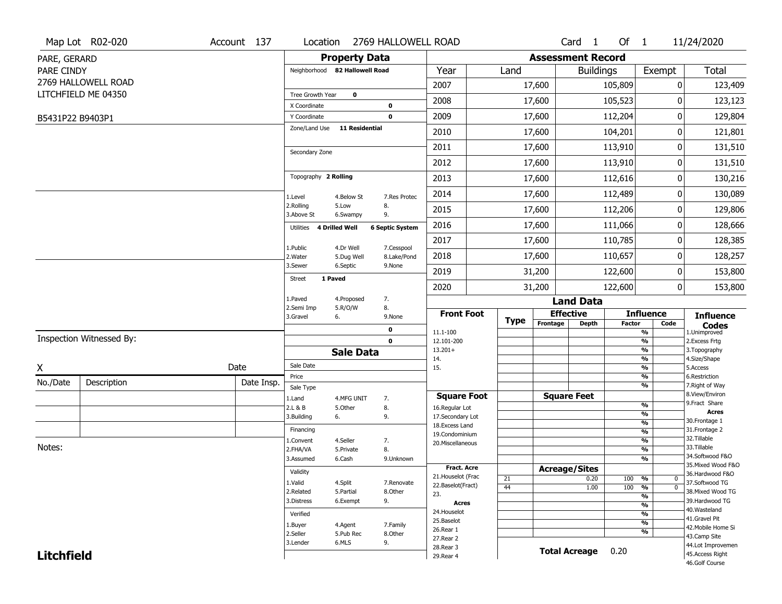|                   | Map Lot R02-020          | Account 137 |                                |                         | Location 2769 HALLOWELL ROAD |                                   |             |                          | Card 1               | Of $1$        |                    |                   | 11/24/2020                        |
|-------------------|--------------------------|-------------|--------------------------------|-------------------------|------------------------------|-----------------------------------|-------------|--------------------------|----------------------|---------------|--------------------|-------------------|-----------------------------------|
| PARE, GERARD      |                          |             |                                |                         | <b>Property Data</b>         |                                   |             | <b>Assessment Record</b> |                      |               |                    |                   |                                   |
| PARE CINDY        |                          |             | Neighborhood 82 Hallowell Road |                         |                              | Year                              | Land        |                          | <b>Buildings</b>     |               | Exempt             |                   | <b>Total</b>                      |
|                   | 2769 HALLOWELL ROAD      |             |                                |                         |                              | 2007                              |             | 17,600                   |                      | 105,809       |                    | 0                 | 123,409                           |
|                   | LITCHFIELD ME 04350      |             | Tree Growth Year               | $\mathbf 0$             |                              | 2008                              |             | 17,600                   |                      | 105,523       |                    | $\Omega$          | 123,123                           |
|                   |                          |             | X Coordinate                   |                         | $\pmb{0}$                    |                                   |             |                          |                      |               |                    |                   |                                   |
| B5431P22 B9403P1  |                          |             | Y Coordinate                   |                         | $\mathbf 0$                  | 2009                              |             | 17,600                   |                      | 112,204       |                    | 0                 | 129,804                           |
|                   |                          |             | Zone/Land Use                  | <b>11 Residential</b>   |                              | 2010                              |             | 17,600                   |                      | 104,201       |                    | 0                 | 121,801                           |
|                   |                          |             | Secondary Zone                 |                         |                              | 2011                              |             | 17,600                   |                      | 113,910       |                    | 0                 | 131,510                           |
|                   |                          |             |                                |                         |                              | 2012                              |             | 17,600                   |                      | 113,910       |                    | $\pmb{0}$         | 131,510                           |
|                   |                          |             | Topography 2 Rolling           |                         |                              | 2013                              |             | 17,600                   |                      | 112,616       |                    | 0                 | 130,216                           |
|                   |                          |             | 1.Level                        | 4.Below St              | 7.Res Protec                 | 2014                              |             | 17,600                   |                      | 112,489       |                    | 0                 | 130,089                           |
|                   |                          |             | 2.Rolling<br>3.Above St        | 5.Low<br>6.Swampy       | 8.<br>9.                     | 2015                              |             | 17,600                   |                      | 112,206       |                    | 0                 | 129,806                           |
|                   |                          |             | Utilities 4 Drilled Well       |                         | <b>6 Septic System</b>       | 2016                              |             | 17,600                   |                      | 111,066       |                    | 0                 | 128,666                           |
|                   |                          |             |                                |                         |                              | 2017                              |             | 17,600                   |                      | 110,785       |                    | 0                 | 128,385                           |
|                   |                          |             | 1.Public<br>2. Water           | 4.Dr Well<br>5.Dug Well | 7.Cesspool<br>8.Lake/Pond    | 2018                              |             | 17,600                   |                      | 110,657       |                    | 0                 | 128,257                           |
|                   |                          |             | 3.Sewer                        | 6.Septic                | 9.None                       | 2019                              |             | 31,200                   |                      | 122,600       |                    | 0                 | 153,800                           |
|                   |                          |             | <b>Street</b>                  | 1 Paved                 |                              | 2020                              |             | 31,200                   |                      | 122,600       |                    | $\mathbf 0$       | 153,800                           |
|                   |                          |             | 1.Paved<br>2.Semi Imp          | 4.Proposed<br>5.R/O/W   | 7.<br>8.                     |                                   |             |                          | <b>Land Data</b>     |               |                    |                   |                                   |
|                   |                          |             | 3.Gravel                       | 6.                      | 9.None                       | <b>Front Foot</b>                 | <b>Type</b> | Frontage                 | <b>Effective</b>     |               | <b>Influence</b>   |                   | <b>Influence</b>                  |
|                   |                          |             |                                |                         | 0                            | 11.1-100                          |             |                          | <b>Depth</b>         | <b>Factor</b> | Code<br>%          |                   | <b>Codes</b><br>1.Unimproved      |
|                   | Inspection Witnessed By: |             |                                |                         | $\mathbf 0$                  | 12.101-200                        |             |                          |                      |               | $\frac{9}{6}$      |                   | 2.Excess Frtg                     |
|                   |                          |             |                                | <b>Sale Data</b>        |                              | $13.201+$<br>14.                  |             |                          |                      |               | %<br>%             |                   | 3. Topography<br>4.Size/Shape     |
| X                 |                          | Date        | Sale Date                      |                         |                              | 15.                               |             |                          |                      |               | %                  |                   | 5.Access                          |
| No./Date          | Description              | Date Insp.  | Price                          |                         |                              |                                   |             |                          |                      |               | %<br>%             |                   | 6.Restriction<br>7. Right of Way  |
|                   |                          |             | Sale Type<br>1.Land            | 4.MFG UNIT              | 7.                           | <b>Square Foot</b>                |             |                          | <b>Square Feet</b>   |               |                    |                   | 8.View/Environ                    |
|                   |                          |             | 2.L & B                        | 5.Other                 | 8.                           | 16.Regular Lot                    |             |                          |                      |               | %                  |                   | 9.Fract Share<br><b>Acres</b>     |
|                   |                          |             | 3.Building                     | 6.                      | 9.                           | 17.Secondary Lot                  |             |                          |                      |               | %<br>$\frac{9}{6}$ |                   | 30.Frontage 1                     |
|                   |                          |             | Financing                      |                         |                              | 18. Excess Land<br>19.Condominium |             |                          |                      |               | $\frac{9}{6}$      |                   | 31. Frontage 2                    |
|                   |                          |             | 1.Convent                      | 4.Seller                | 7.                           | 20.Miscellaneous                  |             |                          |                      |               | $\frac{9}{6}$      |                   | 32.Tillable                       |
| Notes:            |                          |             | 2.FHA/VA                       | 5.Private               | 8.                           |                                   |             |                          |                      |               | $\frac{9}{6}$      |                   | 33.Tillable<br>34.Softwood F&O    |
|                   |                          |             | 3.Assumed                      | 6.Cash                  | 9.Unknown                    | <b>Fract. Acre</b>                |             |                          |                      |               | $\frac{9}{6}$      |                   | 35. Mixed Wood F&O                |
|                   |                          |             | Validity                       |                         |                              | 21. Houselot (Frac                |             |                          | <b>Acreage/Sites</b> |               |                    |                   | 36.Hardwood F&O                   |
|                   |                          |             | 1.Valid                        | 4.Split                 | 7.Renovate                   | 22.Baselot(Fract)                 | 21<br>44    |                          | 0.20<br>1.00         | 100<br>100    | %<br>%             | 0<br>$\mathbf{0}$ | 37.Softwood TG                    |
|                   |                          |             | 2.Related                      | 5.Partial               | 8.Other                      | 23.                               |             |                          |                      |               | $\frac{9}{6}$      |                   | 38. Mixed Wood TG                 |
|                   |                          |             | 3.Distress                     | 6.Exempt                | 9.                           | <b>Acres</b>                      |             |                          |                      |               | $\frac{9}{6}$      |                   | 39.Hardwood TG                    |
|                   |                          |             | Verified                       |                         |                              | 24. Houselot                      |             |                          |                      |               | $\frac{9}{6}$      |                   | 40. Wasteland<br>41.Gravel Pit    |
|                   |                          |             | 1.Buyer                        | 4.Agent                 | 7.Family                     | 25.Baselot<br>26.Rear 1           |             |                          |                      |               | $\frac{9}{6}$      |                   | 42. Mobile Home Si                |
|                   |                          |             | 2.Seller                       | 5.Pub Rec               | 8.Other                      | 27. Rear 2                        |             |                          |                      |               | %                  |                   | 43.Camp Site                      |
|                   |                          |             | 3.Lender                       | 6.MLS                   | 9.                           | 28. Rear 3                        |             |                          | <b>Total Acreage</b> | 0.20          |                    |                   | 44.Lot Improvemen                 |
| <b>Litchfield</b> |                          |             |                                |                         |                              | 29. Rear 4                        |             |                          |                      |               |                    |                   | 45.Access Right<br>46.Golf Course |